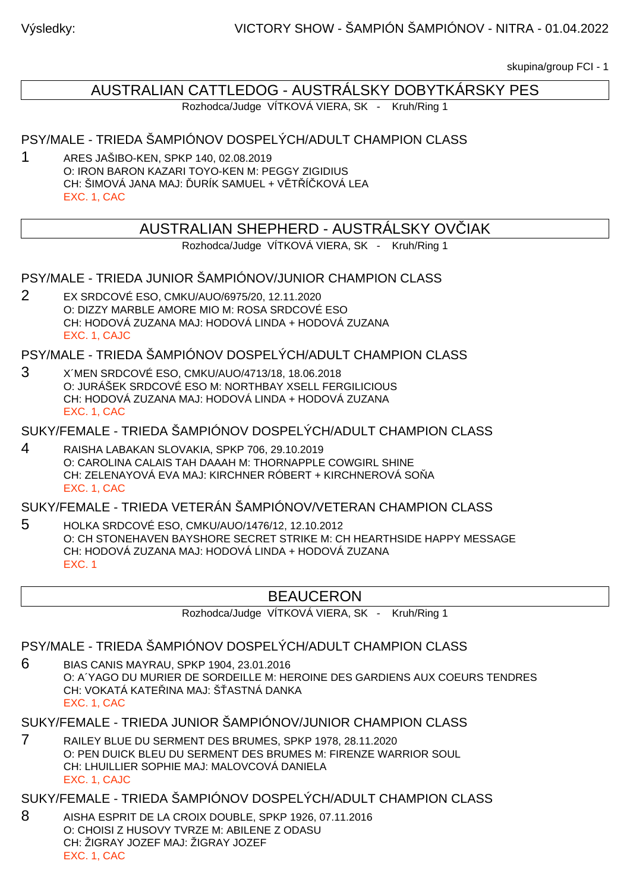skupina/group FCI - 1

# AUSTRALIAN CATTLEDOG - AUSTRÁLSKY DOBYTKÁRSKY PES

Rozhodca/Judge VÍTKOVÁ VIERA, SK - Kruh/Ring 1

#### PSY/MALE - TRIEDA ŠAMPIÓNOV DOSPELÝCH/ADULT CHAMPION CLASS

1 ARES JAŠIBO-KEN, SPKP 140, 02.08.2019 O: IRON BARON KAZARI TOYO-KEN M: PEGGY ZIGIDIUS  $CH: \check{S}$ IMOVÁ JANA MAJ: URÍK SAMUEL + V $\top$ Í KOVÁ LEA EXC. 1, CAC

### AUSTRALIAN SHEPHERD - AUSTRALSKY OV IAK

Rozhodca/Judge VÍTKOVÁ VIERA, SK - Kruh/Ring 1

PSY/MALE - TRIEDA JUNIOR ŠAMPIÓNOV/JUNIOR CHAMPION CLASS

2 EX SRDCOVÉ ESO, CMKU/AUO/6975/20, 12.11.2020 O: DIZZY MARBLE AMORE MIO M: ROSA SRDCOVÉ ESO CH: HODOVÁ ZUZANA MAJ: HODOVÁ LINDA + HODOVÁ ZUZANA EXC. 1, CAJC

PSY/MALE - TRIEDA ŠAMPIÓNOV DOSPELÝCH/ADULT CHAMPION CLASS

3 X´MEN SRDCOVÉ ESO, CMKU/AUO/4713/18, 18.06.2018 O: JURÁŠEK SRDCOVÉ ESO M: NORTHBAY XSELL FERGILICIOUS CH: HODOVÁ ZUZANA MAJ: HODOVÁ LINDA + HODOVÁ ZUZANA EXC. 1, CAC

#### SUKY/FEMALE - TRIEDA ŠAMPIÓNOV DOSPELÝCH/ADULT CHAMPION CLASS

4 RAISHA LABAKAN SLOVAKIA, SPKP 706, 29.10.2019 O: CAROLINA CALAIS TAH DAAAH M: THORNAPPLE COWGIRL SHINE CH: ZELENAYOVÁ EVA MAJ: KIRCHNER RÓBERT + KIRCHNEROVÁ SO A EXC. 1, CAC

SUKY/FEMALE - TRIEDA VETERÁN ŠAMPIÓNOV/VETERAN CHAMPION CLASS

5 HOLKA SRDCOVÉ ESO, CMKU/AUO/1476/12, 12.10.2012 O: CH STONEHAVEN BAYSHORE SECRET STRIKE M: CH HEARTHSIDE HAPPY MESSAGE CH: HODOVÁ ZUZANA MAJ: HODOVÁ LINDA + HODOVÁ ZUZANA EXC. 1

### BEAUCERON

Rozhodca/Judge VÍTKOVÁ VIERA, SK - Kruh/Ring 1

PSY/MALE - TRIEDA ŠAMPIÓNOV DOSPELÝCH/ADULT CHAMPION CLASS

6 BIAS CANIS MAYRAU, SPKP 1904, 23.01.2016 O: A´YAGO DU MURIER DE SORDEILLE M: HEROINE DES GARDIENS AUX COEURS TENDRES CH: VOKATÁ KATE INA MAJ: Š ASTNÁ DANKA EXC. 1, CAC

SUKY/FEMALE - TRIEDA JUNIOR ŠAMPIÓNOV/JUNIOR CHAMPION CLASS

7 RAILEY BLUE DU SERMENT DES BRUMES, SPKP 1978, 28.11.2020 O: PEN DUICK BLEU DU SERMENT DES BRUMES M: FIRENZE WARRIOR SOUL CH: LHUILLIER SOPHIE MAJ: MALOVCOVÁ DANIELA EXC. 1, CAJC

SUKY/FEMALE - TRIEDA ŠAMPIÓNOV DOSPELÝCH/ADULT CHAMPION CLASS

8 AISHA ESPRIT DE LA CROIX DOUBLE, SPKP 1926, 07.11.2016 O: CHOISI Z HUSOVY TVRZE M: ABILENE Z ODASU CH: ŽIGRAY JOZEF MAJ: ŽIGRAY JOZEF EXC. 1, CAC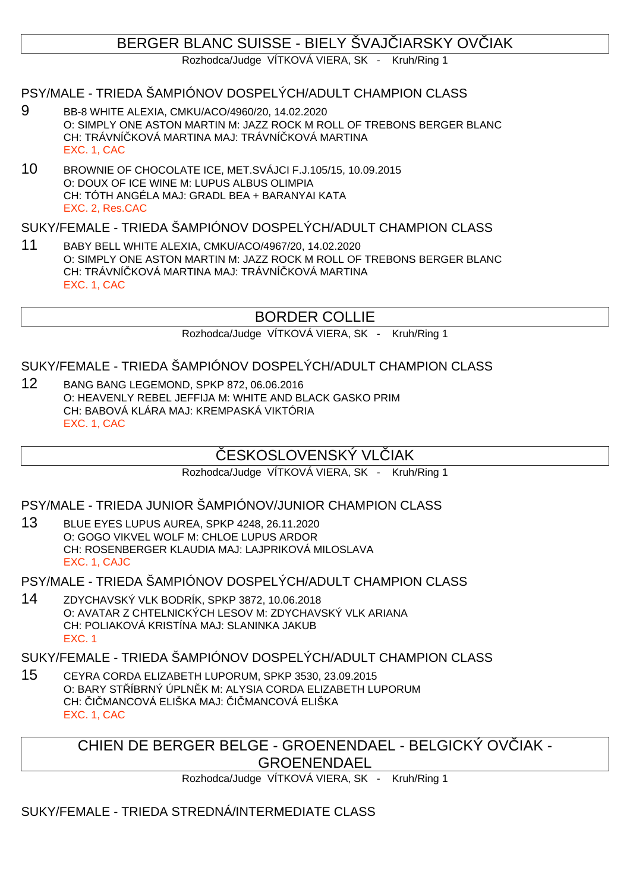## BERGER BLANC SUISSE - BIELY ŠVAJ IARSKY OVIJAK

Rozhodca/Judge VÍTKOVÁ VIERA, SK - Kruh/Ring 1

#### PSY/MALE - TRIEDA ŠAMPIÓNOV DOSPELÝCH/ADULT CHAMPION CLASS

- 9 BB-8 WHITE ALEXIA, CMKU/ACO/4960/20, 14.02.2020 O: SIMPLY ONE ASTON MARTIN M: JAZZ ROCK M ROLL OF TREBONS BERGER BLANC CH: TRÁVNÍ KOVÁ MARTINA MAJ: TRÁVNÍ KOVÁ MARTINA EXC. 1, CAC
- 10 BROWNIE OF CHOCOLATE ICE, MET.SVÁJCI F.J.105/15, 10.09.2015 O: DOUX OF ICE WINE M: LUPUS ALBUS OLIMPIA CH: TÓTH ANGÉLA MAJ: GRADL BEA + BARANYAI KATA EXC. 2, Res.CAC

#### SUKY/FEMALE - TRIEDA ŠAMPIÓNOV DOSPELÝCH/ADULT CHAMPION CLASS

11 BABY BELL WHITE ALEXIA, CMKU/ACO/4967/20, 14.02.2020 O: SIMPLY ONE ASTON MARTIN M: JAZZ ROCK M ROLL OF TREBONS BERGER BLANC CH: TRÁVNÍ KOVÁ MARTINA MAJ: TRÁVNÍ KOVÁ MARTINA EXC. 1, CAC

## BORDER COLLIE

Rozhodca/Judge VÍTKOVÁ VIERA, SK - Kruh/Ring 1

#### SUKY/FEMALE - TRIEDA ŠAMPIÓNOV DOSPELÝCH/ADULT CHAMPION CLASS

12 BANG BANG LEGEMOND, SPKP 872, 06.06.2016 O: HEAVENLY REBEL JEFFIJA M: WHITE AND BLACK GASKO PRIM CH: BABOVÁ KLÁRA MAJ: KREMPASKÁ VIKTÓRIA EXC. 1, CAC

## ESKOSLOVENSKÝ VL JAK

Rozhodca/Judge VÍTKOVÁ VIERA, SK - Kruh/Ring 1

PSY/MALE - TRIEDA JUNIOR ŠAMPIÓNOV/JUNIOR CHAMPION CLASS

13 BLUE EYES LUPUS AUREA, SPKP 4248, 26.11.2020 O: GOGO VIKVEL WOLF M: CHLOE LUPUS ARDOR CH: ROSENBERGER KLAUDIA MAJ: LAJPRIKOVÁ MILOSLAVA EXC. 1, CAJC

PSY/MALE - TRIEDA ŠAMPIÓNOV DOSPELÝCH/ADULT CHAMPION CLASS

14 ZDYCHAVSKÝ VLK BODRÍK, SPKP 3872, 10.06.2018 O: AVATAR Z CHTELNICKÝCH LESOV M: ZDYCHAVSKÝ VLK ARIANA CH: POLIAKOVÁ KRISTÍNA MAJ: SLANINKA JAKUB EXC. 1

SUKY/FEMALE - TRIEDA ŠAMPIÓNOV DOSPELÝCH/ADULT CHAMPION CLASS

15 CEYRA CORDA ELIZABETH LUPORUM, SPKP 3530, 23.09.2015 O: BARY STÍBRNÝ ÚPLNK M: ALYSIA CORDA ELIZABETH LUPORUM CH: I MANCOVÁ ELIŠKA MAJ: I MANCOVÁ ELIŠKA EXC. 1, CAC

> CHIEN DE BERGER BELGE - GROENENDAEL - BELGICKÝ OVÍJAK -**GROENENDAEL**

> > Rozhodca/Judge VÍTKOVÁ VIERA, SK - Kruh/Ring 1

SUKY/FEMALE - TRIEDA STREDNÁ/INTERMEDIATE CLASS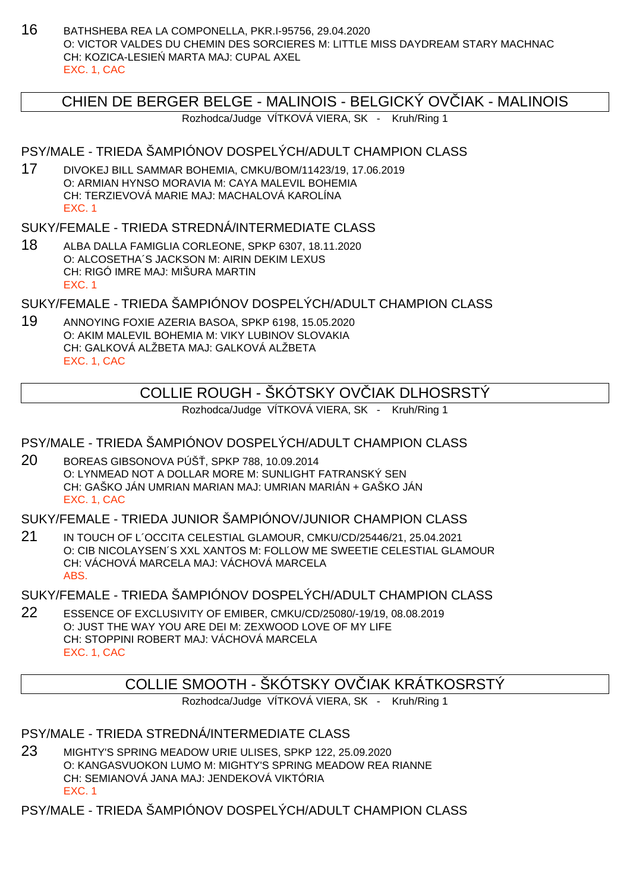16 BATHSHEBA REA LA COMPONELLA, PKR.I-95756, 29.04.2020 O: VICTOR VALDES DU CHEMIN DES SORCIERES M: LITTLE MISS DAYDREAM STARY MACHNAC CH: KOZICA-LESIE MARTA MAJ: CUPAL AXEL EXC. 1, CAC

#### CHIEN DE BERGER BELGE - MALINOIS - BELGICKÝ OVČIAK - MALINOIS

Rozhodca/Judge VÍTKOVÁ VIERA, SK - Kruh/Ring 1

## PSY/MALE - TRIEDA ŠAMPIÓNOV DOSPELÝCH/ADULT CHAMPION CLASS

17 DIVOKEJ BILL SAMMAR BOHEMIA, CMKU/BOM/11423/19, 17.06.2019 O: ARMIAN HYNSO MORAVIA M: CAYA MALEVIL BOHEMIA CH: TERZIEVOVÁ MARIE MAJ: MACHALOVÁ KAROLÍNA EXC. 1

#### SUKY/FEMALE - TRIEDA STREDNÁ/INTERMEDIATE CLASS

18 ALBA DALLA FAMIGLIA CORLEONE, SPKP 6307, 18.11.2020 O: ALCOSETHA´S JACKSON M: AIRIN DEKIM LEXUS CH: RIGÓ IMRE MAJ: MIŠURA MARTIN EXC. 1

SUKY/FEMALE - TRIEDA ŠAMPIÓNOV DOSPELÝCH/ADULT CHAMPION CLASS

19 ANNOYING FOXIE AZERIA BASOA, SPKP 6198, 15.05.2020 O: AKIM MALEVIL BOHEMIA M: VIKY LUBINOV SLOVAKIA CH: GALKOVÁ ALŽBETA MAJ: GALKOVÁ ALŽBETA EXC. 1, CAC

## COLLIE ROUGH - ŠKÓTSKY OV $\;$ IAK DLHOSRSTÝ

Rozhodca/Judge VÍTKOVÁ VIERA, SK - Kruh/Ring 1

#### PSY/MALE - TRIEDA ŠAMPIÓNOV DOSPELÝCH/ADULT CHAMPION CLASS

20 BOREAS GIBSONOVA PÚŠ, SPKP 788, 10.09.2014 O: LYNMEAD NOT A DOLLAR MORE M: SUNLIGHT FATRANSKÝ SEN CH: GAŠKO JÁN UMRIAN MARIAN MAJ: UMRIAN MARIÁN + GAŠKO JÁN EXC. 1, CAC

#### SUKY/FEMALE - TRIEDA JUNIOR ŠAMPIÓNOV/JUNIOR CHAMPION CLASS

21 IN TOUCH OF L´OCCITA CELESTIAL GLAMOUR, CMKU/CD/25446/21, 25.04.2021 O: CIB NICOLAYSEN´S XXL XANTOS M: FOLLOW ME SWEETIE CELESTIAL GLAMOUR CH: VÁCHOVÁ MARCELA MAJ: VÁCHOVÁ MARCELA ABS.

SUKY/FEMALE - TRIEDA ŠAMPIÓNOV DOSPELÝCH/ADULT CHAMPION CLASS

22 ESSENCE OF EXCLUSIVITY OF EMIBER, CMKU/CD/25080/-19/19, 08.08.2019 O: JUST THE WAY YOU ARE DEI M: ZEXWOOD LOVE OF MY LIFE CH: STOPPINI ROBERT MAJ: VÁCHOVÁ MARCELA EXC. 1, CAC

### COLLIE SMOOTH - ŠKÓTSKY OV IAK KRÁTKOSRSTÝ

Rozhodca/Judge VÍTKOVÁ VIERA, SK - Kruh/Ring 1

#### PSY/MALE - TRIEDA STREDNÁ/INTERMEDIATE CLASS

23 MIGHTY'S SPRING MEADOW URIE ULISES, SPKP 122, 25.09.2020 O: KANGASVUOKON LUMO M: MIGHTY'S SPRING MEADOW REA RIANNE CH: SEMIANOVÁ JANA MAJ: JENDEKOVÁ VIKTÓRIA EXC. 1

PSY/MALE - TRIEDA ŠAMPIÓNOV DOSPELÝCH/ADULT CHAMPION CLASS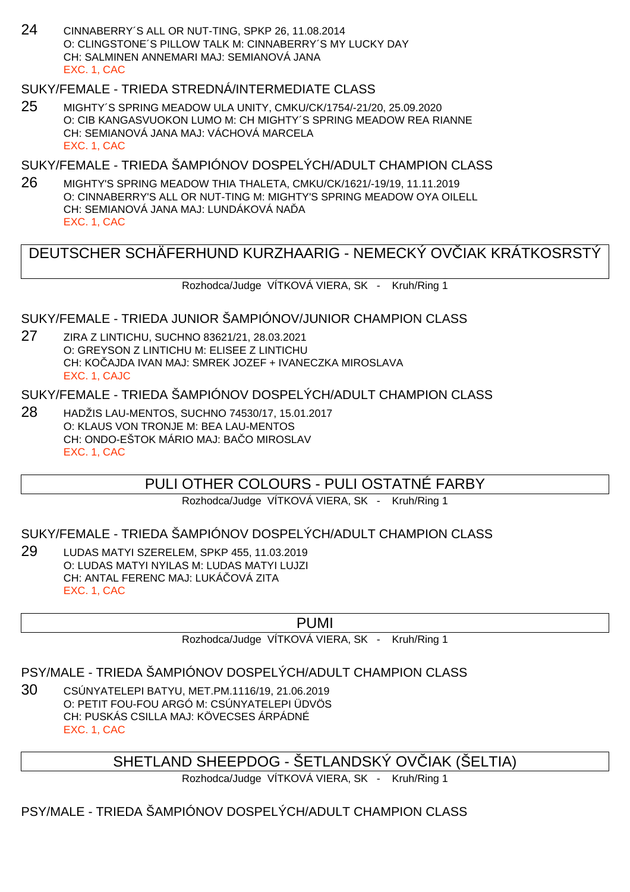24 CINNABERRY´S ALL OR NUT-TING, SPKP 26, 11.08.2014 O: CLINGSTONE´S PILLOW TALK M: CINNABERRY´S MY LUCKY DAY CH: SALMINEN ANNEMARI MAJ: SEMIANOVÁ JANA EXC. 1, CAC

#### SUKY/FEMALE - TRIEDA STREDNÁ/INTERMEDIATE CLASS

25 MIGHTY´S SPRING MEADOW ULA UNITY, CMKU/CK/1754/-21/20, 25.09.2020 O: CIB KANGASVUOKON LUMO M: CH MIGHTY´S SPRING MEADOW REA RIANNE CH: SEMIANOVÁ JANA MAJ: VÁCHOVÁ MARCELA EXC. 1, CAC

SUKY/FEMALE - TRIEDA ŠAMPIÓNOV DOSPELÝCH/ADULT CHAMPION CLASS

26 MIGHTY'S SPRING MEADOW THIA THALETA, CMKU/CK/1621/-19/19, 11.11.2019 O: CINNABERRY'S ALL OR NUT-TING M: MIGHTY'S SPRING MEADOW OYA OILELL CH: SEMIANOVÁ JANA MAJ: LUNDÁKOVÁ NA DA EXC. 1, CAC

## DEUTSCHER SCHÄFERHUND KURZHAARIG - NEMECKÝ OVČIAK KRÁTKOSRSTÝ

Rozhodca/Judge VÍTKOVÁ VIERA, SK - Kruh/Ring 1

SUKY/FEMALE - TRIEDA JUNIOR ŠAMPIÓNOV/JUNIOR CHAMPION CLASS

27 ZIRA Z LINTICHU, SUCHNO 83621/21, 28.03.2021 O: GREYSON Z LINTICHU M: ELISEE Z LINTICHU CH: KOČAJDA IVAN MAJ: SMREK JOZEF + IVANECZKA MIROSLAVA EXC. 1, CAJC

SUKY/FEMALE - TRIEDA ŠAMPIÓNOV DOSPELÝCH/ADULT CHAMPION CLASS

28 HADŽIS LAU-MENTOS, SUCHNO 74530/17, 15.01.2017 O: KLAUS VON TRONJE M: BEA LAU-MENTOS CH: ONDO-EŠTOK MÁRIO MAJ: BA O MIROSLAV EXC. 1, CAC

PULI OTHER COLOURS - PULI OSTATNÉ FARBY

Rozhodca/Judge VÍTKOVÁ VIERA, SK - Kruh/Ring 1

#### SUKY/FEMALE - TRIEDA ŠAMPIÓNOV DOSPELÝCH/ADULT CHAMPION CLASS

29 LUDAS MATYI SZERELEM, SPKP 455, 11.03.2019 O: LUDAS MATYI NYILAS M: LUDAS MATYI LUJZI CH: ANTAL FERENC MAJ: LUKÁ OVÁ ZITA EXC. 1, CAC

#### PUMI

Rozhodca/Judge VÍTKOVÁ VIERA, SK - Kruh/Ring 1

## PSY/MALE - TRIEDA ŠAMPIÓNOV DOSPELÝCH/ADULT CHAMPION CLASS

30 CSÚNYATELEPI BATYU, MET.PM.1116/19, 21.06.2019 O: PETIT FOU-FOU ARGÓ M: CSÚNYATELEPI ÜDVÖS CH: PUSKÁS CSILLA MAJ: KÖVECSES ÁRPÁDNÉ EXC. 1, CAC

## SHETLAND SHEEPDOG - ŠETLANDSKÝ OVIJAK (ŠELTIA)

Rozhodca/Judge VÍTKOVÁ VIERA, SK - Kruh/Ring 1

### PSY/MALE - TRIEDA ŠAMPIÓNOV DOSPELÝCH/ADULT CHAMPION CLASS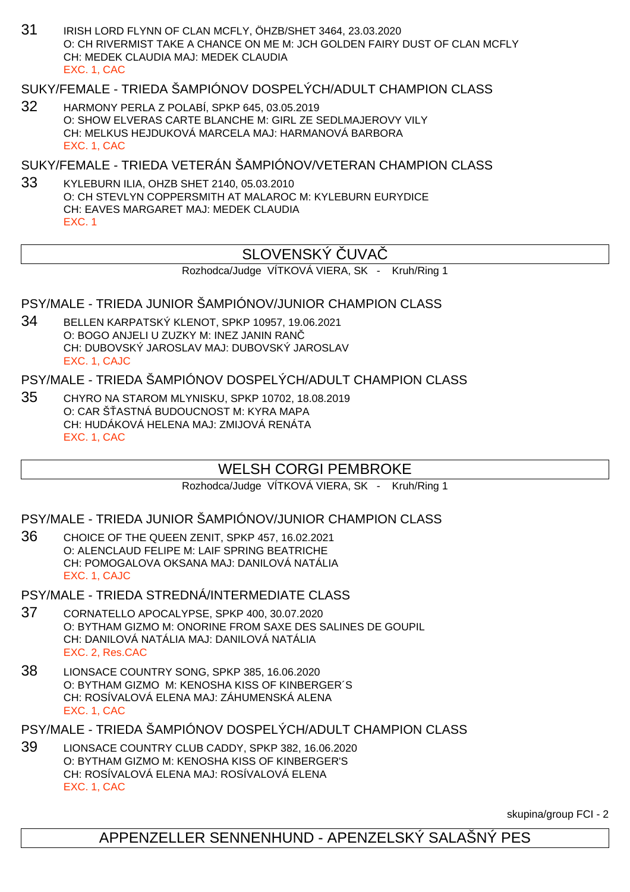31 IRISH LORD FLYNN OF CLAN MCFLY, ÖHZB/SHET 3464, 23.03.2020 O: CH RIVERMIST TAKE A CHANCE ON ME M: JCH GOLDEN FAIRY DUST OF CLAN MCFLY CH: MEDEK CLAUDIA MAJ: MEDEK CLAUDIA EXC. 1, CAC

#### SUKY/FEMALE - TRIEDA ŠAMPIÓNOV DOSPELÝCH/ADULT CHAMPION CLASS

32 HARMONY PERLA Z POLABÍ, SPKP 645, 03.05.2019 O: SHOW ELVERAS CARTE BLANCHE M: GIRL ZE SEDLMAJEROVY VILY CH: MELKUS HEJDUKOVÁ MARCELA MAJ: HARMANOVÁ BARBORA EXC. 1, CAC

SUKY/FEMALE - TRIEDA VETERÁN ŠAMPIÓNOV/VETERAN CHAMPION CLASS

33 KYLEBURN ILIA, OHZB SHET 2140, 05.03.2010 O: CH STEVLYN COPPERSMITH AT MALAROC M: KYLEBURN EURYDICE CH: EAVES MARGARET MAJ: MEDEK CLAUDIA EXC. 1

## SLOVENSKÝ UVA

Rozhodca/Judge VÍTKOVÁ VIERA, SK - Kruh/Ring 1

#### PSY/MALE - TRIEDA JUNIOR ŠAMPIÓNOV/JUNIOR CHAMPION CLASS

34 BELLEN KARPATSKÝ KLENOT, SPKP 10957, 19.06.2021 O: BOGO ANJELI U ZUZKY M: INEZ JANIN RANČ CH: DUBOVSKÝ JAROSLAV MAJ: DUBOVSKÝ JAROSLAV EXC. 1, CAJC

PSY/MALE - TRIEDA ŠAMPIÓNOV DOSPELÝCH/ADULT CHAMPION CLASS

35 CHYRO NA STAROM MLYNISKU, SPKP 10702, 18.08.2019 O: CAR Š ASTNÁ BUDOUCNOST M: KYRA MAPA CH: HUDÁKOVÁ HELENA MAJ: ZMIJOVÁ RENÁTA EXC. 1, CAC

## WELSH CORGI PEMBROKE

Rozhodca/Judge VÍTKOVÁ VIERA, SK - Kruh/Ring 1

PSY/MALE - TRIEDA JUNIOR ŠAMPIÓNOV/JUNIOR CHAMPION CLASS

36 CHOICE OF THE QUEEN ZENIT, SPKP 457, 16.02.2021 O: ALENCLAUD FELIPE M: LAIF SPRING BEATRICHE CH: POMOGALOVA OKSANA MAJ: DANILOVÁ NATÁLIA EXC. 1, CAJC

PSY/MALE - TRIEDA STREDNÁ/INTERMEDIATE CLASS

- 37 CORNATELLO APOCALYPSE, SPKP 400, 30.07.2020 O: BYTHAM GIZMO M: ONORINE FROM SAXE DES SALINES DE GOUPIL CH: DANILOVÁ NATÁLIA MAJ: DANILOVÁ NATÁLIA EXC. 2, Res.CAC
- 38 LIONSACE COUNTRY SONG, SPKP 385, 16.06.2020 O: BYTHAM GIZMO M: KENOSHA KISS OF KINBERGER´S CH: ROSÍVALOVÁ ELENA MAJ: ZÁHUMENSKÁ ALENA EXC. 1, CAC

PSY/MALE - TRIEDA ŠAMPIÓNOV DOSPELÝCH/ADULT CHAMPION CLASS

39 LIONSACE COUNTRY CLUB CADDY, SPKP 382, 16.06.2020 O: BYTHAM GIZMO M: KENOSHA KISS OF KINBERGER'S CH: ROSÍVALOVÁ ELENA MAJ: ROSÍVALOVÁ ELENA EXC. 1, CAC

skupina/group FCI - 2

## APPENZELLER SENNENHUND - APENZELSKÝ SALAŠNÝ PES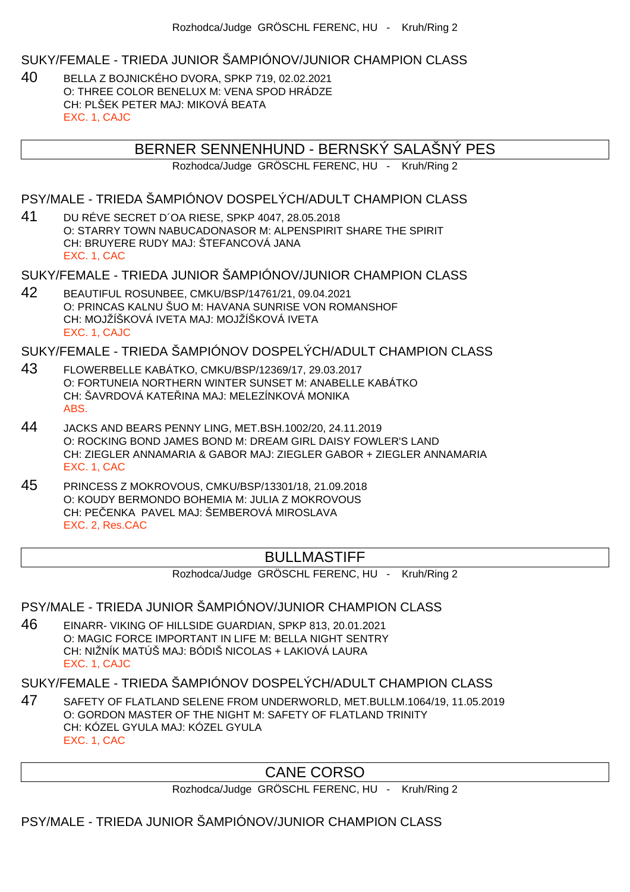SUKY/FEMALE - TRIEDA JUNIOR ŠAMPIÓNOV/JUNIOR CHAMPION CLASS

40 BELLA Z BOJNICKÉHO DVORA, SPKP 719, 02.02.2021 O: THREE COLOR BENELUX M: VENA SPOD HRÁDZE CH: PLŠEK PETER MAJ: MIKOVÁ BEATA EXC. 1, CAJC

## BERNER SENNENHUND - BERNSKÝ SALAŠNÝ PES

Rozhodca/Judge GRÖSCHL FERENC, HU - Kruh/Ring 2

PSY/MALE - TRIEDA ŠAMPIÓNOV DOSPELÝCH/ADULT CHAMPION CLASS

41 DU RÉVE SECRET D´OA RIESE, SPKP 4047, 28.05.2018 O: STARRY TOWN NABUCADONASOR M: ALPENSPIRIT SHARE THE SPIRIT CH: BRUYERE RUDY MAJ: ŠTEFANCOVÁ JANA EXC. 1, CAC

SUKY/FEMALE - TRIEDA JUNIOR ŠAMPIÓNOV/JUNIOR CHAMPION CLASS

42 BEAUTIFUL ROSUNBEE, CMKU/BSP/14761/21, 09.04.2021 O: PRINCAS KALNU ŠUO M: HAVANA SUNRISE VON ROMANSHOF CH: MOJŽÍŠKOVÁ IVETA MAJ: MOJŽÍŠKOVÁ IVETA EXC. 1, CAJC

SUKY/FEMALE - TRIEDA ŠAMPIÓNOV DOSPELÝCH/ADULT CHAMPION CLASS

- 43 FLOWERBELLE KABÁTKO, CMKU/BSP/12369/17, 29.03.2017 O: FORTUNEIA NORTHERN WINTER SUNSET M: ANABELLE KABÁTKO CH: ŠAVRDOVÁ KATELINA MAJ: MELEZÍNKOVÁ MONIKA ABS.
- 44 JACKS AND BEARS PENNY LING, MET.BSH.1002/20, 24.11.2019 O: ROCKING BOND JAMES BOND M: DREAM GIRL DAISY FOWLER'S LAND CH: ZIEGLER ANNAMARIA & GABOR MAJ: ZIEGLER GABOR + ZIEGLER ANNAMARIA EXC. 1, CAC
- 45 PRINCESS Z MOKROVOUS, CMKU/BSP/13301/18, 21.09.2018 O: KOUDY BERMONDO BOHEMIA M: JULIA Z MOKROVOUS CH: PE ENKA PAVEL MAJ: ŠEMBEROVÁ MIROSLAVA EXC. 2, Res.CAC

### BULLMASTIFF

Rozhodca/Judge GRÖSCHL FERENC, HU - Kruh/Ring 2

#### PSY/MALE - TRIEDA JUNIOR ŠAMPIÓNOV/JUNIOR CHAMPION CLASS

46 EINARR- VIKING OF HILLSIDE GUARDIAN, SPKP 813, 20.01.2021 O: MAGIC FORCE IMPORTANT IN LIFE M: BELLA NIGHT SENTRY CH: NIŽNÍK MATÚŠ MAJ: BÓDIŠ NICOLAS + LAKIOVÁ LAURA EXC. 1, CAJC

SUKY/FEMALE - TRIEDA ŠAMPIÓNOV DOSPELÝCH/ADULT CHAMPION CLASS

47 SAFETY OF FLATLAND SELENE FROM UNDERWORLD, MET.BULLM.1064/19, 11.05.2019 O: GORDON MASTER OF THE NIGHT M: SAFETY OF FLATLAND TRINITY CH: KÓZEL GYULA MAJ: KÓZEL GYULA EXC. 1, CAC

## CANE CORSO

Rozhodca/Judge GRÖSCHL FERENC, HU - Kruh/Ring 2

PSY/MALE - TRIEDA JUNIOR ŠAMPIÓNOV/JUNIOR CHAMPION CLASS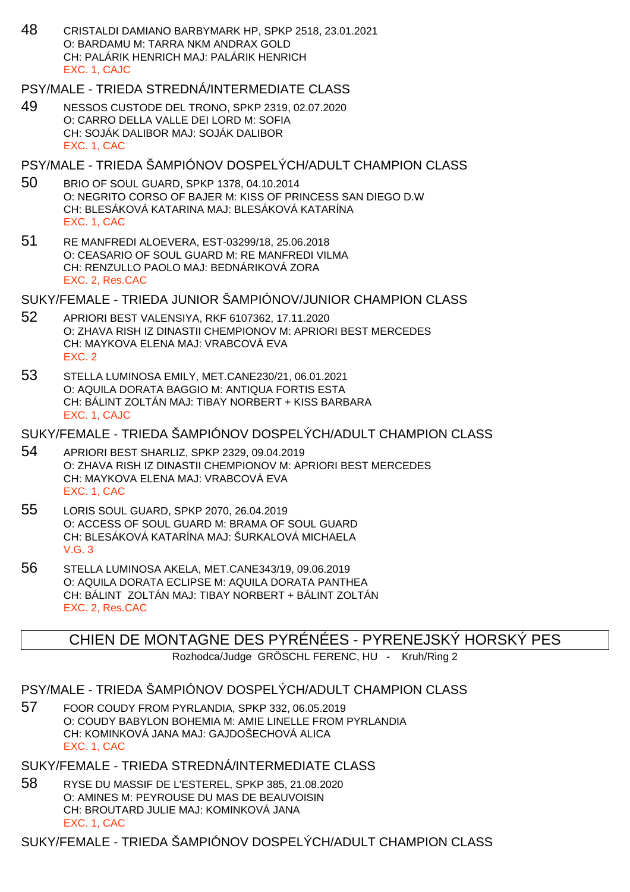48 CRISTALDI DAMIANO BARBYMARK HP, SPKP 2518, 23.01.2021 O: BARDAMU M: TARRA NKM ANDRAX GOLD CH: PALÁRIK HENRICH MAJ: PALÁRIK HENRICH EXC. 1, CAJC

PSY/MALE - TRIEDA STREDNÁ/INTERMEDIATE CLASS

- 49 NESSOS CUSTODE DEL TRONO, SPKP 2319, 02.07.2020 O: CARRO DELLA VALLE DEI LORD M: SOFIA CH: SOJÁK DALIBOR MAJ: SOJÁK DALIBOR EXC. 1, CAC
- PSY/MALE TRIEDA ŠAMPIÓNOV DOSPELÝCH/ADULT CHAMPION CLASS
- 50 BRIO OF SOUL GUARD, SPKP 1378, 04.10.2014 O: NEGRITO CORSO OF BAJER M: KISS OF PRINCESS SAN DIEGO D.W CH: BLESÁKOVÁ KATARINA MAJ: BLESÁKOVÁ KATARÍNA EXC. 1, CAC
- 51 RE MANFREDI ALOEVERA, EST-03299/18, 25.06.2018 O: CEASARIO OF SOUL GUARD M: RE MANFREDI VILMA CH: RENZULLO PAOLO MAJ: BEDNÁRIKOVÁ ZORA EXC. 2, Res.CAC

SUKY/FEMALE - TRIEDA JUNIOR ŠAMPIÓNOV/JUNIOR CHAMPION CLASS

- 52 APRIORI BEST VALENSIYA, RKF 6107362, 17.11.2020 O: ZHAVA RISH IZ DINASTII CHEMPIONOV M: APRIORI BEST MERCEDES CH: MAYKOVA ELENA MAJ: VRABCOVÁ EVA EXC. 2
- 53 STELLA LUMINOSA EMILY, MET.CANE230/21, 06.01.2021 O: AQUILA DORATA BAGGIO M: ANTIQUA FORTIS ESTA CH: BÁLINT ZOLTÁN MAJ: TIBAY NORBERT + KISS BARBARA EXC. 1, CAJC

SUKY/FEMALE - TRIEDA ŠAMPIÓNOV DOSPELÝCH/ADULT CHAMPION CLASS

- 54 APRIORI BEST SHARLIZ, SPKP 2329, 09.04.2019 O: ZHAVA RISH IZ DINASTII CHEMPIONOV M: APRIORI BEST MERCEDES CH: MAYKOVA ELENA MAJ: VRABCOVÁ EVA EXC. 1, CAC
- 55 LORIS SOUL GUARD, SPKP 2070, 26.04.2019 O: ACCESS OF SOUL GUARD M: BRAMA OF SOUL GUARD CH: BLESÁKOVÁ KATARÍNA MAJ: ŠURKALOVÁ MICHAELA V.G. 3
- 56 STELLA LUMINOSA AKELA, MET.CANE343/19, 09.06.2019 O: AQUILA DORATA ECLIPSE M: AQUILA DORATA PANTHEA CH: BÁLINT ZOLTÁN MAJ: TIBAY NORBERT + BÁLINT ZOLTÁN EXC. 2, Res.CAC

CHIEN DE MONTAGNE DES PYRÉNÉES - PYRENEJSKÝ HORSKÝ PES

Rozhodca/Judge GRÖSCHL FERENC, HU - Kruh/Ring 2

- PSY/MALE TRIEDA ŠAMPIÓNOV DOSPELÝCH/ADULT CHAMPION CLASS
- 57 FOOR COUDY FROM PYRLANDIA, SPKP 332, 06.05.2019 O: COUDY BABYLON BOHEMIA M: AMIE LINELLE FROM PYRLANDIA CH: KOMINKOVÁ JANA MAJ: GAJDOŠECHOVÁ ALICA EXC. 1, CAC

SUKY/FEMALE - TRIEDA STREDNÁ/INTERMEDIATE CLASS

58 RYSE DU MASSIF DE L'ESTEREL, SPKP 385, 21.08.2020 O: AMINES M: PEYROUSE DU MAS DE BEAUVOISIN CH: BROUTARD JULIE MAJ: KOMINKOVÁ JANA EXC. 1, CAC

SUKY/FEMALE - TRIEDA ŠAMPIÓNOV DOSPELÝCH/ADULT CHAMPION CLASS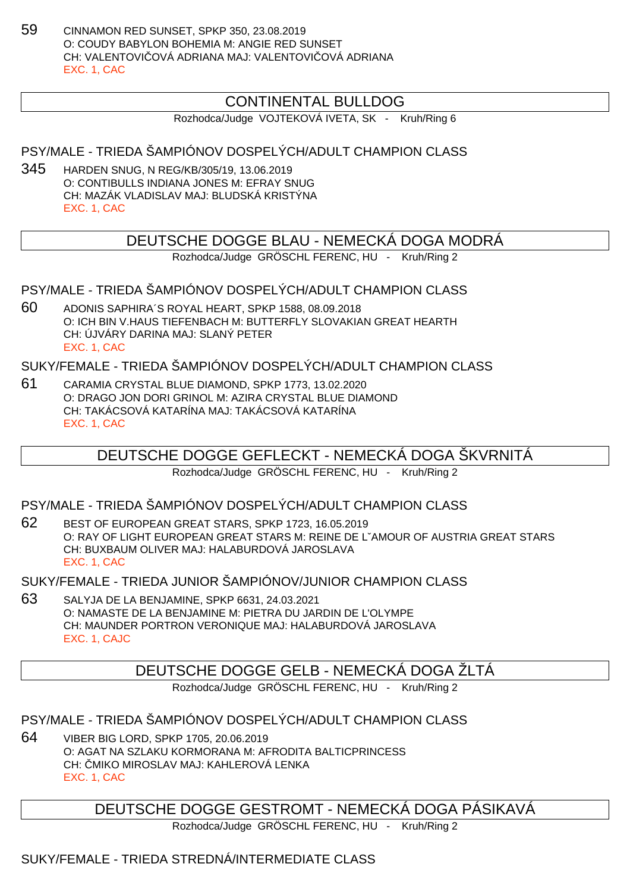59 CINNAMON RED SUNSET, SPKP 350, 23.08.2019 O: COUDY BABYLON BOHEMIA M: ANGIE RED SUNSET CH: VALENTOVICOVÁ ADRIANA MAJ: VALENTOVICOVÁ ADRIANA EXC. 1, CAC

## CONTINENTAL BULLDOG

Rozhodca/Judge VOJTEKOVÁ IVETA, SK - Kruh/Ring 6

PSY/MALE - TRIEDA ŠAMPIÓNOV DOSPELÝCH/ADULT CHAMPION CLASS

345 HARDEN SNUG, N REG/KB/305/19, 13.06.2019 O: CONTIBULLS INDIANA JONES M: EFRAY SNUG CH: MAZÁK VLADISLAV MAJ: BLUDSKÁ KRISTÝNA EXC. 1, CAC

## DEUTSCHE DOGGE BLAU - NEMECKÁ DOGA MODRÁ

Rozhodca/Judge GRÖSCHL FERENC, HU - Kruh/Ring 2

PSY/MALE - TRIEDA ŠAMPIÓNOV DOSPELÝCH/ADULT CHAMPION CLASS

60 ADONIS SAPHIRA´S ROYAL HEART, SPKP 1588, 08.09.2018 O: ICH BIN V.HAUS TIEFENBACH M: BUTTERFLY SLOVAKIAN GREAT HEARTH CH: ÚJVÁRY DARINA MAJ: SLANÝ PETER EXC. 1, CAC

SUKY/FEMALE - TRIEDA ŠAMPIÓNOV DOSPELÝCH/ADULT CHAMPION CLASS

61 CARAMIA CRYSTAL BLUE DIAMOND, SPKP 1773, 13.02.2020 O: DRAGO JON DORI GRINOL M: AZIRA CRYSTAL BLUE DIAMOND CH: TAKÁCSOVÁ KATARÍNA MAJ: TAKÁCSOVÁ KATARÍNA EXC. 1, CAC

DEUTSCHE DOGGE GEFLECKT - NEMECKÁ DOGA ŠKVRNITÁ

Rozhodca/Judge GRÖSCHL FERENC, HU - Kruh/Ring 2

PSY/MALE - TRIEDA ŠAMPIÓNOV DOSPELÝCH/ADULT CHAMPION CLASS

62 BEST OF EUROPEAN GREAT STARS, SPKP 1723, 16.05.2019 O: RAY OF LIGHT EUROPEAN GREAT STARS M: REINE DE LˇAMOUR OF AUSTRIA GREAT STARS CH: BUXBAUM OLIVER MAJ: HALABURDOVÁ JAROSLAVA EXC. 1, CAC

SUKY/FEMALE - TRIEDA JUNIOR ŠAMPIÓNOV/JUNIOR CHAMPION CLASS

63 SALYJA DE LA BENJAMINE, SPKP 6631, 24.03.2021 O: NAMASTE DE LA BENJAMINE M: PIETRA DU JARDIN DE L'OLYMPE CH: MAUNDER PORTRON VERONIQUE MAJ: HALABURDOVÁ JAROSLAVA EXC. 1, CAJC

DEUTSCHE DOGGE GELB - NEMECKÁ DOGA ŽLTÁ

Rozhodca/Judge GRÖSCHL FERENC, HU - Kruh/Ring 2

PSY/MALE - TRIEDA ŠAMPIÓNOV DOSPELÝCH/ADULT CHAMPION CLASS

64 VIBER BIG LORD, SPKP 1705, 20.06.2019 O: AGAT NA SZLAKU KORMORANA M: AFRODITA BALTICPRINCESS CH: MIKO MIROSLAV MAJ: KAHLEROVÁ LENKA EXC. 1, CAC

DEUTSCHE DOGGE GESTROMT - NEMECKÁ DOGA PÁSIKAVÁ

Rozhodca/Judge GRÖSCHL FERENC, HU - Kruh/Ring 2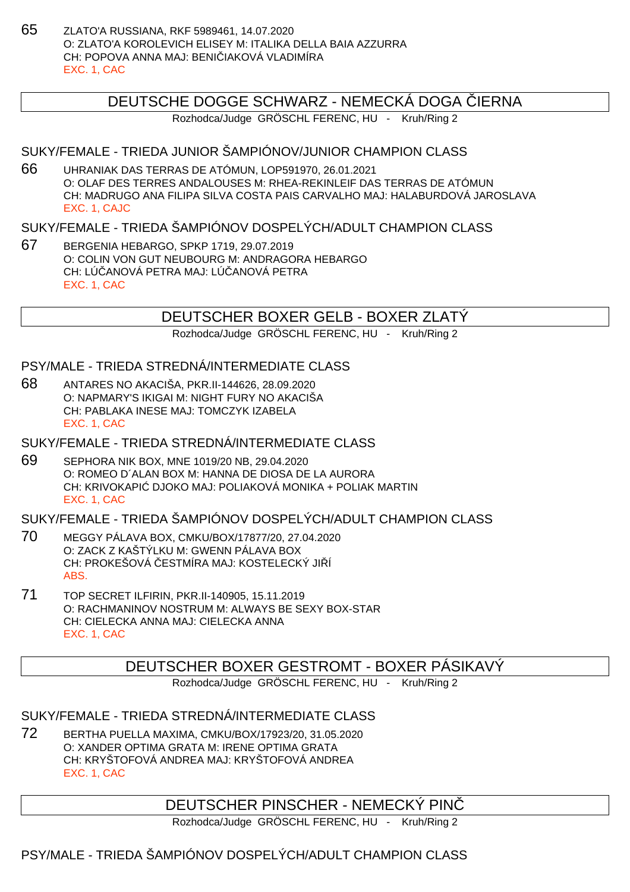65 ZLATO'A RUSSIANA, RKF 5989461, 14.07.2020 O: ZLATO'A KOROLEVICH ELISEY M: ITALIKA DELLA BAIA AZZURRA CH: POPOVA ANNA MAJ: BENI JAKOVÁ VLADIMÍRA EXC. 1, CAC

### DEUTSCHE DOGGE SCHWARZ - NEMECKÁ DOGA LIERNA

Rozhodca/Judge GRÖSCHL FERENC, HU - Kruh/Ring 2

#### SUKY/FEMALE - TRIEDA JUNIOR ŠAMPIÓNOV/JUNIOR CHAMPION CLASS

66 UHRANIAK DAS TERRAS DE ATÓMUN, LOP591970, 26.01.2021 O: OLAF DES TERRES ANDALOUSES M: RHEA-REKINLEIF DAS TERRAS DE ATÓMUN CH: MADRUGO ANA FILIPA SILVA COSTA PAIS CARVALHO MAJ: HALABURDOVÁ JAROSLAVA EXC. 1, CAJC

#### SUKY/FEMALE - TRIEDA ŠAMPIÓNOV DOSPELÝCH/ADULT CHAMPION CLASS

67 BERGENIA HEBARGO, SPKP 1719, 29.07.2019 O: COLIN VON GUT NEUBOURG M: ANDRAGORA HEBARGO CH: LÚČANOVÁ PETRA MAJ: LÚČANOVÁ PETRA EXC. 1, CAC

## DEUTSCHER BOXER GELB - BOXER ZLATÝ

Rozhodca/Judge GRÖSCHL FERENC, HU - Kruh/Ring 2

#### PSY/MALE - TRIEDA STREDNÁ/INTERMEDIATE CLASS

68 ANTARES NO AKACIŠA, PKR.II-144626, 28.09.2020 O: NAPMARY'S IKIGAI M: NIGHT FURY NO AKACIŠA CH: PABLAKA INESE MAJ: TOMCZYK IZABELA EXC. 1, CAC

SUKY/FEMALE - TRIEDA STREDNÁ/INTERMEDIATE CLASS

69 SEPHORA NIK BOX, MNE 1019/20 NB, 29.04.2020 O: ROMEO D´ALAN BOX M: HANNA DE DIOSA DE LA AURORA CH: KRIVOKAPI DJOKO MAJ: POLIAKOVÁ MONIKA + POLIAK MARTIN EXC. 1, CAC

SUKY/FEMALE - TRIEDA ŠAMPIÓNOV DOSPELÝCH/ADULT CHAMPION CLASS

- 70 MEGGY PÁLAVA BOX, CMKU/BOX/17877/20, 27.04.2020 O: ZACK Z KAŠTÝLKU M: GWENN PÁLAVA BOX CH: PROKEŠOVÁ ESTMÍRA MAJ: KOSTELECKÝ JI Í ABS.
- 71 TOP SECRET ILFIRIN, PKR.II-140905, 15.11.2019 O: RACHMANINOV NOSTRUM M: ALWAYS BE SEXY BOX-STAR CH: CIELECKA ANNA MAJ: CIELECKA ANNA EXC. 1, CAC

### DEUTSCHER BOXER GESTROMT - BOXER PÁSIKAVÝ

Rozhodca/Judge GRÖSCHL FERENC, HU - Kruh/Ring 2

SUKY/FEMALE - TRIEDA STREDNÁ/INTERMEDIATE CLASS

72 BERTHA PUELLA MAXIMA, CMKU/BOX/17923/20, 31.05.2020 O: XANDER OPTIMA GRATA M: IRENE OPTIMA GRATA CH: KRYŠTOFOVÁ ANDREA MAJ: KRYŠTOFOVÁ ANDREA EXC. 1, CAC

### DEUTSCHER PINSCHER - NEMECKÝ PINČ

Rozhodca/Judge GRÖSCHL FERENC, HU - Kruh/Ring 2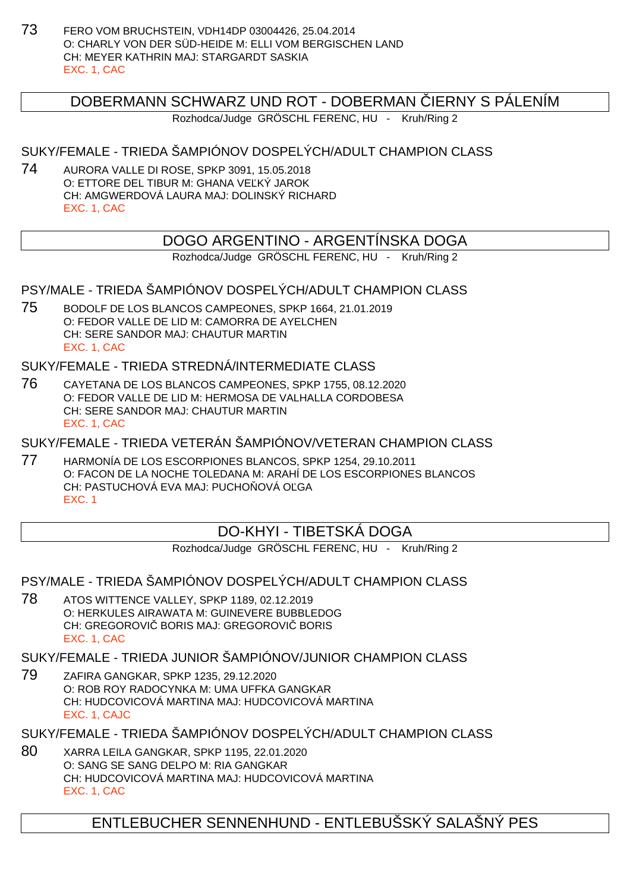73 FERO VOM BRUCHSTEIN, VDH14DP 03004426, 25.04.2014 O: CHARLY VON DER SÜD-HEIDE M: ELLI VOM BERGISCHEN LAND CH: MEYER KATHRIN MAJ: STARGARDT SASKIA EXC. 1, CAC

## DOBERMANN SCHWARZ UND ROT - DOBERMAN IERNY S PÁLENÍM

Rozhodca/Judge GRÖSCHL FERENC, HU - Kruh/Ring 2

SUKY/FEMALE - TRIEDA ŠAMPIÓNOV DOSPELÝCH/ADULT CHAMPION CLASS

74 AURORA VALLE DI ROSE, SPKP 3091, 15.05.2018 O: ETTORE DEL TIBUR M: GHANA VE KÝ JAROK CH: AMGWERDOVÁ LAURA MAJ: DOLINSKÝ RICHARD EXC. 1, CAC

## DOGO ARGENTINO - ARGENTÍNSKA DOGA

Rozhodca/Judge GRÖSCHL FERENC, HU - Kruh/Ring 2

PSY/MALE - TRIEDA ŠAMPIÓNOV DOSPELÝCH/ADULT CHAMPION CLASS

75 BODOLF DE LOS BLANCOS CAMPEONES, SPKP 1664, 21.01.2019 O: FEDOR VALLE DE LID M: CAMORRA DE AYELCHEN CH: SERE SANDOR MAJ: CHAUTUR MARTIN EXC. 1, CAC

SUKY/FEMALE - TRIEDA STREDNÁ/INTERMEDIATE CLASS

76 CAYETANA DE LOS BLANCOS CAMPEONES, SPKP 1755, 08.12.2020 O: FEDOR VALLE DE LID M: HERMOSA DE VALHALLA CORDOBESA CH: SERE SANDOR MAJ: CHAUTUR MARTIN EXC. 1, CAC

SUKY/FEMALE - TRIEDA VETERÁN ŠAMPIÓNOV/VETERAN CHAMPION CLASS

77 HARMONÍA DE LOS ESCORPIONES BLANCOS, SPKP 1254, 29.10.2011 O: FACON DE LA NOCHE TOLEDANA M: ARAHÍ DE LOS ESCORPIONES BLANCOS CH: PASTUCHOVÁ EVA MAJ: PUCHO OVÁ O GA EXC. 1

## DO-KHYI - TIBETSKÁ DOGA

Rozhodca/Judge GRÖSCHL FERENC, HU - Kruh/Ring 2

PSY/MALE - TRIEDA ŠAMPIÓNOV DOSPELÝCH/ADULT CHAMPION CLASS

78 ATOS WITTENCE VALLEY, SPKP 1189, 02.12.2019 O: HERKULES AIRAWATA M: GUINEVERE BUBBLEDOG CH: GREGOROVI BORIS MAJ: GREGOROVI BORIS EXC. 1, CAC

SUKY/FEMALE - TRIEDA JUNIOR ŠAMPIÓNOV/JUNIOR CHAMPION CLASS

79 ZAFIRA GANGKAR, SPKP 1235, 29.12.2020 O: ROB ROY RADOCYNKA M: UMA UFFKA GANGKAR CH: HUDCOVICOVÁ MARTINA MAJ: HUDCOVICOVÁ MARTINA EXC. 1, CAJC

SUKY/FEMALE - TRIEDA ŠAMPIÓNOV DOSPELÝCH/ADULT CHAMPION CLASS

80 XARRA LEILA GANGKAR, SPKP 1195, 22.01.2020 O: SANG SE SANG DELPO M: RIA GANGKAR CH: HUDCOVICOVÁ MARTINA MAJ: HUDCOVICOVÁ MARTINA EXC. 1, CAC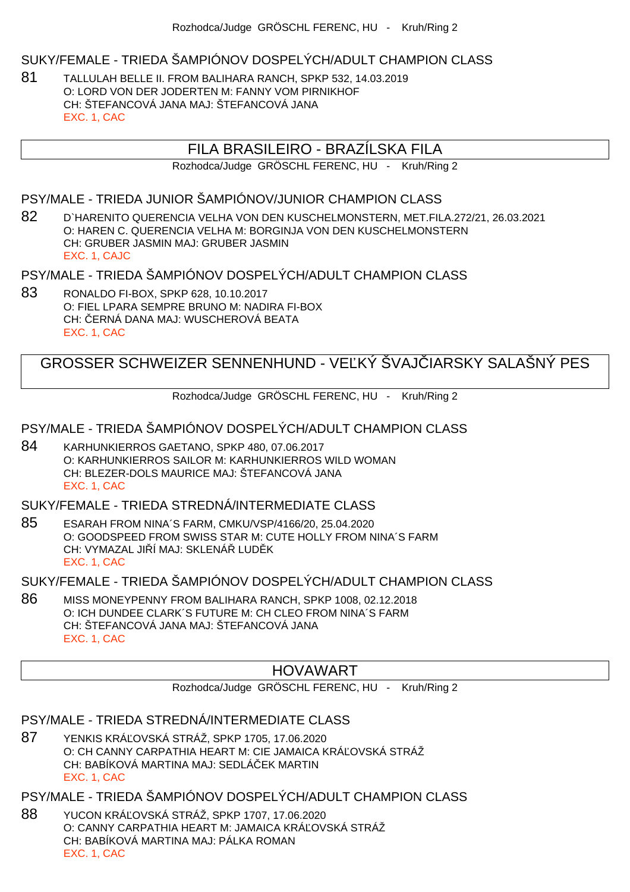#### SUKY/FEMALE - TRIEDA ŠAMPIÓNOV DOSPELÝCH/ADULT CHAMPION CLASS

81 TALLULAH BELLE II. FROM BALIHARA RANCH, SPKP 532, 14.03.2019 O: LORD VON DER JODERTEN M: FANNY VOM PIRNIKHOF CH: ŠTEFANCOVÁ JANA MAJ: ŠTEFANCOVÁ JANA EXC. 1, CAC

### FILA BRASILEIRO - BRAZÍLSKA FILA

Rozhodca/Judge GRÖSCHL FERENC, HU - Kruh/Ring 2

PSY/MALE - TRIEDA JUNIOR ŠAMPIÓNOV/JUNIOR CHAMPION CLASS

82 D`HARENITO QUERENCIA VELHA VON DEN KUSCHELMONSTERN, MET.FILA.272/21, 26.03.2021 O: HAREN C. QUERENCIA VELHA M: BORGINJA VON DEN KUSCHELMONSTERN CH: GRUBER JASMIN MAJ: GRUBER JASMIN EXC. 1, CAJC

PSY/MALE - TRIEDA ŠAMPIÓNOV DOSPELÝCH/ADULT CHAMPION CLASS

83 RONALDO FI-BOX, SPKP 628, 10.10.2017 O: FIEL LPARA SEMPRE BRUNO M: NADIRA FI-BOX CH: ERNÁ DANA MAJ: WUSCHEROVÁ BEATA EXC. 1, CAC

GROSSER SCHWEIZER SENNENHUND - VELKÝ ŠVAJ JARSKY SALAŠNÝ PES

Rozhodca/Judge GRÖSCHL FERENC, HU - Kruh/Ring 2

PSY/MALE - TRIEDA ŠAMPIÓNOV DOSPELÝCH/ADULT CHAMPION CLASS

84 KARHUNKIERROS GAETANO, SPKP 480, 07.06.2017 O: KARHUNKIERROS SAILOR M: KARHUNKIERROS WILD WOMAN CH: BLEZER-DOLS MAURICE MAJ: ŠTEFANCOVÁ JANA EXC. 1, CAC

SUKY/FEMALE - TRIEDA STREDNÁ/INTERMEDIATE CLASS

85 ESARAH FROM NINA´S FARM, CMKU/VSP/4166/20, 25.04.2020 O: GOODSPEED FROM SWISS STAR M: CUTE HOLLY FROM NINA´S FARM CH: VYMAZAL JI Í MAJ: SKLENÁ LUD K EXC. 1, CAC

SUKY/FEMALE - TRIEDA ŠAMPIÓNOV DOSPELÝCH/ADULT CHAMPION CLASS

86 MISS MONEYPENNY FROM BALIHARA RANCH, SPKP 1008, 02.12.2018 O: ICH DUNDEE CLARK´S FUTURE M: CH CLEO FROM NINA´S FARM CH: ŠTEFANCOVÁ JANA MAJ: ŠTEFANCOVÁ JANA EXC. 1, CAC

### HOVAWART

Rozhodca/Judge GRÖSCHL FERENC, HU - Kruh/Ring 2

#### PSY/MALE - TRIEDA STREDNÁ/INTERMEDIATE CLASS

87 YENKIS KRÁ OVSKÁ STRÁŽ, SPKP 1705, 17.06.2020 O: CH CANNY CARPATHIA HEART M: CIE JAMAICA KRÁ OVSKÁ STRÁŽ CH: BABÍKOVÁ MARTINA MAJ: SEDLÁČEK MARTIN EXC. 1, CAC

PSY/MALE - TRIEDA ŠAMPIÓNOV DOSPELÝCH/ADULT CHAMPION CLASS

88 YUCON KRÁ OVSKÁ STRÁŽ, SPKP 1707, 17.06.2020 O: CANNY CARPATHIA HEART M: JAMAICA KRÁ OVSKÁ STRÁŽ CH: BABÍKOVÁ MARTINA MAJ: PÁLKA ROMAN EXC. 1, CAC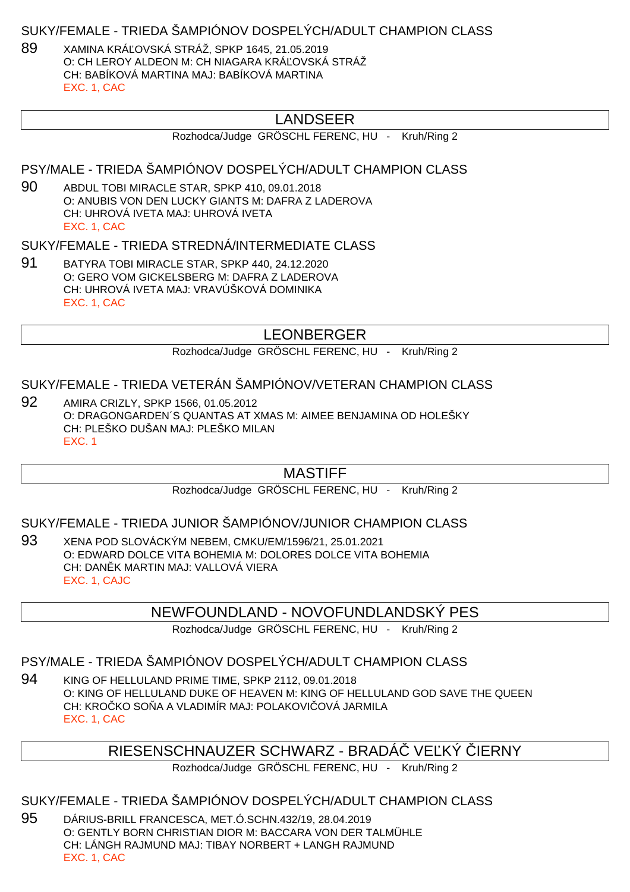#### SUKY/FEMALE - TRIEDA ŠAMPIÓNOV DOSPELÝCH/ADULT CHAMPION CLASS

89 XAMINA KRÁ OVSKÁ STRÁŽ, SPKP 1645, 21.05.2019 O: CH LEROY ALDEON M: CH NIAGARA KRÁ OVSKÁ STRÁŽ CH: BABÍKOVÁ MARTINA MAJ: BABÍKOVÁ MARTINA EXC. 1, CAC

## LANDSEER

Rozhodca/Judge GRÖSCHL FERENC, HU - Kruh/Ring 2

PSY/MALE - TRIEDA ŠAMPIÓNOV DOSPELÝCH/ADULT CHAMPION CLASS

90 ABDUL TOBI MIRACLE STAR, SPKP 410, 09.01.2018 O: ANUBIS VON DEN LUCKY GIANTS M: DAFRA Z LADEROVA CH: UHROVÁ IVETA MAJ: UHROVÁ IVETA EXC. 1, CAC

#### SUKY/FEMALE - TRIEDA STREDNÁ/INTERMEDIATE CLASS

91 BATYRA TOBI MIRACLE STAR, SPKP 440, 24.12.2020 O: GERO VOM GICKELSBERG M: DAFRA Z LADEROVA CH: UHROVÁ IVETA MAJ: VRAVÚŠKOVÁ DOMINIKA EXC. 1, CAC

### LEONBERGER

Rozhodca/Judge GRÖSCHL FERENC, HU - Kruh/Ring 2

#### SUKY/FEMALE - TRIEDA VETERÁN ŠAMPIÓNOV/VETERAN CHAMPION CLASS

92 AMIRA CRIZLY, SPKP 1566, 01.05.2012 O: DRAGONGARDEN´S QUANTAS AT XMAS M: AIMEE BENJAMINA OD HOLEŠKY CH: PLEŠKO DUŠAN MAJ: PLEŠKO MILAN EXC. 1

#### MASTIFF

Rozhodca/Judge GRÖSCHL FERENC, HU - Kruh/Ring 2

#### SUKY/FEMALE - TRIEDA JUNIOR ŠAMPIÓNOV/JUNIOR CHAMPION CLASS

93 XENA POD SLOVÁCKÝM NEBEM, CMKU/EM/1596/21, 25.01.2021 O: EDWARD DOLCE VITA BOHEMIA M: DOLORES DOLCE VITA BOHEMIA CH: DAN K MARTIN MAJ: VALLOVÁ VIERA EXC. 1, CAJC

#### NEWFOUNDLAND - NOVOFUNDLANDSKÝ PES

Rozhodca/Judge GRÖSCHL FERENC, HU - Kruh/Ring 2

### PSY/MALE - TRIEDA ŠAMPIÓNOV DOSPELÝCH/ADULT CHAMPION CLASS

94 KING OF HELLULAND PRIME TIME, SPKP 2112, 09.01.2018 O: KING OF HELLULAND DUKE OF HEAVEN M: KING OF HELLULAND GOD SAVE THE QUEEN CH: KROČKO SO A A VLADIMÍR MAJ: POLAKOVIČOVÁ JARMILA EXC. 1, CAC

## RIESENSCHNAUZER SCHWARZ - BRADÁ VE KÝ JERNY

Rozhodca/Judge GRÖSCHL FERENC, HU - Kruh/Ring 2

## SUKY/FEMALE - TRIEDA ŠAMPIÓNOV DOSPELÝCH/ADULT CHAMPION CLASS

95 DÁRIUS-BRILL FRANCESCA, MET.Ó.SCHN.432/19, 28.04.2019 O: GENTLY BORN CHRISTIAN DIOR M: BACCARA VON DER TALMÜHLE CH: LÁNGH RAJMUND MAJ: TIBAY NORBERT + LANGH RAJMUND EXC. 1, CAC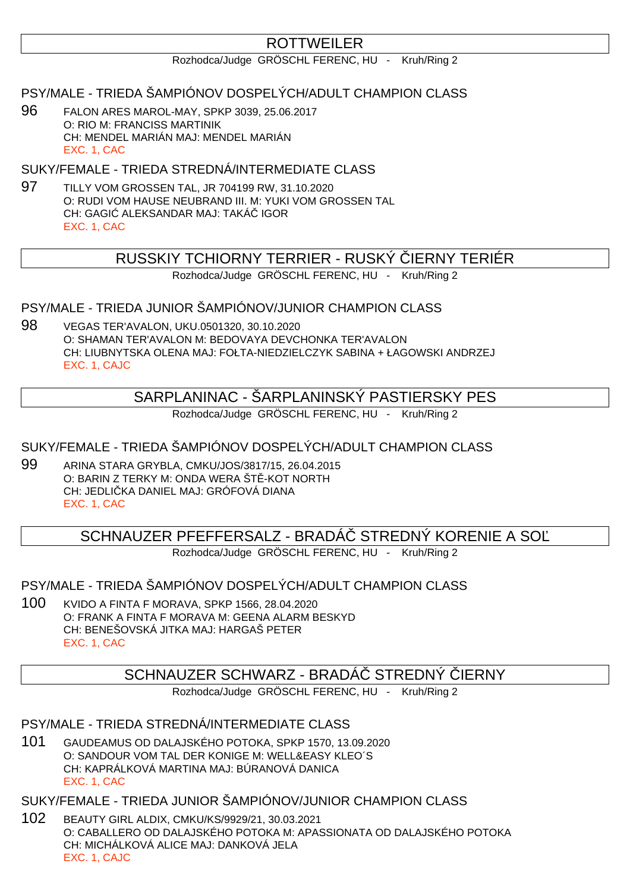## **ROTTWEILER**

Rozhodca/Judge GRÖSCHL FERENC, HU - Kruh/Ring 2

PSY/MALE - TRIEDA ŠAMPIÓNOV DOSPELÝCH/ADULT CHAMPION CLASS

96 FALON ARES MAROL-MAY, SPKP 3039, 25.06.2017 O: RIO M: FRANCISS MARTINIK CH: MENDEL MARIÁN MAJ: MENDEL MARIÁN EXC. 1, CAC

SUKY/FEMALE - TRIEDA STREDNÁ/INTERMEDIATE CLASS

97 TILLY VOM GROSSEN TAL, JR 704199 RW, 31.10.2020 O: RUDI VOM HAUSE NEUBRAND III. M: YUKI VOM GROSSEN TAL CH: GAGI ALEKSANDAR MAJ: TAKÁ IGOR EXC. 1, CAC

## RUSSKIY TCHIORNY TERRIER - RUSKÝ ČIERNY TERIÉR

Rozhodca/Judge GRÖSCHL FERENC, HU - Kruh/Ring 2

#### PSY/MALE - TRIEDA JUNIOR ŠAMPIÓNOV/JUNIOR CHAMPION CLASS

98 VEGAS TER'AVALON, UKU.0501320, 30.10.2020 O: SHAMAN TER'AVALON M: BEDOVAYA DEVCHONKA TER'AVALON CH: LIUBNYTSKA OLENA MAJ: FOŁTA-NIEDZIELCZYK SABINA + ŁAGOWSKI ANDRZEJ EXC. 1, CAJC

## SARPLANINAC - ŠARPLANINSKÝ PASTIERSKY PES

Rozhodca/Judge GRÖSCHL FERENC, HU - Kruh/Ring 2

SUKY/FEMALE - TRIEDA ŠAMPIÓNOV DOSPELÝCH/ADULT CHAMPION CLASS

99 ARINA STARA GRYBLA, CMKU/JOS/3817/15, 26.04.2015 O: BARIN Z TERKY M: ONDA WERA ŠT - KOT NORTH CH: JEDLIČKA DANIEL MAJ: GRÓFOVÁ DIANA EXC. 1, CAC

### SCHNAUZER PFEFFERSALZ - BRADÁ STREDNÝ KORENIE A SO

Rozhodca/Judge GRÖSCHL FERENC, HU - Kruh/Ring 2

PSY/MALE - TRIEDA ŠAMPIÓNOV DOSPELÝCH/ADULT CHAMPION CLASS

100 KVIDO A FINTA F MORAVA, SPKP 1566, 28.04.2020 O: FRANK A FINTA F MORAVA M: GEENA ALARM BESKYD CH: BENEŠOVSKÁ JITKA MAJ: HARGAŠ PETER EXC. 1, CAC

## SCHNAUZER SCHWARZ - BRADÁ STREDNÝ JERNY

Rozhodca/Judge GRÖSCHL FERENC, HU - Kruh/Ring 2

PSY/MALE - TRIEDA STREDNÁ/INTERMEDIATE CLASS

101 GAUDEAMUS OD DALAJSKÉHO POTOKA, SPKP 1570, 13.09.2020 O: SANDOUR VOM TAL DER KONIGE M: WELL&EASY KLEO´S CH: KAPRÁLKOVÁ MARTINA MAJ: BÚRANOVÁ DANICA EXC. 1, CAC

SUKY/FEMALE - TRIEDA JUNIOR ŠAMPIÓNOV/JUNIOR CHAMPION CLASS

102 BEAUTY GIRL ALDIX, CMKU/KS/9929/21, 30.03.2021 O: CABALLERO OD DALAJSKÉHO POTOKA M: APASSIONATA OD DALAJSKÉHO POTOKA CH: MICHÁLKOVÁ ALICE MAJ: DANKOVÁ JELA EXC. 1, CAJC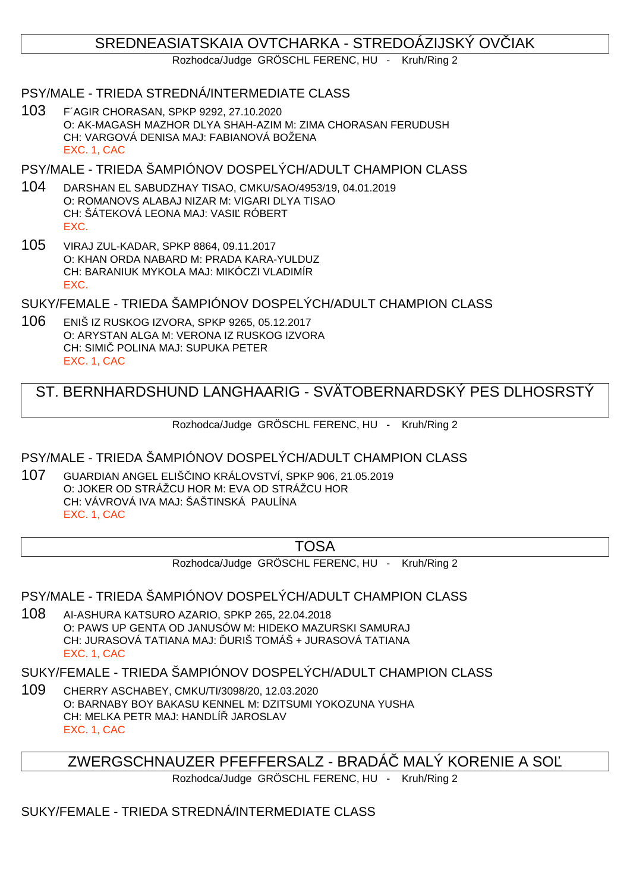## SREDNEASIATSKAIA OVTCHARKA - STREDOÁZIJSKÝ OVÍJAK

Rozhodca/Judge GRÖSCHL FERENC, HU - Kruh/Ring 2

#### PSY/MALE - TRIEDA STREDNÁ/INTERMEDIATE CLASS

103 F´AGIR CHORASAN, SPKP 9292, 27.10.2020 O: AK-MAGASH MAZHOR DLYA SHAH-AZIM M: ZIMA CHORASAN FERUDUSH CH: VARGOVÁ DENISA MAJ: FABIANOVÁ BOŽENA EXC. 1, CAC

PSY/MALE - TRIEDA ŠAMPIÓNOV DOSPELÝCH/ADULT CHAMPION CLASS

- 104 DARSHAN EL SABUDZHAY TISAO, CMKU/SAO/4953/19, 04.01.2019 O: ROMANOVS ALABAJ NIZAR M: VIGARI DLYA TISAO CH: ŠÁTEKOVÁ LEONA MAJ: VASIĽ RÓBERT EXC.
- 105 VIRAJ ZUL-KADAR, SPKP 8864, 09.11.2017 O: KHAN ORDA NABARD M: PRADA KARA-YULDUZ CH: BARANIUK MYKOLA MAJ: MIKÓCZI VLADIMÍR EXC.

SUKY/FEMALE - TRIEDA ŠAMPIÓNOV DOSPELÝCH/ADULT CHAMPION CLASS

106 ENIŠ IZ RUSKOG IZVORA, SPKP 9265, 05.12.2017 O: ARYSTAN ALGA M: VERONA IZ RUSKOG IZVORA CH: SIMI POLINA MAJ: SUPUKA PETER EXC. 1, CAC

## ST. BERNHARDSHUND LANGHAARIG - SVÄTOBERNARDSKÝ PES DLHOSRSTÝ

Rozhodca/Judge GRÖSCHL FERENC, HU - Kruh/Ring 2

PSY/MALE - TRIEDA ŠAMPIÓNOV DOSPELÝCH/ADULT CHAMPION CLASS

107 GUARDIAN ANGEL ELIŠČINO KRÁLOVSTVÍ, SPKP 906, 21.05.2019 O: JOKER OD STRÁŽCU HOR M: EVA OD STRÁŽCU HOR CH: VÁVROVÁ IVA MAJ: ŠAŠTINSKÁ PAULÍNA EXC. 1, CAC

### TOSA

Rozhodca/Judge GRÖSCHL FERENC, HU - Kruh/Ring 2

PSY/MALE - TRIEDA ŠAMPIÓNOV DOSPELÝCH/ADULT CHAMPION CLASS

108 AI-ASHURA KATSURO AZARIO, SPKP 265, 22.04.2018 O: PAWS UP GENTA OD JANUSÓW M: HIDEKO MAZURSKI SAMURAJ CH: JURASOVÁ TATIANA MAJ: URIŠ TOMÁŠ + JURASOVÁ TATIANA EXC. 1, CAC

SUKY/FEMALE - TRIEDA ŠAMPIÓNOV DOSPELÝCH/ADULT CHAMPION CLASS

109 CHERRY ASCHABEY, CMKU/TI/3098/20, 12.03.2020 O: BARNABY BOY BAKASU KENNEL M: DZITSUMI YOKOZUNA YUSHA CH: MELKA PETR MAJ: HANDLÍ JAROSLAV EXC. 1, CAC

ZWERGSCHNAUZER PFEFFERSALZ - BRADÁ MALÝ KORENIE A SO

Rozhodca/Judge GRÖSCHL FERENC, HU - Kruh/Ring 2

SUKY/FEMALE - TRIEDA STREDNÁ/INTERMEDIATE CLASS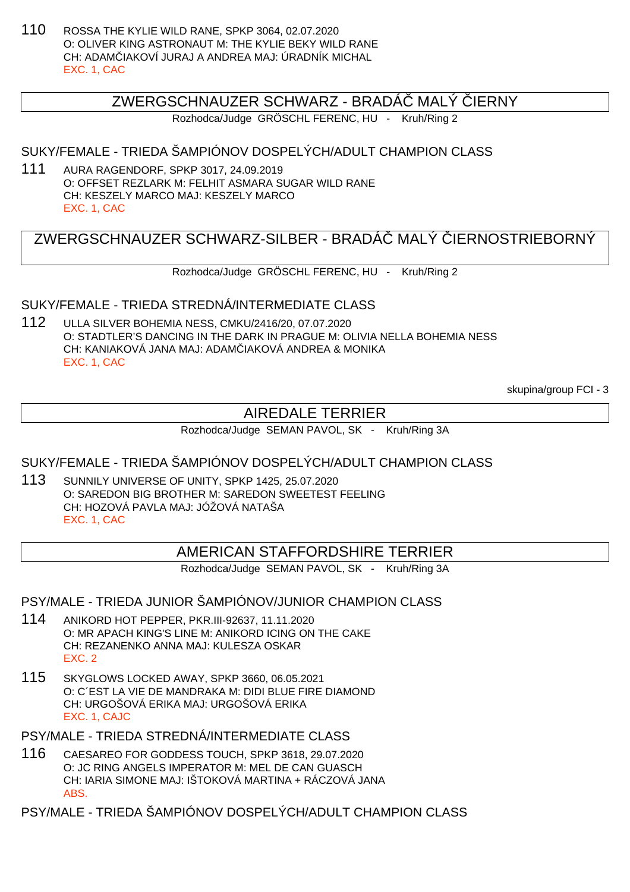110 ROSSA THE KYLIE WILD RANE, SPKP 3064, 02.07.2020 O: OLIVER KING ASTRONAUT M: THE KYLIE BEKY WILD RANE CH: ADAMČIAKOVÍ JURAJ A ANDREA MAJ: ÚRADNÍK MICHAL EXC. 1, CAC

#### ZWERGSCHNAUZER SCHWARZ - BRADÁ MALÝ JERNY

Rozhodca/Judge GRÖSCHL FERENC, HU - Kruh/Ring 2

#### SUKY/FEMALE - TRIEDA ŠAMPIÓNOV DOSPELÝCH/ADULT CHAMPION CLASS

111 AURA RAGENDORF, SPKP 3017, 24.09.2019 O: OFFSET REZLARK M: FELHIT ASMARA SUGAR WILD RANE CH: KESZELY MARCO MAJ: KESZELY MARCO EXC. 1, CAC

## ZWERGSCHNAUZER SCHWARZ-SILBER - BRADÁ MALÝ JERNOSTRIEBORNÝ

Rozhodca/Judge GRÖSCHL FERENC, HU - Kruh/Ring 2

#### SUKY/FEMALE - TRIEDA STREDNÁ/INTERMEDIATE CLASS

112 ULLA SILVER BOHEMIA NESS, CMKU/2416/20, 07.07.2020 O: STADTLER'S DANCING IN THE DARK IN PRAGUE M: OLIVIA NELLA BOHEMIA NESS CH: KANIAKOVÁ JANA MAJ: ADAM IAKOVÁ ANDREA & MONIKA EXC. 1, CAC

skupina/group FCI - 3

## AIREDALE TERRIER

Rozhodca/Judge SEMAN PAVOL, SK - Kruh/Ring 3A

#### SUKY/FEMALE - TRIEDA ŠAMPIÓNOV DOSPELÝCH/ADULT CHAMPION CLASS

113 SUNNILY UNIVERSE OF UNITY, SPKP 1425, 25.07.2020 O: SAREDON BIG BROTHER M: SAREDON SWEETEST FEELING CH: HOZOVÁ PAVLA MAJ: JÓŽOVÁ NATAŠA EXC. 1, CAC

### AMERICAN STAFFORDSHIRE TERRIER

Rozhodca/Judge SEMAN PAVOL, SK - Kruh/Ring 3A

#### PSY/MALE - TRIEDA JUNIOR ŠAMPIÓNOV/JUNIOR CHAMPION CLASS

- 114 ANIKORD HOT PEPPER, PKR.III-92637, 11.11.2020 O: MR APACH KING'S LINE M: ANIKORD ICING ON THE CAKE CH: REZANENKO ANNA MAJ: KULESZA OSKAR EXC. 2
- 115 SKYGLOWS LOCKED AWAY, SPKP 3660, 06.05.2021 O: C´EST LA VIE DE MANDRAKA M: DIDI BLUE FIRE DIAMOND CH: URGOŠOVÁ ERIKA MAJ: URGOŠOVÁ ERIKA EXC. 1, CAJC

PSY/MALE - TRIEDA STREDNÁ/INTERMEDIATE CLASS

116 CAESAREO FOR GODDESS TOUCH, SPKP 3618, 29.07.2020 O: JC RING ANGELS IMPERATOR M: MEL DE CAN GUASCH CH: IARIA SIMONE MAJ: IŠTOKOVÁ MARTINA + RÁCZOVÁ JANA ABS.

PSY/MALE - TRIEDA ŠAMPIÓNOV DOSPELÝCH/ADULT CHAMPION CLASS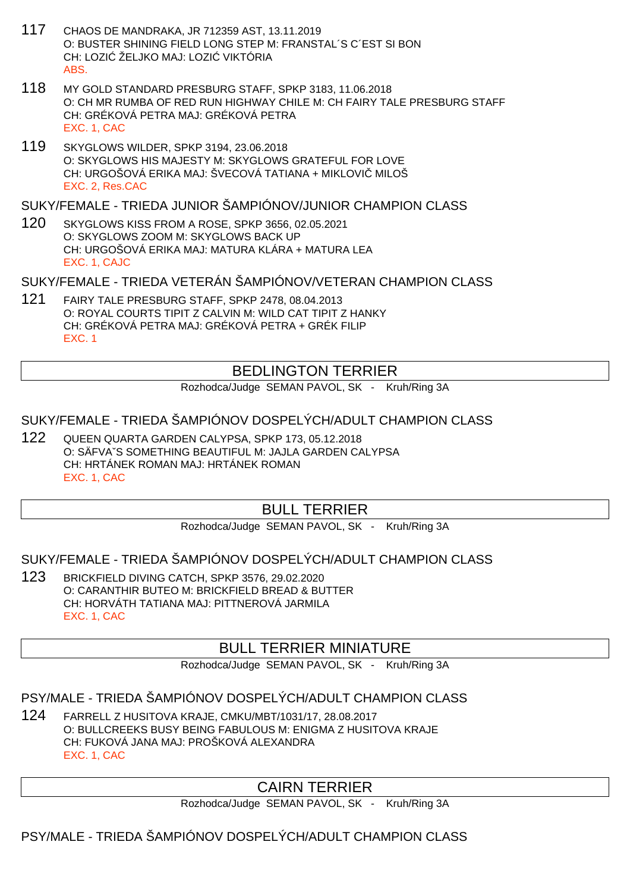- 117 CHAOS DE MANDRAKA, JR 712359 AST, 13.11.2019 O: BUSTER SHINING FIELD LONG STEP M: FRANSTAL´S C´EST SI BON CH: LOZI ŽELJKO MAJ: LOZI VIKTÓRIA ABS.
- 118 MY GOLD STANDARD PRESBURG STAFF, SPKP 3183, 11.06.2018 O: CH MR RUMBA OF RED RUN HIGHWAY CHILE M: CH FAIRY TALE PRESBURG STAFF CH: GRÉKOVÁ PETRA MAJ: GRÉKOVÁ PETRA EXC. 1, CAC
- 119 SKYGLOWS WILDER, SPKP 3194, 23.06.2018 O: SKYGLOWS HIS MAJESTY M: SKYGLOWS GRATEFUL FOR LOVE CH: URGOŠOVÁ ERIKA MAJ: ŠVECOVÁ TATIANA + MIKLOVI MILOŠ EXC. 2, Res.CAC

SUKY/FEMALE - TRIEDA JUNIOR ŠAMPIÓNOV/JUNIOR CHAMPION CLASS

120 SKYGLOWS KISS FROM A ROSE, SPKP 3656, 02.05.2021 O: SKYGLOWS ZOOM M: SKYGLOWS BACK UP CH: URGOŠOVÁ ERIKA MAJ: MATURA KLÁRA + MATURA LEA EXC. 1, CAJC

SUKY/FEMALE - TRIEDA VETERÁN ŠAMPIÓNOV/VETERAN CHAMPION CLASS

121 FAIRY TALE PRESBURG STAFF, SPKP 2478, 08.04.2013 O: ROYAL COURTS TIPIT Z CALVIN M: WILD CAT TIPIT Z HANKY CH: GRÉKOVÁ PETRA MAJ: GRÉKOVÁ PETRA + GRÉK FILIP EXC. 1

## BEDLINGTON TERRIER

Rozhodca/Judge SEMAN PAVOL, SK - Kruh/Ring 3A

### SUKY/FEMALE - TRIEDA ŠAMPIÓNOV DOSPELÝCH/ADULT CHAMPION CLASS

122 QUEEN QUARTA GARDEN CALYPSA, SPKP 173, 05.12.2018 O: SÄFVAˇS SOMETHING BEAUTIFUL M: JAJLA GARDEN CALYPSA CH: HRTÁNEK ROMAN MAJ: HRTÁNEK ROMAN EXC. 1, CAC

## BULL TERRIER

Rozhodca/Judge SEMAN PAVOL, SK - Kruh/Ring 3A

### SUKY/FEMALE - TRIEDA ŠAMPIÓNOV DOSPELÝCH/ADULT CHAMPION CLASS

123 BRICKFIELD DIVING CATCH, SPKP 3576, 29.02.2020 O: CARANTHIR BUTEO M: BRICKFIELD BREAD & BUTTER CH: HORVÁTH TATIANA MAJ: PITTNEROVÁ JARMILA EXC. 1, CAC

### BULL TERRIER MINIATURE

Rozhodca/Judge SEMAN PAVOL, SK - Kruh/Ring 3A

PSY/MALE - TRIEDA ŠAMPIÓNOV DOSPELÝCH/ADULT CHAMPION CLASS

124 FARRELL Z HUSITOVA KRAJE, CMKU/MBT/1031/17, 28.08.2017 O: BULLCREEKS BUSY BEING FABULOUS M: ENIGMA Z HUSITOVA KRAJE CH: FUKOVÁ JANA MAJ: PROŠKOVÁ ALEXANDRA EXC. 1, CAC

## CAIRN TERRIER

Rozhodca/Judge SEMAN PAVOL, SK - Kruh/Ring 3A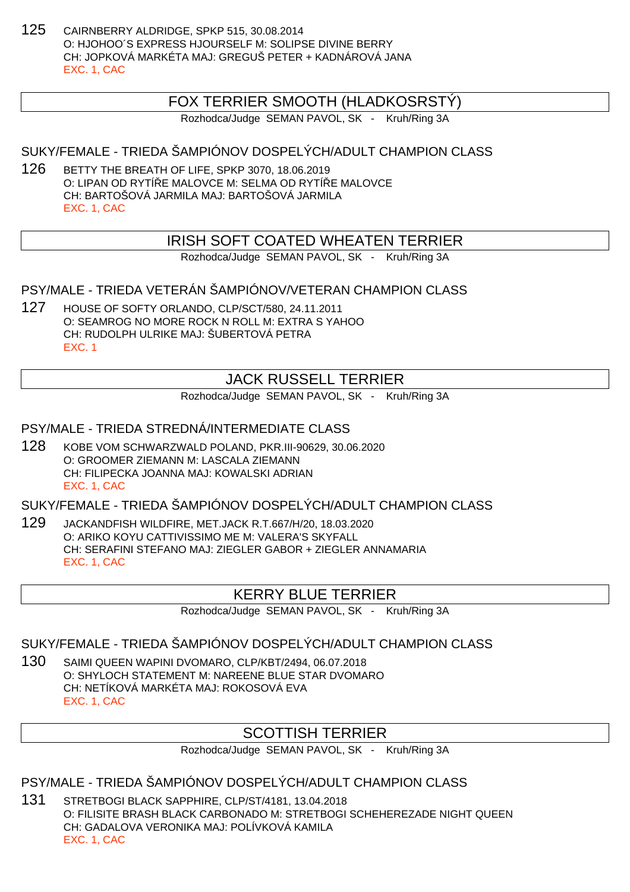125 CAIRNBERRY ALDRIDGE, SPKP 515, 30.08.2014 O: HJOHOO´S EXPRESS HJOURSELF M: SOLIPSE DIVINE BERRY CH: JOPKOVÁ MARKÉTA MAJ: GREGUŠ PETER + KADNÁROVÁ JANA EXC. 1, CAC

## FOX TERRIER SMOOTH (HLADKOSRSTÝ)

Rozhodca/Judge SEMAN PAVOL, SK - Kruh/Ring 3A

### SUKY/FEMALE - TRIEDA ŠAMPIÓNOV DOSPELÝCH/ADULT CHAMPION CLASS

126 BETTY THE BREATH OF LIFE, SPKP 3070, 18.06.2019 O: LIPAN OD RYTÍ E MALOVCE M: SELMA OD RYTÍ E MALOVCE CH: BARTOŠOVÁ JARMILA MAJ: BARTOŠOVÁ JARMILA EXC. 1, CAC

### IRISH SOFT COATED WHEATEN TERRIER

Rozhodca/Judge SEMAN PAVOL, SK - Kruh/Ring 3A

PSY/MALE - TRIEDA VETERÁN ŠAMPIÓNOV/VETERAN CHAMPION CLASS

127 HOUSE OF SOFTY ORLANDO, CLP/SCT/580, 24.11.2011 O: SEAMROG NO MORE ROCK N ROLL M: EXTRA S YAHOO CH: RUDOLPH ULRIKE MAJ: ŠUBERTOVÁ PETRA EXC. 1

## JACK RUSSELL TERRIER

Rozhodca/Judge SEMAN PAVOL, SK - Kruh/Ring 3A

#### PSY/MALE - TRIEDA STREDNÁ/INTERMEDIATE CLASS

128 KOBE VOM SCHWARZWALD POLAND, PKR.III-90629, 30.06.2020 O: GROOMER ZIEMANN M: LASCALA ZIEMANN CH: FILIPECKA JOANNA MAJ: KOWALSKI ADRIAN EXC. 1, CAC

SUKY/FEMALE - TRIEDA ŠAMPIÓNOV DOSPELÝCH/ADULT CHAMPION CLASS

129 JACKANDFISH WILDFIRE, MET.JACK R.T.667/H/20, 18.03.2020 O: ARIKO KOYU CATTIVISSIMO ME M: VALERA'S SKYFALL CH: SERAFINI STEFANO MAJ: ZIEGLER GABOR + ZIEGLER ANNAMARIA EXC. 1, CAC

### KERRY BLUE TERRIER

Rozhodca/Judge SEMAN PAVOL, SK - Kruh/Ring 3A

#### SUKY/FEMALE - TRIEDA ŠAMPIÓNOV DOSPELÝCH/ADULT CHAMPION CLASS

130 SAIMI QUEEN WAPINI DVOMARO, CLP/KBT/2494, 06.07.2018 O: SHYLOCH STATEMENT M: NAREENE BLUE STAR DVOMARO CH: NETÍKOVÁ MARKÉTA MAJ: ROKOSOVÁ EVA EXC. 1, CAC

## SCOTTISH TERRIER

Rozhodca/Judge SEMAN PAVOL, SK - Kruh/Ring 3A

PSY/MALE - TRIEDA ŠAMPIÓNOV DOSPELÝCH/ADULT CHAMPION CLASS

131 STRETBOGI BLACK SAPPHIRE, CLP/ST/4181, 13.04.2018 O: FILISITE BRASH BLACK CARBONADO M: STRETBOGI SCHEHEREZADE NIGHT QUEEN CH: GADALOVA VERONIKA MAJ: POLÍVKOVÁ KAMILA EXC. 1, CAC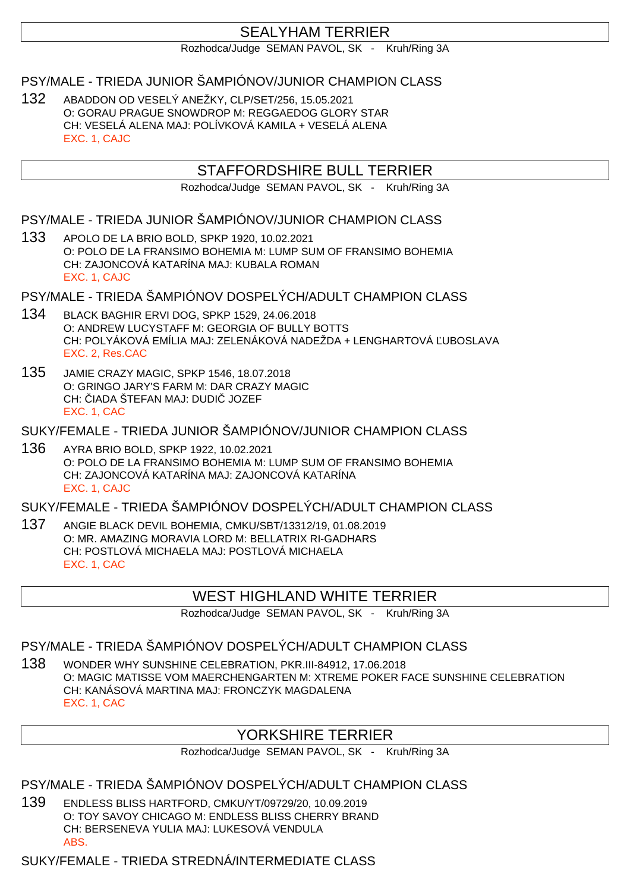## SEALYHAM TERRIER

Rozhodca/Judge SEMAN PAVOL, SK - Kruh/Ring 3A

PSY/MALE - TRIEDA JUNIOR ŠAMPIÓNOV/JUNIOR CHAMPION CLASS

132 ABADDON OD VESELÝ ANEŽKY, CLP/SET/256, 15.05.2021 O: GORAU PRAGUE SNOWDROP M: REGGAEDOG GLORY STAR CH: VESELÁ ALENA MAJ: POLÍVKOVÁ KAMILA + VESELÁ ALENA EXC. 1, CAJC

## STAFFORDSHIRE BULL TERRIER

Rozhodca/Judge SEMAN PAVOL, SK - Kruh/Ring 3A

PSY/MALE - TRIEDA JUNIOR ŠAMPIÓNOV/JUNIOR CHAMPION CLASS

133 APOLO DE LA BRIO BOLD, SPKP 1920, 10.02.2021 O: POLO DE LA FRANSIMO BOHEMIA M: LUMP SUM OF FRANSIMO BOHEMIA CH: ZAJONCOVÁ KATARÍNA MAJ: KUBALA ROMAN EXC. 1, CAJC

PSY/MALE - TRIEDA ŠAMPIÓNOV DOSPELÝCH/ADULT CHAMPION CLASS

- 134 BLACK BAGHIR ERVI DOG, SPKP 1529, 24.06.2018 O: ANDREW LUCYSTAFF M: GEORGIA OF BULLY BOTTS CH: POLYÁKOVÁ EMÍLIA MAJ: ZELENÁKOVÁ NADEŽDA + LENGHARTOVÁ ĽUBOSLAVA EXC. 2, Res.CAC
- 135 JAMIE CRAZY MAGIC, SPKP 1546, 18.07.2018 O: GRINGO JARY'S FARM M: DAR CRAZY MAGIC CH: IADA ŠTEFAN MAJ: DUDI JOZEF EXC. 1, CAC

SUKY/FEMALE - TRIEDA JUNIOR ŠAMPIÓNOV/JUNIOR CHAMPION CLASS

136 AYRA BRIO BOLD, SPKP 1922, 10.02.2021 O: POLO DE LA FRANSIMO BOHEMIA M: LUMP SUM OF FRANSIMO BOHEMIA CH: ZAJONCOVÁ KATARÍNA MAJ: ZAJONCOVÁ KATARÍNA EXC. 1, CAJC

SUKY/FEMALE - TRIEDA ŠAMPIÓNOV DOSPELÝCH/ADULT CHAMPION CLASS

137 ANGIE BLACK DEVIL BOHEMIA, CMKU/SBT/13312/19, 01.08.2019 O: MR. AMAZING MORAVIA LORD M: BELLATRIX RI-GADHARS CH: POSTLOVÁ MICHAELA MAJ: POSTLOVÁ MICHAELA EXC. 1, CAC

## WEST HIGHLAND WHITE TERRIER

Rozhodca/Judge SEMAN PAVOL, SK - Kruh/Ring 3A

PSY/MALE - TRIEDA ŠAMPIÓNOV DOSPELÝCH/ADULT CHAMPION CLASS

138 WONDER WHY SUNSHINE CELEBRATION, PKR.III-84912, 17.06.2018 O: MAGIC MATISSE VOM MAERCHENGARTEN M: XTREME POKER FACE SUNSHINE CELEBRATION CH: KANÁSOVÁ MARTINA MAJ: FRONCZYK MAGDALENA EXC. 1, CAC

## YORKSHIRE TERRIER

Rozhodca/Judge SEMAN PAVOL, SK - Kruh/Ring 3A

PSY/MALE - TRIEDA ŠAMPIÓNOV DOSPELÝCH/ADULT CHAMPION CLASS

139 ENDLESS BLISS HARTFORD, CMKU/YT/09729/20, 10.09.2019 O: TOY SAVOY CHICAGO M: ENDLESS BLISS CHERRY BRAND CH: BERSENEVA YULIA MAJ: LUKESOVÁ VENDULA ABS.

SUKY/FEMALE - TRIEDA STREDNÁ/INTERMEDIATE CLASS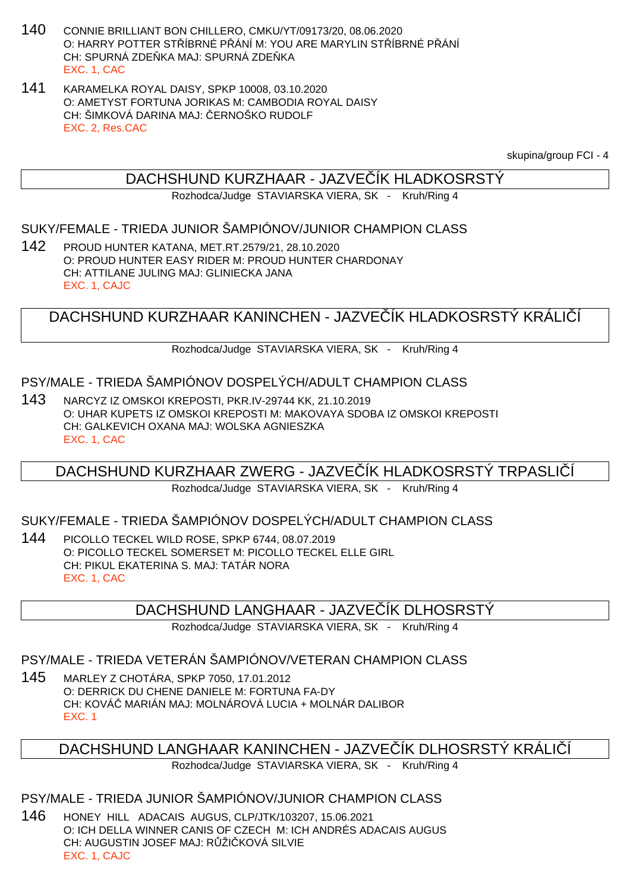- 140 CONNIE BRILLIANT BON CHILLERO, CMKU/YT/09173/20, 08.06.2020 O: HARRY POTTER STŘÍBRNÉ PŘÁNÍ M: YOU ARE MARYLIN STŘÍBRNÉ PŘÁNÍ CH: SPURNÁ ZDE KA MAJ: SPURNÁ ZDE KA EXC. 1, CAC
- 141 KARAMELKA ROYAL DAISY, SPKP 10008, 03.10.2020 O: AMETYST FORTUNA JORIKAS M: CAMBODIA ROYAL DAISY CH: ŠIMKOVÁ DARINA MAJ: ERNOŠKO RUDOLF EXC. 2, Res.CAC

skupina/group FCI - 4

### DACHSHUND KURZHAAR - JAZVE ÍK HLADKOSRSTÝ

Rozhodca/Judge STAVIARSKA VIERA, SK - Kruh/Ring 4

#### SUKY/FEMALE - TRIEDA JUNIOR ŠAMPIÓNOV/JUNIOR CHAMPION CLASS

142 PROUD HUNTER KATANA, MET.RT.2579/21, 28.10.2020 O: PROUD HUNTER EASY RIDER M: PROUD HUNTER CHARDONAY CH: ATTILANE JULING MAJ: GLINIECKA JANA EXC. 1, CAJC

## DACHSHUND KURZHAAR KANINCHEN - JAZVE ÍK HLADKOSRSTÝ KRÁLI Í

Rozhodca/Judge STAVIARSKA VIERA, SK - Kruh/Ring 4

#### PSY/MALE - TRIEDA ŠAMPIÓNOV DOSPELÝCH/ADULT CHAMPION CLASS

143 NARCYZ IZ OMSKOI KREPOSTI, PKR.IV-29744 KK, 21.10.2019 O: UHAR KUPETS IZ OMSKOI KREPOSTI M: MAKOVAYA SDOBA IZ OMSKOI KREPOSTI CH: GALKEVICH OXANA MAJ: WOLSKA AGNIESZKA EXC. 1, CAC

## DACHSHUND KURZHAAR ZWERG - JAZVEĆÍK HLADKOSRSTÝ TRPASLI

Rozhodca/Judge STAVIARSKA VIERA, SK - Kruh/Ring 4

#### SUKY/FEMALE - TRIEDA ŠAMPIÓNOV DOSPELÝCH/ADULT CHAMPION CLASS

144 PICOLLO TECKEL WILD ROSE, SPKP 6744, 08.07.2019 O: PICOLLO TECKEL SOMERSET M: PICOLLO TECKEL ELLE GIRL CH: PIKUL EKATERINA S. MAJ: TATÁR NORA EXC. 1, CAC

### DACHSHUND LANGHAAR - JAZVE ÍK DLHOSRSTÝ

Rozhodca/Judge STAVIARSKA VIERA, SK - Kruh/Ring 4

#### PSY/MALE - TRIEDA VETERÁN ŠAMPIÓNOV/VETERAN CHAMPION CLASS

145 MARLEY Z CHOTÁRA, SPKP 7050, 17.01.2012 O: DERRICK DU CHENE DANIELE M: FORTUNA FA-DY CH: KOVÁČ MARIÁN MAJ: MOLNÁROVÁ LUCIA + MOLNÁR DALIBOR EXC. 1

### DACHSHUND LANGHAAR KANINCHEN - JAZVE ÍK DLHOSRSTÝ KRÁLI Í

Rozhodca/Judge STAVIARSKA VIERA, SK - Kruh/Ring 4

#### PSY/MALE - TRIEDA JUNIOR ŠAMPIÓNOV/JUNIOR CHAMPION CLASS

146 HONEY HILL ADACAIS AUGUS, CLP/JTK/103207, 15.06.2021 O: ICH DELLA WINNER CANIS OF CZECH M: ICH ANDRÉS ADACAIS AUGUS CH: AUGUSTIN JOSEF MAJ: R ŽI KOVÁ SILVIE EXC. 1, CAJC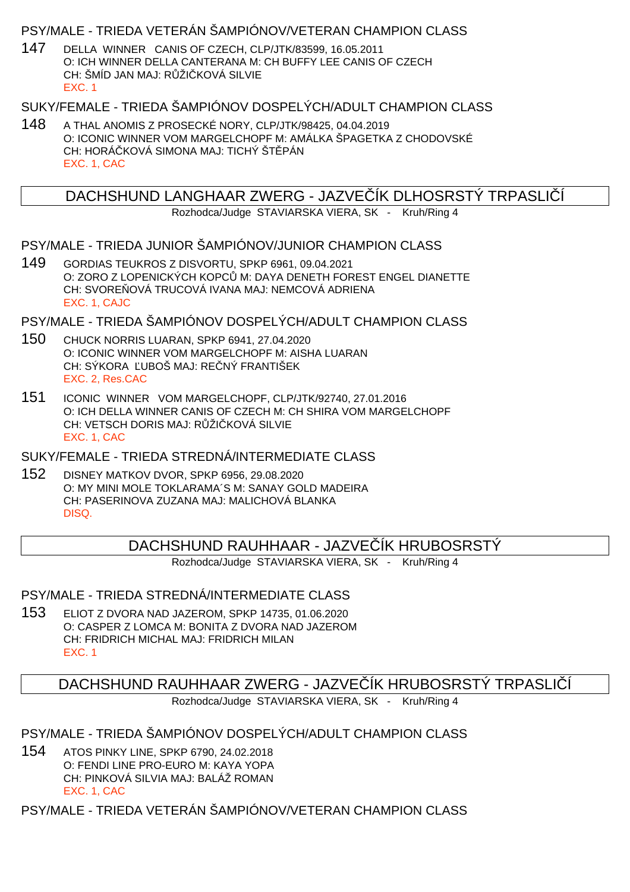### PSY/MALE - TRIEDA VETERÁN ŠAMPIÓNOV/VETERAN CHAMPION CLASS

147 DELLA WINNER CANIS OF CZECH, CLP/JTK/83599, 16.05.2011 O: ICH WINNER DELLA CANTERANA M: CH BUFFY LEE CANIS OF CZECH CH: ŠMÍD JAN MAJ: R ŽI KOVÁ SILVIE EXC. 1

### SUKY/FEMALE - TRIEDA ŠAMPIÓNOV DOSPELÝCH/ADULT CHAMPION CLASS

148 A THAL ANOMIS Z PROSECKÉ NORY, CLP/JTK/98425, 04.04.2019 O: ICONIC WINNER VOM MARGELCHOPF M: AMÁLKA ŠPAGETKA Z CHODOVSKÉ CH: HORÁ KOVÁ SIMONA MAJ: TICHÝ ŠT PÁN EXC. 1, CAC

DACHSHUND LANGHAAR ZWERG - JAZVE ÍK DLHOSRSTÝ TRPASLIÍ

Rozhodca/Judge STAVIARSKA VIERA, SK - Kruh/Ring 4

#### PSY/MALE - TRIEDA JUNIOR ŠAMPIÓNOV/JUNIOR CHAMPION CLASS

149 GORDIAS TEUKROS Z DISVORTU, SPKP 6961, 09.04.2021 O: ZORO Z LOPENICKÝCH KOPC M: DAYA DENETH FOREST ENGEL DIANETTE CH: SVORE OVÁ TRUCOVÁ IVANA MAJ: NEMCOVÁ ADRIENA EXC. 1, CAJC

PSY/MALE - TRIEDA ŠAMPIÓNOV DOSPELÝCH/ADULT CHAMPION CLASS

- 150 CHUCK NORRIS LUARAN, SPKP 6941, 27.04.2020 O: ICONIC WINNER VOM MARGELCHOPF M: AISHA LUARAN CH: SÝKORA UBOŠ MAJ: RE NÝ FRANTIŠEK EXC. 2, Res.CAC
- 151 ICONIC WINNER VOM MARGELCHOPF, CLP/JTK/92740, 27.01.2016 O: ICH DELLA WINNER CANIS OF CZECH M: CH SHIRA VOM MARGELCHOPF CH: VETSCH DORIS MAJ: RŽI KOVÁ SILVIE EXC. 1, CAC

SUKY/FEMALE - TRIEDA STREDNÁ/INTERMEDIATE CLASS

152 DISNEY MATKOV DVOR, SPKP 6956, 29.08.2020 O: MY MINI MOLE TOKLARAMA´S M: SANAY GOLD MADEIRA CH: PASERINOVA ZUZANA MAJ: MALICHOVÁ BLANKA DISQ.

## DACHSHUND RAUHHAAR - JAZVE ÍK HRUBOSRSTÝ

Rozhodca/Judge STAVIARSKA VIERA, SK - Kruh/Ring 4

#### PSY/MALE - TRIEDA STREDNÁ/INTERMEDIATE CLASS

153 ELIOT Z DVORA NAD JAZEROM, SPKP 14735, 01.06.2020 O: CASPER Z LOMCA M: BONITA Z DVORA NAD JAZEROM CH: FRIDRICH MICHAL MAJ: FRIDRICH MILAN EXC. 1

### DACHSHUND RAUHHAAR ZWERG - JAZVE ÍK HRUBOSRSTÝ TRPASLIÍ

Rozhodca/Judge STAVIARSKA VIERA, SK - Kruh/Ring 4

PSY/MALE - TRIEDA ŠAMPIÓNOV DOSPELÝCH/ADULT CHAMPION CLASS

154 ATOS PINKY LINE, SPKP 6790, 24.02.2018 O: FENDI LINE PRO-EURO M: KAYA YOPA CH: PINKOVÁ SILVIA MAJ: BALÁŽ ROMAN EXC. 1, CAC

PSY/MALE - TRIEDA VETERÁN ŠAMPIÓNOV/VETERAN CHAMPION CLASS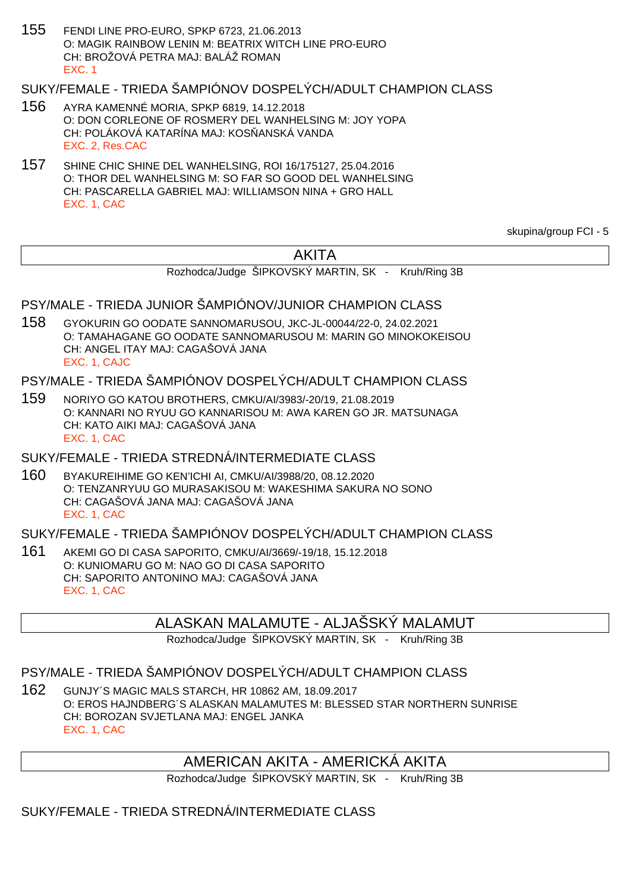155 FENDI LINE PRO-EURO, SPKP 6723, 21.06.2013 O: MAGIK RAINBOW LENIN M: BEATRIX WITCH LINE PRO-EURO CH: BROŽOVÁ PETRA MAJ: BALÁŽ ROMAN EXC. 1

## SUKY/FEMALE - TRIEDA ŠAMPIÓNOV DOSPELÝCH/ADULT CHAMPION CLASS

- 156 AYRA KAMENNÉ MORIA, SPKP 6819, 14.12.2018 O: DON CORLEONE OF ROSMERY DEL WANHELSING M: JOY YOPA CH: POLÁKOVÁ KATARÍNA MAJ: KOS ANSKÁ VANDA EXC. 2, Res.CAC
- 157 SHINE CHIC SHINE DEL WANHELSING, ROI 16/175127, 25.04.2016 O: THOR DEL WANHELSING M: SO FAR SO GOOD DEL WANHELSING CH: PASCARELLA GABRIEL MAJ: WILLIAMSON NINA + GRO HALL EXC. 1, CAC

skupina/group FCI - 5

## AKITA

Rozhodca/Judge ŠIPKOVSKÝ MARTIN, SK - Kruh/Ring 3B

## PSY/MALE - TRIEDA JUNIOR ŠAMPIÓNOV/JUNIOR CHAMPION CLASS

158 GYOKURIN GO OODATE SANNOMARUSOU, JKC-JL-00044/22-0, 24.02.2021 O: TAMAHAGANE GO OODATE SANNOMARUSOU M: MARIN GO MINOKOKEISOU CH: ANGEL ITAY MAJ: CAGAŠOVÁ JANA EXC. 1, CAJC

#### PSY/MALE - TRIEDA ŠAMPIÓNOV DOSPELÝCH/ADULT CHAMPION CLASS

159 NORIYO GO KATOU BROTHERS, CMKU/AI/3983/-20/19, 21.08.2019 O: KANNARI NO RYUU GO KANNARISOU M: AWA KAREN GO JR. MATSUNAGA CH: KATO AIKI MAJ: CAGAŠOVÁ JANA EXC. 1, CAC

#### SUKY/FEMALE - TRIEDA STREDNÁ/INTERMEDIATE CLASS

160 BYAKUREIHIME GO KEN'ICHI AI, CMKU/AI/3988/20, 08.12.2020 O: TENZANRYUU GO MURASAKISOU M: WAKESHIMA SAKURA NO SONO CH: CAGAŠOVÁ JANA MAJ: CAGAŠOVÁ JANA EXC. 1, CAC

## SUKY/FEMALE - TRIEDA ŠAMPIÓNOV DOSPELÝCH/ADULT CHAMPION CLASS

161 AKEMI GO DI CASA SAPORITO, CMKU/AI/3669/-19/18, 15.12.2018 O: KUNIOMARU GO M: NAO GO DI CASA SAPORITO CH: SAPORITO ANTONINO MAJ: CAGAŠOVÁ JANA EXC. 1, CAC

### ALASKAN MALAMUTE - ALJAŠSKÝ MALAMUT

Rozhodca/Judge ŠIPKOVSKÝ MARTIN, SK - Kruh/Ring 3B

### PSY/MALE - TRIEDA ŠAMPIÓNOV DOSPELÝCH/ADULT CHAMPION CLASS

162 GUNJY´S MAGIC MALS STARCH, HR 10862 AM, 18.09.2017 O: EROS HAJNDBERG´S ALASKAN MALAMUTES M: BLESSED STAR NORTHERN SUNRISE CH: BOROZAN SVJETLANA MAJ: ENGEL JANKA EXC. 1, CAC

## AMERICAN AKITA - AMERICKÁ AKITA

Rozhodca/Judge ŠIPKOVSKÝ MARTIN, SK - Kruh/Ring 3B

#### SUKY/FEMALE - TRIEDA STREDNÁ/INTERMEDIATE CLASS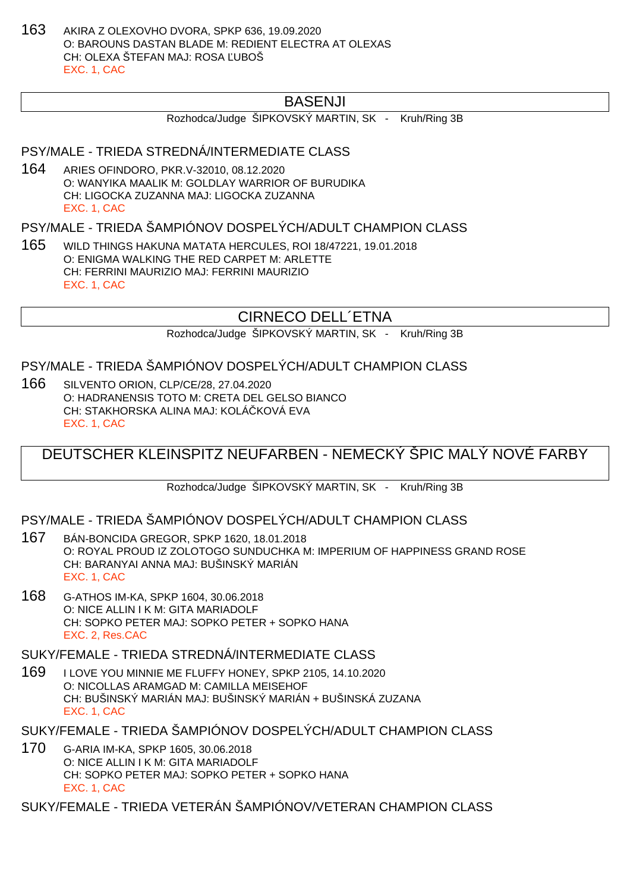163 AKIRA Z OLEXOVHO DVORA, SPKP 636, 19.09.2020 O: BAROUNS DASTAN BLADE M: REDIENT ELECTRA AT OLEXAS CH: OLEXA ŠTEFAN MAJ: ROSA UBOŠ EXC. 1, CAC

## BASENJI

Rozhodca/Judge ŠIPKOVSKÝ MARTIN, SK - Kruh/Ring 3B

#### PSY/MALE - TRIEDA STREDNÁ/INTERMEDIATE CLASS

164 ARIES OFINDORO, PKR.V-32010, 08.12.2020 O: WANYIKA MAALIK M: GOLDLAY WARRIOR OF BURUDIKA CH: LIGOCKA ZUZANNA MAJ: LIGOCKA ZUZANNA EXC. 1, CAC

PSY/MALE - TRIEDA ŠAMPIÓNOV DOSPELÝCH/ADULT CHAMPION CLASS

165 WILD THINGS HAKUNA MATATA HERCULES, ROI 18/47221, 19.01.2018 O: ENIGMA WALKING THE RED CARPET M: ARLETTE CH: FERRINI MAURIZIO MAJ: FERRINI MAURIZIO EXC. 1, CAC

## CIRNECO DELL´ETNA

Rozhodca/Judge ŠIPKOVSKÝ MARTIN, SK - Kruh/Ring 3B

#### PSY/MALE - TRIEDA ŠAMPIÓNOV DOSPELÝCH/ADULT CHAMPION CLASS

166 SILVENTO ORION, CLP/CE/28, 27.04.2020 O: HADRANENSIS TOTO M: CRETA DEL GELSO BIANCO CH: STAKHORSKA ALINA MAJ: KOLÁ KOVÁ EVA EXC. 1, CAC

DEUTSCHER KLEINSPITZ NEUFARBEN - NEMECKÝ ŠPIC MALÝ NOVÉ FARBY

Rozhodca/Judge ŠIPKOVSKÝ MARTIN, SK - Kruh/Ring 3B

PSY/MALE - TRIEDA ŠAMPIÓNOV DOSPELÝCH/ADULT CHAMPION CLASS

- 167 BÁN-BONCIDA GREGOR, SPKP 1620, 18.01.2018 O: ROYAL PROUD IZ ZOLOTOGO SUNDUCHKA M: IMPERIUM OF HAPPINESS GRAND ROSE CH: BARANYAI ANNA MAJ: BUŠINSKÝ MARIÁN EXC. 1, CAC
- 168 G-ATHOS IM-KA, SPKP 1604, 30.06.2018 O: NICE ALLIN I K M: GITA MARIADOLF CH: SOPKO PETER MAJ: SOPKO PETER + SOPKO HANA EXC. 2, Res.CAC

SUKY/FEMALE - TRIEDA STREDNÁ/INTERMEDIATE CLASS

169 I LOVE YOU MINNIE ME FLUFFY HONEY, SPKP 2105, 14.10.2020 O: NICOLLAS ARAMGAD M: CAMILLA MEISEHOF CH: BUŠINSKÝ MARIÁN MAJ: BUŠINSKÝ MARIÁN + BUŠINSKÁ ZUZANA EXC. 1, CAC

SUKY/FEMALE - TRIEDA ŠAMPIÓNOV DOSPELÝCH/ADULT CHAMPION CLASS

170 G-ARIA IM-KA, SPKP 1605, 30.06.2018 O: NICE ALLIN I K M: GITA MARIADOLF CH: SOPKO PETER MAJ: SOPKO PETER + SOPKO HANA EXC. 1, CAC

SUKY/FEMALE - TRIEDA VETERÁN ŠAMPIÓNOV/VETERAN CHAMPION CLASS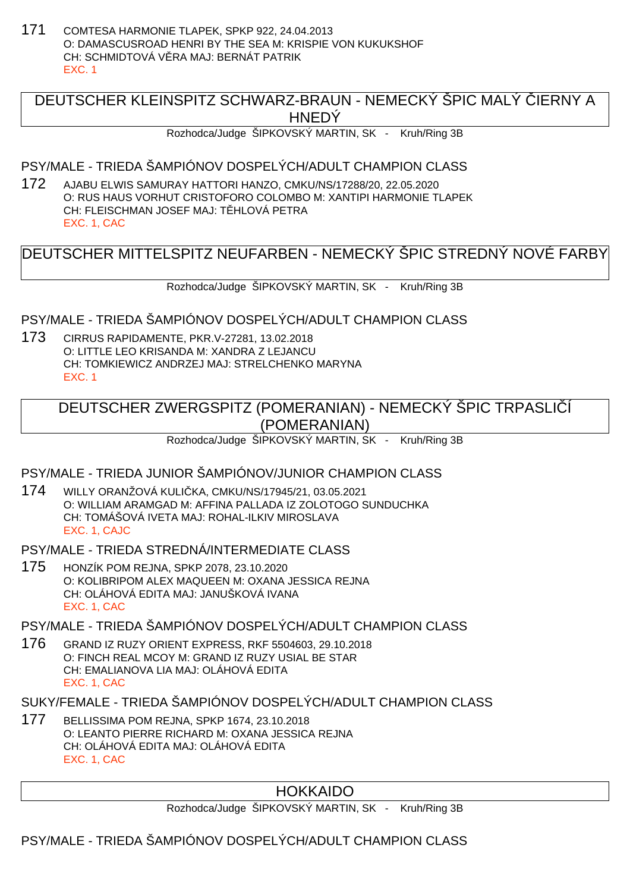171 COMTESA HARMONIE TLAPEK, SPKP 922, 24.04.2013 O: DAMASCUSROAD HENRI BY THE SEA M: KRISPIE VON KUKUKSHOF CH: SCHMIDTOVÁ V. RA MAJ: BERNÁT PATRIK EXC. 1

## DEUTSCHER KLEINSPITZ SCHWARZ-BRAUN - NEMECKÝ ŠPIC MALÝ LERNY A **HNEDY**

Rozhodca/Judge ŠIPKOVSKÝ MARTIN, SK - Kruh/Ring 3B

PSY/MALE - TRIEDA ŠAMPIÓNOV DOSPELÝCH/ADULT CHAMPION CLASS

172 AJABU ELWIS SAMURAY HATTORI HANZO, CMKU/NS/17288/20, 22.05.2020 O: RUS HAUS VORHUT CRISTOFORO COLOMBO M: XANTIPI HARMONIE TLAPEK CH: FLEISCHMAN JOSEF MAJ: T HLOVÁ PETRA EXC. 1, CAC

DEUTSCHER MITTELSPITZ NEUFARBEN - NEMECKÝ ŠPIC STREDNÝ NOVÉ FARBY

Rozhodca/Judge ŠIPKOVSKÝ MARTIN, SK - Kruh/Ring 3B

PSY/MALE - TRIEDA ŠAMPIÓNOV DOSPELÝCH/ADULT CHAMPION CLASS

173 CIRRUS RAPIDAMENTE, PKR.V-27281, 13.02.2018 O: LITTLE LEO KRISANDA M: XANDRA Z LEJANCU CH: TOMKIEWICZ ANDRZEJ MAJ: STRELCHENKO MARYNA EXC. 1

## DEUTSCHER ZWERGSPITZ (POMERANIAN) - NEMECKÝ ŠPIC TRPASLIČÍ (POMERANIAN)

Rozhodca/Judge ŠIPKOVSKÝ MARTIN, SK - Kruh/Ring 3B

### PSY/MALE - TRIEDA JUNIOR ŠAMPIÓNOV/JUNIOR CHAMPION CLASS

174 WILLY ORANŽOVÁ KULIČKA, CMKU/NS/17945/21, 03.05.2021 O: WILLIAM ARAMGAD M: AFFINA PALLADA IZ ZOLOTOGO SUNDUCHKA CH: TOMÁŠOVÁ IVETA MAJ: ROHAL-ILKIV MIROSLAVA EXC. 1, CAJC

PSY/MALE - TRIEDA STREDNÁ/INTERMEDIATE CLASS

175 HONZÍK POM REJNA, SPKP 2078, 23.10.2020 O: KOLIBRIPOM ALEX MAQUEEN M: OXANA JESSICA REJNA CH: OLÁHOVÁ EDITA MAJ: JANUŠKOVÁ IVANA EXC. 1, CAC

PSY/MALE - TRIEDA ŠAMPIÓNOV DOSPELÝCH/ADULT CHAMPION CLASS

176 GRAND IZ RUZY ORIENT EXPRESS, RKF 5504603, 29.10.2018 O: FINCH REAL MCOY M: GRAND IZ RUZY USIAL BE STAR CH: EMALIANOVA LIA MAJ: OLÁHOVÁ EDITA EXC. 1, CAC

SUKY/FEMALE - TRIEDA ŠAMPIÓNOV DOSPELÝCH/ADULT CHAMPION CLASS

177 BELLISSIMA POM REJNA, SPKP 1674, 23.10.2018 O: LEANTO PIERRE RICHARD M: OXANA JESSICA REJNA CH: OLÁHOVÁ EDITA MAJ: OLÁHOVÁ EDITA EXC. 1, CAC

## HOKKAIDO

Rozhodca/Judge ŠIPKOVSKÝ MARTIN, SK - Kruh/Ring 3B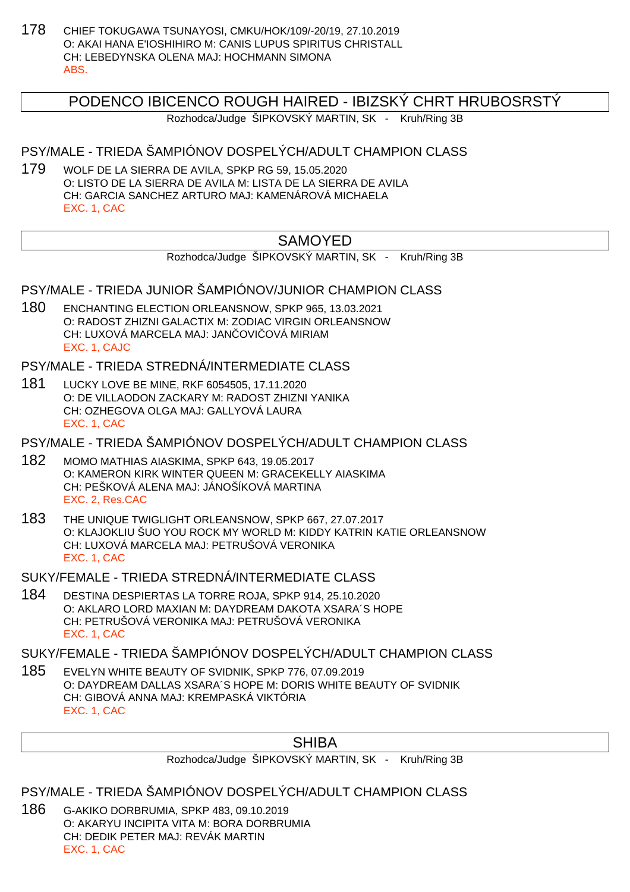178 CHIEF TOKUGAWA TSUNAYOSI, CMKU/HOK/109/-20/19, 27.10.2019 O: AKAI HANA E'IOSHIHIRO M: CANIS LUPUS SPIRITUS CHRISTALL CH: LEBEDYNSKA OLENA MAJ: HOCHMANN SIMONA ABS.

### PODENCO IBICENCO ROUGH HAIRED - IBIZSKÝ CHRT HRUBOSRSTÝ

Rozhodca/Judge ŠIPKOVSKÝ MARTIN, SK - Kruh/Ring 3B

#### PSY/MALE - TRIEDA ŠAMPIÓNOV DOSPELÝCH/ADULT CHAMPION CLASS

179 WOLF DE LA SIERRA DE AVILA, SPKP RG 59, 15.05.2020 O: LISTO DE LA SIERRA DE AVILA M: LISTA DE LA SIERRA DE AVILA CH: GARCIA SANCHEZ ARTURO MAJ: KAMENÁROVÁ MICHAELA EXC. 1, CAC

## **SAMOYED**

Rozhodca/Judge ŠIPKOVSKÝ MARTIN, SK - Kruh/Ring 3B

#### PSY/MALE - TRIEDA JUNIOR ŠAMPIÓNOV/JUNIOR CHAMPION CLASS

180 ENCHANTING ELECTION ORLEANSNOW, SPKP 965, 13.03.2021 O: RADOST ZHIZNI GALACTIX M: ZODIAC VIRGIN ORLEANSNOW CH: LUXOVÁ MARCELA MAJ: JAN OVI OVÁ MIRIAM EXC. 1, CAJC

PSY/MALE - TRIEDA STREDNÁ/INTERMEDIATE CLASS

181 LUCKY LOVE BE MINE, RKF 6054505, 17.11.2020 O: DE VILLAODON ZACKARY M: RADOST ZHIZNI YANIKA CH: OZHEGOVA OLGA MAJ: GALLYOVÁ LAURA EXC. 1, CAC

PSY/MALE - TRIEDA ŠAMPIÓNOV DOSPELÝCH/ADULT CHAMPION CLASS

- 182 MOMO MATHIAS AIASKIMA, SPKP 643, 19.05.2017 O: KAMERON KIRK WINTER QUEEN M: GRACEKELLY AIASKIMA CH: PEŠKOVÁ ALENA MAJ: JÁNOŠÍKOVÁ MARTINA EXC. 2, Res.CAC
- 183 THE UNIQUE TWIGLIGHT ORLEANSNOW, SPKP 667, 27.07.2017 O: KLAJOKLIU ŠUO YOU ROCK MY WORLD M: KIDDY KATRIN KATIE ORLEANSNOW CH: LUXOVÁ MARCELA MAJ: PETRUŠOVÁ VERONIKA EXC. 1, CAC

SUKY/FEMALE - TRIEDA STREDNÁ/INTERMEDIATE CLASS

184 DESTINA DESPIERTAS LA TORRE ROJA, SPKP 914, 25.10.2020 O: AKLARO LORD MAXIAN M: DAYDREAM DAKOTA XSARA´S HOPE CH: PETRUŠOVÁ VERONIKA MAJ: PETRUŠOVÁ VERONIKA EXC. 1, CAC

SUKY/FEMALE - TRIEDA ŠAMPIÓNOV DOSPELÝCH/ADULT CHAMPION CLASS

185 EVELYN WHITE BEAUTY OF SVIDNIK, SPKP 776, 07.09.2019 O: DAYDREAM DALLAS XSARA´S HOPE M: DORIS WHITE BEAUTY OF SVIDNIK CH: GIBOVÁ ANNA MAJ: KREMPASKÁ VIKTÓRIA EXC. 1, CAC

#### SHIBA

Rozhodca/Judge ŠIPKOVSKÝ MARTIN, SK - Kruh/Ring 3B

PSY/MALE - TRIEDA ŠAMPIÓNOV DOSPELÝCH/ADULT CHAMPION CLASS

186 G-AKIKO DORBRUMIA, SPKP 483, 09.10.2019 O: AKARYU INCIPITA VITA M: BORA DORBRUMIA CH: DEDIK PETER MAJ: REVÁK MARTIN EXC. 1, CAC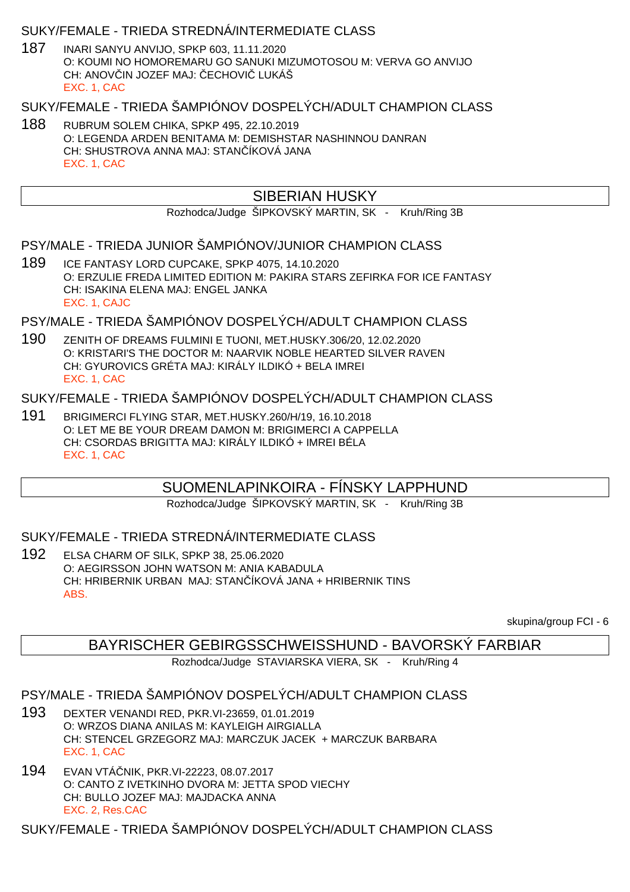#### SUKY/FEMALE - TRIEDA STREDNÁ/INTERMEDIATE CLASS

187 INARI SANYU ANVIJO, SPKP 603, 11.11.2020 O: KOUMI NO HOMOREMARU GO SANUKI MIZUMOTOSOU M: VERVA GO ANVIJO CH: ANOVIN JOZEF MAJ: ECHOVIL LUKÁŠ EXC. 1, CAC

#### SUKY/FEMALE - TRIEDA ŠAMPIÓNOV DOSPELÝCH/ADULT CHAMPION CLASS

188 RUBRUM SOLEM CHIKA, SPKP 495, 22.10.2019 O: LEGENDA ARDEN BENITAMA M: DEMISHSTAR NASHINNOU DANRAN CH: SHUSTROVA ANNA MAJ: STAN ÍKOVÁ JANA EXC. 1, CAC

## SIBERIAN HUSKY

Rozhodca/Judge ŠIPKOVSKÝ MARTIN, SK - Kruh/Ring 3B

#### PSY/MALE - TRIEDA JUNIOR ŠAMPIÓNOV/JUNIOR CHAMPION CLASS

189 ICE FANTASY LORD CUPCAKE, SPKP 4075, 14.10.2020 O: ERZULIE FREDA LIMITED EDITION M: PAKIRA STARS ZEFIRKA FOR ICE FANTASY CH: ISAKINA ELENA MAJ: ENGEL JANKA EXC. 1, CAJC

#### PSY/MALE - TRIEDA ŠAMPIÓNOV DOSPELÝCH/ADULT CHAMPION CLASS

190 ZENITH OF DREAMS FULMINI E TUONI, MET.HUSKY.306/20, 12.02.2020 O: KRISTARI'S THE DOCTOR M: NAARVIK NOBLE HEARTED SILVER RAVEN CH: GYUROVICS GRÉTA MAJ: KIRÁLY ILDIKÓ + BELA IMREI EXC. 1, CAC

#### SUKY/FEMALE - TRIEDA ŠAMPIÓNOV DOSPELÝCH/ADULT CHAMPION CLASS

191 BRIGIMERCI FLYING STAR, MET.HUSKY.260/H/19, 16.10.2018 O: LET ME BE YOUR DREAM DAMON M: BRIGIMERCI A CAPPELLA CH: CSORDAS BRIGITTA MAJ: KIRÁLY ILDIKÓ + IMREI BÉLA EXC. 1, CAC

### SUOMENLAPINKOIRA - FÍNSKY LAPPHUND

Rozhodca/Judge ŠIPKOVSKÝ MARTIN, SK - Kruh/Ring 3B

#### SUKY/FEMALE - TRIEDA STREDNÁ/INTERMEDIATE CLASS

192 ELSA CHARM OF SILK, SPKP 38, 25.06.2020 O: AEGIRSSON JOHN WATSON M: ANIA KABADULA CH: HRIBERNIK URBAN MAJ: STAN ÍKOVÁ JANA + HRIBERNIK TINS ABS.

skupina/group FCI - 6

## BAYRISCHER GEBIRGSSCHWEISSHUND - BAVORSKÝ FARBIAR

Rozhodca/Judge STAVIARSKA VIERA, SK - Kruh/Ring 4

### PSY/MALE - TRIEDA ŠAMPIÓNOV DOSPELÝCH/ADULT CHAMPION CLASS

- 193 DEXTER VENANDI RED, PKR.VI-23659, 01.01.2019 O: WRZOS DIANA ANILAS M: KAYLEIGH AIRGIALLA CH: STENCEL GRZEGORZ MAJ: MARCZUK JACEK + MARCZUK BARBARA EXC. 1, CAC
- 194 EVAN VTÁ NIK, PKR. VI-22223, 08.07.2017 O: CANTO Z IVETKINHO DVORA M: JETTA SPOD VIECHY CH: BULLO JOZEF MAJ: MAJDACKA ANNA EXC. 2, Res.CAC

SUKY/FEMALE - TRIEDA ŠAMPIÓNOV DOSPELÝCH/ADULT CHAMPION CLASS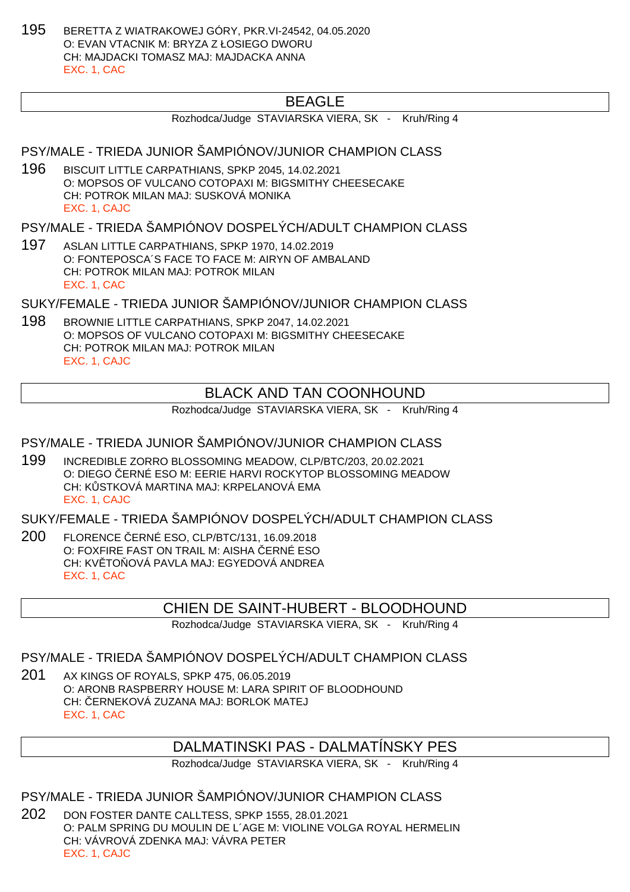195 BERETTA Z WIATRAKOWEJ GÓRY, PKR.VI-24542, 04.05.2020 O: EVAN VTACNIK M: BRYZA Z ŁOSIEGO DWORU CH: MAJDACKI TOMASZ MAJ: MAJDACKA ANNA EXC. 1, CAC

## BEAGLE

Rozhodca/Judge STAVIARSKA VIERA, SK - Kruh/Ring 4

#### PSY/MALE - TRIEDA JUNIOR ŠAMPIÓNOV/JUNIOR CHAMPION CLASS

196 BISCUIT LITTLE CARPATHIANS, SPKP 2045, 14.02.2021 O: MOPSOS OF VULCANO COTOPAXI M: BIGSMITHY CHEESECAKE CH: POTROK MILAN MAJ: SUSKOVÁ MONIKA EXC. 1, CAJC

PSY/MALE - TRIEDA ŠAMPIÓNOV DOSPELÝCH/ADULT CHAMPION CLASS

197 ASLAN LITTLE CARPATHIANS, SPKP 1970, 14.02.2019 O: FONTEPOSCA´S FACE TO FACE M: AIRYN OF AMBALAND CH: POTROK MILAN MAJ: POTROK MILAN EXC. 1, CAC

SUKY/FEMALE - TRIEDA JUNIOR ŠAMPIÓNOV/JUNIOR CHAMPION CLASS

198 BROWNIE LITTLE CARPATHIANS, SPKP 2047, 14.02.2021 O: MOPSOS OF VULCANO COTOPAXI M: BIGSMITHY CHEESECAKE CH: POTROK MILAN MAJ: POTROK MILAN EXC. 1, CAJC

## BLACK AND TAN COONHOUND

Rozhodca/Judge STAVIARSKA VIERA, SK - Kruh/Ring 4

#### PSY/MALE - TRIEDA JUNIOR ŠAMPIÓNOV/JUNIOR CHAMPION CLASS

199 INCREDIBLE ZORRO BLOSSOMING MEADOW, CLP/BTC/203, 20.02.2021 O: DIEGO ČERNÉ ESO M: EERIE HARVI ROCKYTOP BLOSSOMING MEADOW CH: KOSTKOVÁ MARTINA MAJ: KRPELANOVÁ EMA EXC. 1, CAJC

SUKY/FEMALE - TRIEDA ŠAMPIÓNOV DOSPELÝCH/ADULT CHAMPION CLASS

200 FLORENCE ČERNÉ ESO, CLP/BTC/131, 16.09.2018 O: FOXFIRE FAST ON TRAIL M: AISHA ERNÉ ESO CH: KV TO OVÁ PAVLA MAJ: EGYEDOVÁ ANDREA EXC. 1, CAC

### CHIEN DE SAINT-HUBERT - BLOODHOUND

Rozhodca/Judge STAVIARSKA VIERA, SK - Kruh/Ring 4

#### PSY/MALE - TRIEDA ŠAMPIÓNOV DOSPELÝCH/ADULT CHAMPION CLASS

201 AX KINGS OF ROYALS, SPKP 475, 06.05.2019 O: ARONB RASPBERRY HOUSE M: LARA SPIRIT OF BLOODHOUND CH: ERNEKOVÁ ZUZANA MAJ: BORLOK MATEJ EXC. 1, CAC

### DALMATINSKI PAS - DALMATÍNSKY PES

Rozhodca/Judge STAVIARSKA VIERA, SK - Kruh/Ring 4

#### PSY/MALE - TRIEDA JUNIOR ŠAMPIÓNOV/JUNIOR CHAMPION CLASS

202 DON FOSTER DANTE CALLTESS, SPKP 1555, 28.01.2021 O: PALM SPRING DU MOULIN DE L´AGE M: VIOLINE VOLGA ROYAL HERMELIN CH: VÁVROVÁ ZDENKA MAJ: VÁVRA PETER EXC. 1, CAJC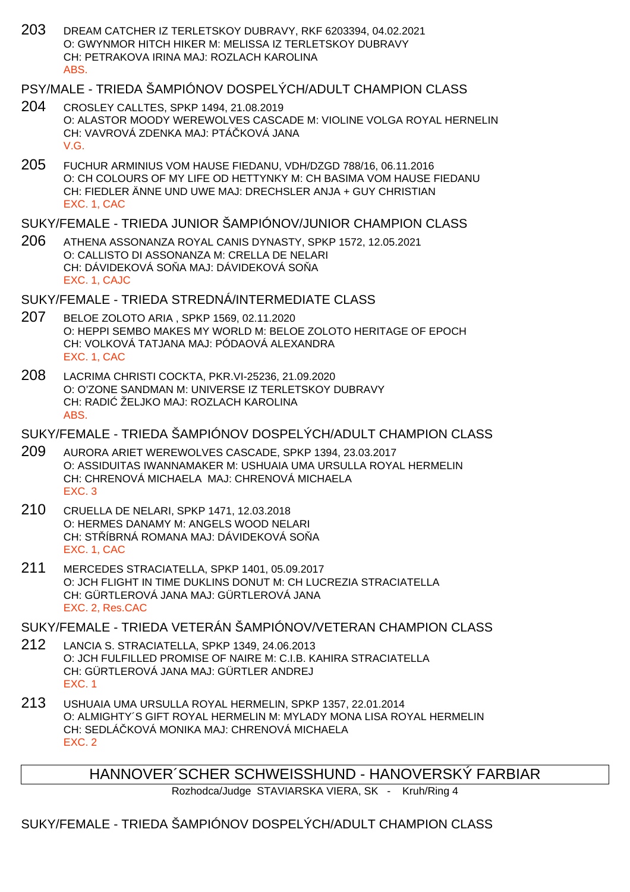203 DREAM CATCHER IZ TERLETSKOY DUBRAVY, RKF 6203394, 04.02.2021 O: GWYNMOR HITCH HIKER M: MELISSA IZ TERLETSKOY DUBRAVY CH: PETRAKOVA IRINA MAJ: ROZLACH KAROLINA ABS.

### PSY/MALE - TRIEDA ŠAMPIÓNOV DOSPELÝCH/ADULT CHAMPION CLASS

- 204 CROSLEY CALLTES, SPKP 1494, 21.08.2019 O: ALASTOR MOODY WEREWOLVES CASCADE M: VIOLINE VOLGA ROYAL HERNELIN CH: VAVROVÁ ZDENKA MAJ: PTÁ KOVÁ JANA V.G.
- 205 FUCHUR ARMINIUS VOM HAUSE FIEDANU, VDH/DZGD 788/16, 06.11.2016 O: CH COLOURS OF MY LIFE OD HETTYNKY M: CH BASIMA VOM HAUSE FIEDANU CH: FIEDLER ÄNNE UND UWE MAJ: DRECHSLER ANJA + GUY CHRISTIAN EXC. 1, CAC

## SUKY/FEMALE - TRIEDA JUNIOR ŠAMPIÓNOV/JUNIOR CHAMPION CLASS

206 ATHENA ASSONANZA ROYAL CANIS DYNASTY, SPKP 1572, 12.05.2021 O: CALLISTO DI ASSONANZA M: CRELLA DE NELARI CH: DÁVIDEKOVÁ SO A MAJ: DÁVIDEKOVÁ SO A EXC. 1, CAJC

## SUKY/FEMALE - TRIEDA STREDNÁ/INTERMEDIATE CLASS

- 207 BELOE ZOLOTO ARIA , SPKP 1569, 02.11.2020 O: HEPPI SEMBO MAKES MY WORLD M: BELOE ZOLOTO HERITAGE OF EPOCH CH: VOLKOVÁ TATJANA MAJ: PÓDAOVÁ ALEXANDRA EXC. 1, CAC
- 208 LACRIMA CHRISTI COCKTA, PKR.VI-25236, 21.09.2020 O: O'ZONE SANDMAN M: UNIVERSE IZ TERLETSKOY DUBRAVY CH: RADI $\check{Z}$ ELJKO MAJ: ROZLACH KAROLINA ABS.

### SUKY/FEMALE - TRIEDA ŠAMPIÓNOV DOSPELÝCH/ADULT CHAMPION CLASS

- 209 AURORA ARIET WEREWOLVES CASCADE, SPKP 1394, 23.03.2017 O: ASSIDUITAS IWANNAMAKER M: USHUAIA UMA URSULLA ROYAL HERMELIN CH: CHRENOVÁ MICHAELA MAJ: CHRENOVÁ MICHAELA EXC. 3
- 210 CRUELLA DE NELARI, SPKP 1471, 12.03.2018 O: HERMES DANAMY M: ANGELS WOOD NELARI CH: STÍBRNÁ ROMANA MAJ: DÁVIDEKOVÁ SOŇA EXC. 1, CAC
- 211 MERCEDES STRACIATELLA, SPKP 1401, 05.09.2017 O: JCH FLIGHT IN TIME DUKLINS DONUT M: CH LUCREZIA STRACIATELLA CH: GÜRTLEROVÁ JANA MAJ: GÜRTLEROVÁ JANA EXC. 2, Res.CAC

## SUKY/FEMALE - TRIEDA VETERÁN ŠAMPIÓNOV/VETERAN CHAMPION CLASS

- 212 LANCIA S. STRACIATELLA, SPKP 1349, 24.06.2013 O: JCH FULFILLED PROMISE OF NAIRE M: C.I.B. KAHIRA STRACIATELLA CH: GÜRTLEROVÁ JANA MAJ: GÜRTLER ANDREJ EXC. 1
- 213 USHUAIA UMA URSULLA ROYAL HERMELIN, SPKP 1357, 22.01.2014 O: ALMIGHTY´S GIFT ROYAL HERMELIN M: MYLADY MONA LISA ROYAL HERMELIN CH: SEDLÁ KOVÁ MONIKA MAJ: CHRENOVÁ MICHAELA EXC. 2

HANNOVER´SCHER SCHWEISSHUND - HANOVERSKÝ FARBIAR

Rozhodca/Judge STAVIARSKA VIERA, SK - Kruh/Ring 4

### SUKY/FEMALE - TRIEDA ŠAMPIÓNOV DOSPELÝCH/ADULT CHAMPION CLASS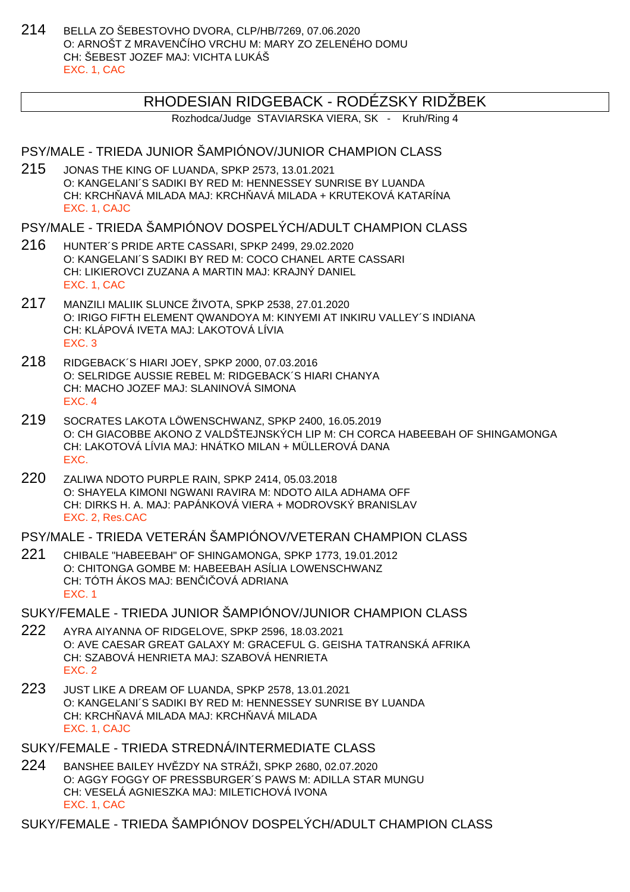214 BELLA ZO ŠEBESTOVHO DVORA, CLP/HB/7269, 07.06.2020 O: ARNOŠT Z MRAVENČÍHO VRCHU M: MARY ZO ZELENÉHO DOMU CH: ŠEBEST JOZEF MAJ: VICHTA LUKÁŠ EXC. 1, CAC

### RHODESIAN RIDGEBACK - RODÉZSKY RIDŽBEK

Rozhodca/Judge STAVIARSKA VIERA, SK - Kruh/Ring 4

#### PSY/MALE - TRIEDA JUNIOR ŠAMPIÓNOV/JUNIOR CHAMPION CLASS

215 JONAS THE KING OF LUANDA, SPKP 2573, 13.01.2021 O: KANGELANI´S SADIKI BY RED M: HENNESSEY SUNRISE BY LUANDA CH: KRCH AVÁ MILADA MAJ: KRCH AVÁ MILADA + KRUTEKOVÁ KATARÍNA EXC. 1, CAJC

#### PSY/MALE - TRIEDA ŠAMPIÓNOV DOSPELÝCH/ADULT CHAMPION CLASS

- 216 HUNTER´S PRIDE ARTE CASSARI, SPKP 2499, 29.02.2020 O: KANGELANI´S SADIKI BY RED M: COCO CHANEL ARTE CASSARI CH: LIKIEROVCI ZUZANA A MARTIN MAJ: KRAJNÝ DANIEL EXC. 1, CAC
- 217 MANZILI MALIIK SLUNCE ŽIVOTA, SPKP 2538, 27.01.2020 O: IRIGO FIFTH ELEMENT QWANDOYA M: KINYEMI AT INKIRU VALLEY´S INDIANA CH: KLÁPOVÁ IVETA MAJ: LAKOTOVÁ LÍVIA EXC. 3
- 218 RIDGEBACK´S HIARI JOEY, SPKP 2000, 07.03.2016 O: SELRIDGE AUSSIE REBEL M: RIDGEBACK´S HIARI CHANYA CH: MACHO JOZEF MAJ: SLANINOVÁ SIMONA EXC. 4
- 219 SOCRATES LAKOTA LÖWENSCHWANZ, SPKP 2400, 16.05.2019 O: CH GIACOBBE AKONO Z VALDŠTEJNSKÝCH LIP M: CH CORCA HABEEBAH OF SHINGAMONGA CH: LAKOTOVÁ LÍVIA MAJ: HNÁTKO MILAN + MÜLLEROVÁ DANA EXC.
- 220 ZALIWA NDOTO PURPLE RAIN, SPKP 2414, 05.03.2018 O: SHAYELA KIMONI NGWANI RAVIRA M: NDOTO AILA ADHAMA OFF CH: DIRKS H. A. MAJ: PAPÁNKOVÁ VIERA + MODROVSKÝ BRANISLAV EXC. 2, Res.CAC

#### PSY/MALE - TRIEDA VETERÁN ŠAMPIÓNOV/VETERAN CHAMPION CLASS

221 CHIBALE "HABEEBAH" OF SHINGAMONGA, SPKP 1773, 19.01.2012 O: CHITONGA GOMBE M: HABEEBAH ASÍLIA LOWENSCHWANZ CH: TÓTH ÁKOS MAJ: BEN I OVÁ ADRIANA EXC. 1

#### SUKY/FEMALE - TRIEDA JUNIOR ŠAMPIÓNOV/JUNIOR CHAMPION CLASS

- 222 AYRA AIYANNA OF RIDGELOVE, SPKP 2596, 18.03.2021 O: AVE CAESAR GREAT GALAXY M: GRACEFUL G. GEISHA TATRANSKÁ AFRIKA CH: SZABOVÁ HENRIETA MAJ: SZABOVÁ HENRIETA EXC. 2
- 223 JUST LIKE A DREAM OF LUANDA, SPKP 2578, 13.01.2021 O: KANGELANI´S SADIKI BY RED M: HENNESSEY SUNRISE BY LUANDA CH: KRCH AVÁ MILADA MAJ: KRCH AVÁ MILADA EXC. 1, CAJC

#### SUKY/FEMALE - TRIEDA STREDNÁ/INTERMEDIATE CLASS

224 BANSHEE BAILEY HVĚZDY NA STRÁŽI, SPKP 2680, 02.07.2020 O: AGGY FOGGY OF PRESSBURGER´S PAWS M: ADILLA STAR MUNGU CH: VESELÁ AGNIESZKA MAJ: MILETICHOVÁ IVONA EXC. 1, CAC

SUKY/FEMALE - TRIEDA ŠAMPIÓNOV DOSPELÝCH/ADULT CHAMPION CLASS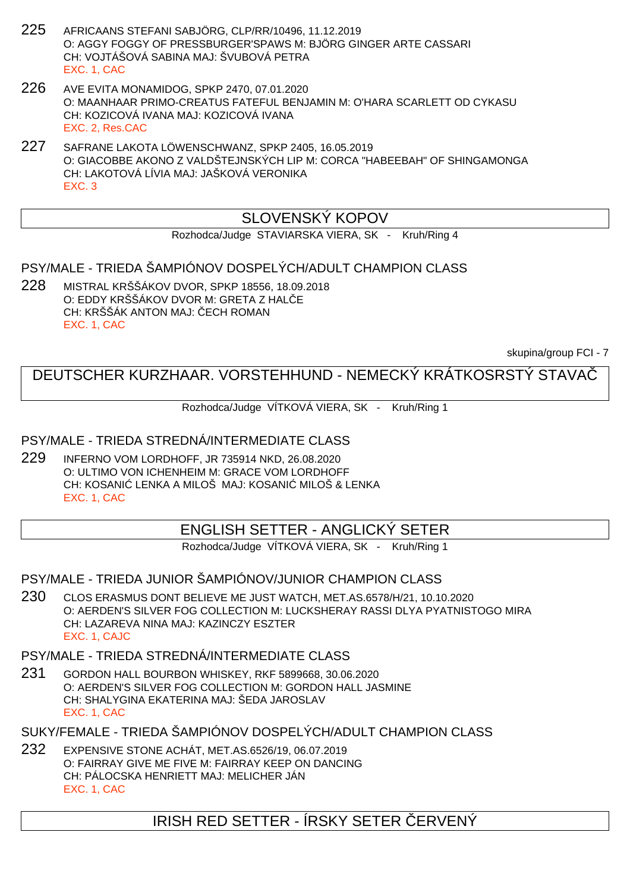- 225 AFRICAANS STEFANI SABJÖRG, CLP/RR/10496, 11.12.2019 O: AGGY FOGGY OF PRESSBURGER'SPAWS M: BJÖRG GINGER ARTE CASSARI CH: VOJTÁŠOVÁ SABINA MAJ: ŠVUBOVÁ PETRA EXC. 1, CAC
- 226 AVE EVITA MONAMIDOG, SPKP 2470, 07.01.2020 O: MAANHAAR PRIMO-CREATUS FATEFUL BENJAMIN M: O'HARA SCARLETT OD CYKASU CH: KOZICOVÁ IVANA MAJ: KOZICOVÁ IVANA EXC. 2, Res.CAC
- 227 SAFRANE LAKOTA LÖWENSCHWANZ, SPKP 2405, 16.05.2019 O: GIACOBBE AKONO Z VALDŠTEJNSKÝCH LIP M: CORCA "HABEEBAH" OF SHINGAMONGA CH: LAKOTOVÁ LÍVIA MAJ: JAŠKOVÁ VERONIKA EXC. 3

## SLOVENSKÝ KOPOV

Rozhodca/Judge STAVIARSKA VIERA, SK - Kruh/Ring 4

#### PSY/MALE - TRIEDA ŠAMPIÓNOV DOSPELÝCH/ADULT CHAMPION CLASS

228 MISTRAL KRŠŠÁKOV DVOR, SPKP 18556, 18.09.2018 O: EDDY KRŠŠÁKOV DVOR M: GRETA Z HAL $E$ CH: KRŠŠÁK ANTON MAJ: ECH ROMAN EXC. 1, CAC

skupina/group FCI - 7

## DEUTSCHER KURZHAAR. VORSTEHHUND - NEMECKÝ KRÁTKOSRSTÝ STAVAČ

Rozhodca/Judge VÍTKOVÁ VIERA, SK - Kruh/Ring 1

#### PSY/MALE - TRIEDA STREDNÁ/INTERMEDIATE CLASS

229 INFERNO VOM LORDHOFF, JR 735914 NKD, 26.08.2020 O: ULTIMO VON ICHENHEIM M: GRACE VOM LORDHOFF CH: KOSANI LENKA A MILOŠ MAJ: KOSANI MILOŠ & LENKA EXC. 1, CAC

### ENGLISH SETTER - ANGLICKÝ SETER

Rozhodca/Judge VÍTKOVÁ VIERA, SK - Kruh/Ring 1

PSY/MALE - TRIEDA JUNIOR ŠAMPIÓNOV/JUNIOR CHAMPION CLASS

230 CLOS ERASMUS DONT BELIEVE ME JUST WATCH, MET.AS.6578/H/21, 10.10.2020 O: AERDEN'S SILVER FOG COLLECTION M: LUCKSHERAY RASSI DLYA PYATNISTOGO MIRA CH: LAZAREVA NINA MAJ: KAZINCZY ESZTER EXC. 1, CAJC

#### PSY/MALE - TRIEDA STREDNÁ/INTERMEDIATE CLASS

231 GORDON HALL BOURBON WHISKEY, RKF 5899668, 30.06.2020 O: AERDEN'S SILVER FOG COLLECTION M: GORDON HALL JASMINE CH: SHALYGINA EKATERINA MAJ: ŠEDA JAROSLAV EXC. 1, CAC

SUKY/FEMALE - TRIEDA ŠAMPIÓNOV DOSPELÝCH/ADULT CHAMPION CLASS

232 EXPENSIVE STONE ACHÁT, MET.AS.6526/19, 06.07.2019 O: FAIRRAY GIVE ME FIVE M: FAIRRAY KEEP ON DANCING CH: PÁLOCSKA HENRIETT MAJ: MELICHER JÁN EXC. 1, CAC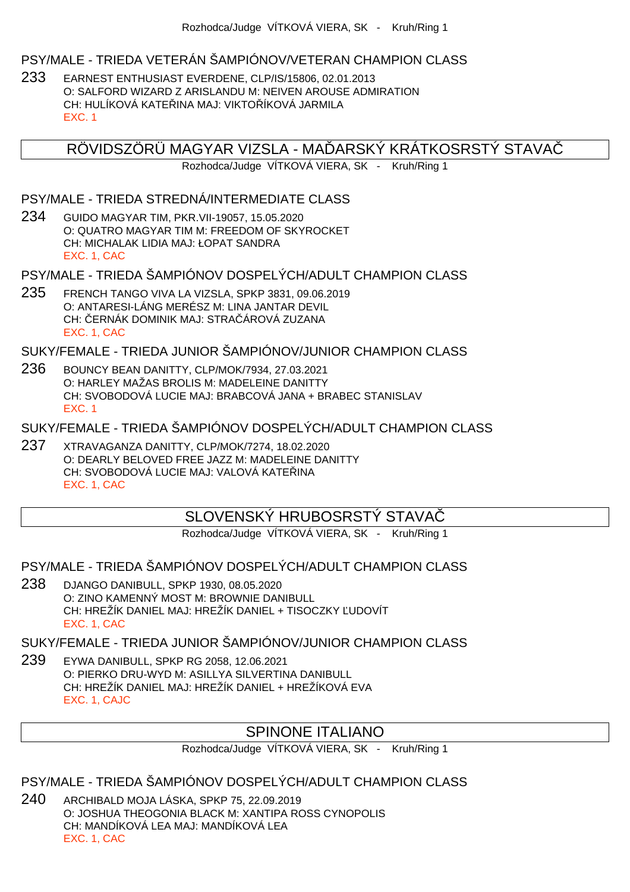#### PSY/MALE - TRIEDA VETERÁN ŠAMPIÓNOV/VETERAN CHAMPION CLASS

233 EARNEST ENTHUSIAST EVERDENE, CLP/IS/15806, 02.01.2013 O: SALFORD WIZARD Z ARISLANDU M: NEIVEN AROUSE ADMIRATION CH: HULÍKOVÁ KATELINA MAJ: VIKTOLÍKOVÁ JARMILA EXC. 1

RÖVIDSZÖRÜ MAGYAR VIZSLA - MA ARSKÝ KRÁTKOSRSTÝ STAVA

Rozhodca/Judge VÍTKOVÁ VIERA, SK - Kruh/Ring 1

#### PSY/MALE - TRIEDA STREDNÁ/INTERMEDIATE CLASS

234 GUIDO MAGYAR TIM, PKR.VII-19057, 15.05.2020 O: QUATRO MAGYAR TIM M: FREEDOM OF SKYROCKET CH: MICHALAK LIDIA MAJ: ŁOPAT SANDRA EXC. 1, CAC

PSY/MALE - TRIEDA ŠAMPIÓNOV DOSPELÝCH/ADULT CHAMPION CLASS

235 FRENCH TANGO VIVA LA VIZSLA, SPKP 3831, 09.06.2019 O: ANTARESI-LÁNG MERÉSZ M: LINA JANTAR DEVIL CH: ERNÁK DOMINIK MAJ: STRA ÁROVÁ ZUZANA EXC. 1, CAC

SUKY/FEMALE - TRIEDA JUNIOR ŠAMPIÓNOV/JUNIOR CHAMPION CLASS

- 236 BOUNCY BEAN DANITTY, CLP/MOK/7934, 27.03.2021 O: HARLEY MAŽAS BROLIS M: MADELEINE DANITTY CH: SVOBODOVÁ LUCIE MAJ: BRABCOVÁ JANA + BRABEC STANISLAV EXC. 1
- SUKY/FEMALE TRIEDA ŠAMPIÓNOV DOSPELÝCH/ADULT CHAMPION CLASS
- 237 XTRAVAGANZA DANITTY, CLP/MOK/7274, 18.02.2020 O: DEARLY BELOVED FREE JAZZ M: MADELEINE DANITTY CH: SVOBODOVÁ LUCIE MAJ: VALOVÁ KATE INA EXC. 1, CAC

### SLOVENSKÝ HRUBOSRSTÝ STAVAČ

Rozhodca/Judge VÍTKOVÁ VIERA, SK - Kruh/Ring 1

PSY/MALE - TRIEDA ŠAMPIÓNOV DOSPELÝCH/ADULT CHAMPION CLASS

238 DJANGO DANIBULL, SPKP 1930, 08.05.2020 O: ZINO KAMENNÝ MOST M: BROWNIE DANIBULL CH: HREŽÍK DANIEL MAJ: HREŽÍK DANIEL + TISOCZKY ĽUDOVÍT EXC. 1, CAC

SUKY/FEMALE - TRIEDA JUNIOR ŠAMPIÓNOV/JUNIOR CHAMPION CLASS

239 EYWA DANIBULL, SPKP RG 2058, 12.06.2021 O: PIERKO DRU-WYD M: ASILLYA SILVERTINA DANIBULL CH: HREŽÍK DANIEL MAJ: HREŽÍK DANIEL + HREŽÍKOVÁ EVA EXC. 1, CAJC

### SPINONE ITALIANO

Rozhodca/Judge VÍTKOVÁ VIERA, SK - Kruh/Ring 1

PSY/MALE - TRIEDA ŠAMPIÓNOV DOSPELÝCH/ADULT CHAMPION CLASS

240 ARCHIBALD MOJA LÁSKA, SPKP 75, 22.09.2019 O: JOSHUA THEOGONIA BLACK M: XANTIPA ROSS CYNOPOLIS CH: MANDÍKOVÁ LEA MAJ: MANDÍKOVÁ LEA EXC. 1, CAC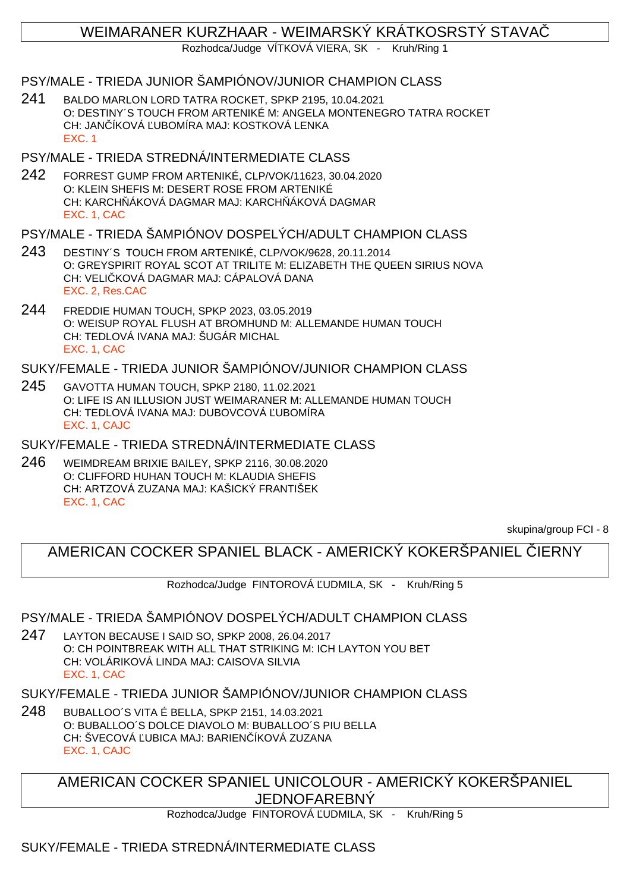## WEIMARANER KURZHAAR - WEIMARSKÝ KRÁTKOSRSTÝ STAVAČ

Rozhodca/Judge VÍTKOVÁ VIERA, SK - Kruh/Ring 1

## PSY/MALE - TRIEDA JUNIOR ŠAMPIÓNOV/JUNIOR CHAMPION CLASS

241 BALDO MARLON LORD TATRA ROCKET, SPKP 2195, 10.04.2021 O: DESTINY´S TOUCH FROM ARTENIKÉ M: ANGELA MONTENEGRO TATRA ROCKET CH: JAN ÍKOVÁ UBOMÍRA MAJ: KOSTKOVÁ LENKA EXC. 1

### PSY/MALE - TRIEDA STREDNÁ/INTERMEDIATE CLASS

242 FORREST GUMP FROM ARTENIKÉ, CLP/VOK/11623, 30.04.2020 O: KLEIN SHEFIS M: DESERT ROSE FROM ARTENIKÉ CH: KARCH ÁKOVÁ DAGMAR MAJ: KARCH ÁKOVÁ DAGMAR EXC. 1, CAC

## PSY/MALE - TRIEDA ŠAMPIÓNOV DOSPELÝCH/ADULT CHAMPION CLASS

- 243 DESTINY´S TOUCH FROM ARTENIKÉ, CLP/VOK/9628, 20.11.2014 O: GREYSPIRIT ROYAL SCOT AT TRILITE M: ELIZABETH THE QUEEN SIRIUS NOVA CH: VELI KOVÁ DAGMAR MAJ: CÁPALOVÁ DANA EXC. 2, Res.CAC
- 244 FREDDIE HUMAN TOUCH, SPKP 2023, 03.05.2019 O: WEISUP ROYAL FLUSH AT BROMHUND M: ALLEMANDE HUMAN TOUCH CH: TEDLOVÁ IVANA MAJ: ŠUGÁR MICHAL EXC. 1, CAC

## SUKY/FEMALE - TRIEDA JUNIOR ŠAMPIÓNOV/JUNIOR CHAMPION CLASS

245 GAVOTTA HUMAN TOUCH, SPKP 2180, 11.02.2021 O: LIFE IS AN ILLUSION JUST WEIMARANER M: ALLEMANDE HUMAN TOUCH CH: TEDLOVÁ IVANA MAJ: DUBOVCOVÁ UBOMÍRA EXC. 1, CAJC

SUKY/FEMALE - TRIEDA STREDNÁ/INTERMEDIATE CLASS

246 WEIMDREAM BRIXIE BAILEY, SPKP 2116, 30.08.2020 O: CLIFFORD HUHAN TOUCH M: KLAUDIA SHEFIS CH: ARTZOVÁ ZUZANA MAJ: KAŠICKÝ FRANTIŠEK EXC. 1, CAC

skupina/group FCI - 8

## AMERICAN COCKER SPANIEL BLACK - AMERICKÝ KOKERŠPANIEL LIERNY

Rozhodca/Judge FINTOROVÁ UDMILA, SK - Kruh/Ring 5

### PSY/MALE - TRIEDA ŠAMPIÓNOV DOSPELÝCH/ADULT CHAMPION CLASS

247 LAYTON BECAUSE I SAID SO, SPKP 2008, 26.04.2017 O: CH POINTBREAK WITH ALL THAT STRIKING M: ICH LAYTON YOU BET CH: VOLÁRIKOVÁ LINDA MAJ: CAISOVA SILVIA EXC. 1, CAC

### SUKY/FEMALE - TRIEDA JUNIOR ŠAMPIÓNOV/JUNIOR CHAMPION CLASS

248 BUBALLOO´S VITA É BELLA, SPKP 2151, 14.03.2021 O: BUBALLOO´S DOLCE DIAVOLO M: BUBALLOO´S PIU BELLA CH: ŠVECOVÁ UBICA MAJ: BARIEN ÍKOVÁ ZUZANA EXC. 1, CAJC

AMERICAN COCKER SPANIEL UNICOLOUR - AMERICKÝ KOKERŠPANIEL JEDNOFAREBNÝ

Rozhodca/Judge FINTOROVÁ UDMILA, SK - Kruh/Ring 5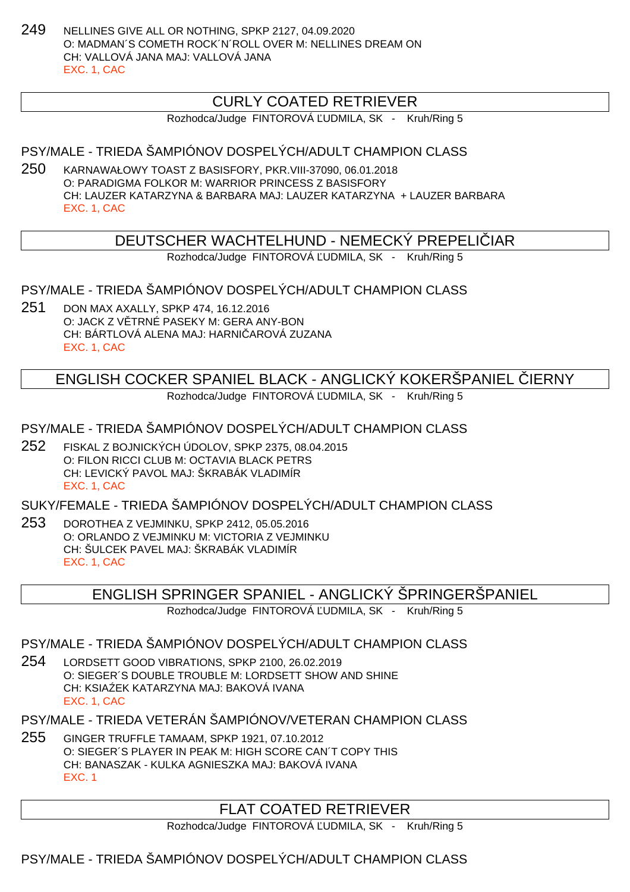249 NELLINES GIVE ALL OR NOTHING, SPKP 2127, 04.09.2020 O: MADMAN´S COMETH ROCK´N´ROLL OVER M: NELLINES DREAM ON CH: VALLOVÁ JANA MAJ: VALLOVÁ JANA EXC. 1, CAC

## CURLY COATED RETRIEVER

Rozhodca/Judge FINTOROVÁ UDMILA, SK - Kruh/Ring 5

PSY/MALE - TRIEDA ŠAMPIÓNOV DOSPELÝCH/ADULT CHAMPION CLASS

250 KARNAWAŁOWY TOAST Z BASISFORY, PKR.VIII-37090, 06.01.2018 O: PARADIGMA FOLKOR M: WARRIOR PRINCESS Z BASISFORY CH: LAUZER KATARZYNA & BARBARA MAJ: LAUZER KATARZYNA + LAUZER BARBARA EXC. 1, CAC

## DEUTSCHER WACHTELHUND - NEMECKÝ PREPELI JAR

Rozhodca/Judge FINTOROVÁ UDMILA, SK - Kruh/Ring 5

PSY/MALE - TRIEDA ŠAMPIÓNOV DOSPELÝCH/ADULT CHAMPION CLASS

251 DON MAX AXALLY, SPKP 474, 16.12.2016 O: JACK Z V TRNÉ PASEKY M: GERA ANY-BON CH: BÁRTLOVÁ ALENA MAJ: HARNI AROVÁ ZUZANA EXC. 1, CAC

> ENGLISH COCKER SPANIEL BLACK - ANGLICKÝ KOKERŠPANIEL IERNY Rozhodca/Judge FINTOROVÁ UDMILA, SK - Kruh/Ring 5

PSY/MALE - TRIEDA ŠAMPIÓNOV DOSPELÝCH/ADULT CHAMPION CLASS

252 FISKAL Z BOJNICKÝCH ÚDOLOV, SPKP 2375, 08.04.2015 O: FILON RICCI CLUB M: OCTAVIA BLACK PETRS CH: LEVICKÝ PAVOL MAJ: ŠKRABÁK VLADIMÍR EXC. 1, CAC

SUKY/FEMALE - TRIEDA ŠAMPIÓNOV DOSPELÝCH/ADULT CHAMPION CLASS

253 DOROTHEA Z VEJMINKU, SPKP 2412, 05.05.2016 O: ORLANDO Z VEJMINKU M: VICTORIA Z VEJMINKU CH: ŠULCEK PAVEL MAJ: ŠKRABÁK VLADIMÍR EXC. 1, CAC

### ENGLISH SPRINGER SPANIEL - ANGLICKÝ ŠPRINGERŠPANIEL

Rozhodca/Judge FINTOROVÁ UDMILA, SK - Kruh/Ring 5

PSY/MALE - TRIEDA ŠAMPIÓNOV DOSPELÝCH/ADULT CHAMPION CLASS

254 LORDSETT GOOD VIBRATIONS, SPKP 2100, 26.02.2019 O: SIEGER´S DOUBLE TROUBLE M: LORDSETT SHOW AND SHINE CH: KSIA EK KATARZYNA MAJ: BAKOVÁ IVANA EXC. 1, CAC

PSY/MALE - TRIEDA VETERÁN ŠAMPIÓNOV/VETERAN CHAMPION CLASS

255 GINGER TRUFFLE TAMAAM, SPKP 1921, 07.10.2012 O: SIEGER´S PLAYER IN PEAK M: HIGH SCORE CAN´T COPY THIS CH: BANASZAK - KULKA AGNIESZKA MAJ: BAKOVÁ IVANA EXC. 1

## FLAT COATED RETRIEVER

Rozhodca/Judge FINTOROVÁ UDMILA, SK - Kruh/Ring 5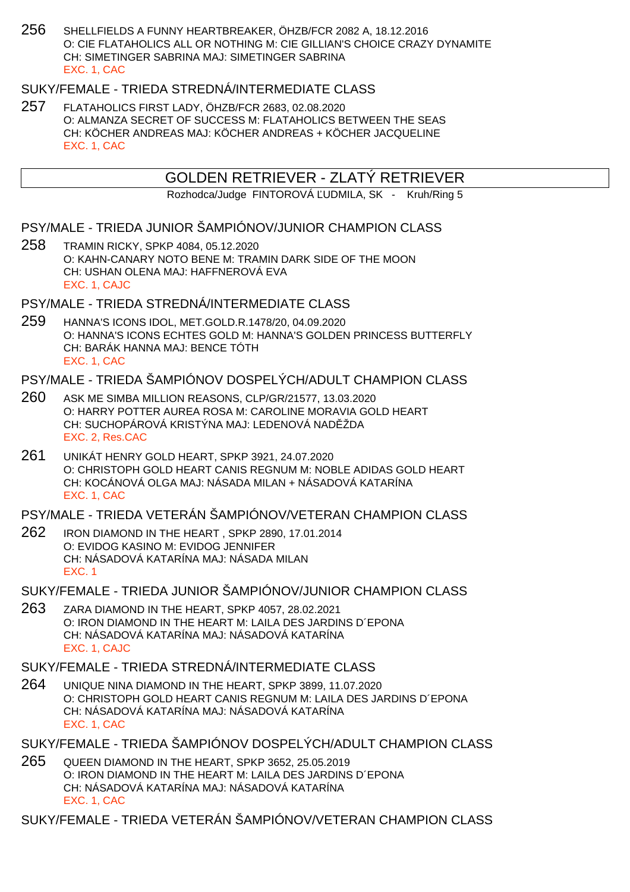256 SHELLFIELDS A FUNNY HEARTBREAKER, ÖHZB/FCR 2082 A, 18.12.2016 O: CIE FLATAHOLICS ALL OR NOTHING M: CIE GILLIAN'S CHOICE CRAZY DYNAMITE CH: SIMETINGER SABRINA MAJ: SIMETINGER SABRINA EXC. 1, CAC

## SUKY/FEMALE - TRIEDA STREDNÁ/INTERMEDIATE CLASS

257 FLATAHOLICS FIRST LADY, ÖHZB/FCR 2683, 02.08.2020 O: ALMANZA SECRET OF SUCCESS M: FLATAHOLICS BETWEEN THE SEAS CH: KÖCHER ANDREAS MAJ: KÖCHER ANDREAS + KÖCHER JACQUELINE EXC. 1, CAC

## GOLDEN RETRIEVER - ZLATÝ RETRIEVER

Rozhodca/Judge FINTOROVÁ UDMILA, SK - Kruh/Ring 5

- PSY/MALE TRIEDA JUNIOR ŠAMPIÓNOV/JUNIOR CHAMPION CLASS
- 258 TRAMIN RICKY, SPKP 4084, 05.12.2020 O: KAHN-CANARY NOTO BENE M: TRAMIN DARK SIDE OF THE MOON CH: USHAN OLENA MAJ: HAFFNEROVÁ EVA EXC. 1, CAJC

PSY/MALE - TRIEDA STREDNÁ/INTERMEDIATE CI ASS

259 HANNA'S ICONS IDOL, MET.GOLD.R.1478/20, 04.09.2020 O: HANNA'S ICONS ECHTES GOLD M: HANNA'S GOLDEN PRINCESS BUTTERFLY CH: BARÁK HANNA MAJ: BENCE TÓTH EXC. 1, CAC

## PSY/MALE - TRIEDA ŠAMPIÓNOV DOSPELÝCH/ADULT CHAMPION CLASS

- 260 ASK ME SIMBA MILLION REASONS, CLP/GR/21577, 13.03.2020 O: HARRY POTTER AUREA ROSA M: CAROLINE MORAVIA GOLD HEART CH: SUCHOPÁROVÁ KRISTÝNA MAJ: LEDENOVÁ NAD ŽDA EXC. 2, Res.CAC
- 261 UNIKÁT HENRY GOLD HEART, SPKP 3921, 24.07.2020 O: CHRISTOPH GOLD HEART CANIS REGNUM M: NOBLE ADIDAS GOLD HEART CH: KOCÁNOVÁ OLGA MAJ: NÁSADA MILAN + NÁSADOVÁ KATARÍNA EXC. 1, CAC

PSY/MALE - TRIEDA VETERÁN ŠAMPIÓNOV/VETERAN CHAMPION CLASS

262 IRON DIAMOND IN THE HEART , SPKP 2890, 17.01.2014 O: EVIDOG KASINO M: EVIDOG JENNIFER CH: NÁSADOVÁ KATARÍNA MAJ: NÁSADA MILAN EXC. 1

SUKY/FEMALE - TRIEDA JUNIOR ŠAMPIÓNOV/JUNIOR CHAMPION CLASS

263 ZARA DIAMOND IN THE HEART, SPKP 4057, 28.02.2021 O: IRON DIAMOND IN THE HEART M: LAILA DES JARDINS D´EPONA CH: NÁSADOVÁ KATARÍNA MAJ: NÁSADOVÁ KATARÍNA EXC. 1, CAJC

SUKY/FEMALE - TRIEDA STREDNÁ/INTERMEDIATE CLASS

- 264 UNIQUE NINA DIAMOND IN THE HEART, SPKP 3899, 11.07.2020 O: CHRISTOPH GOLD HEART CANIS REGNUM M: LAILA DES JARDINS D´EPONA CH: NÁSADOVÁ KATARÍNA MAJ: NÁSADOVÁ KATARÍNA EXC. 1, CAC
- SUKY/FEMALE TRIEDA ŠAMPIÓNOV DOSPELÝCH/ADULT CHAMPION CLASS
- 265 QUEEN DIAMOND IN THE HEART, SPKP 3652, 25.05.2019 O: IRON DIAMOND IN THE HEART M: LAILA DES JARDINS D´EPONA CH: NÁSADOVÁ KATARÍNA MAJ: NÁSADOVÁ KATARÍNA EXC. 1, CAC

SUKY/FEMALE - TRIEDA VETERÁN ŠAMPIÓNOV/VETERAN CHAMPION CLASS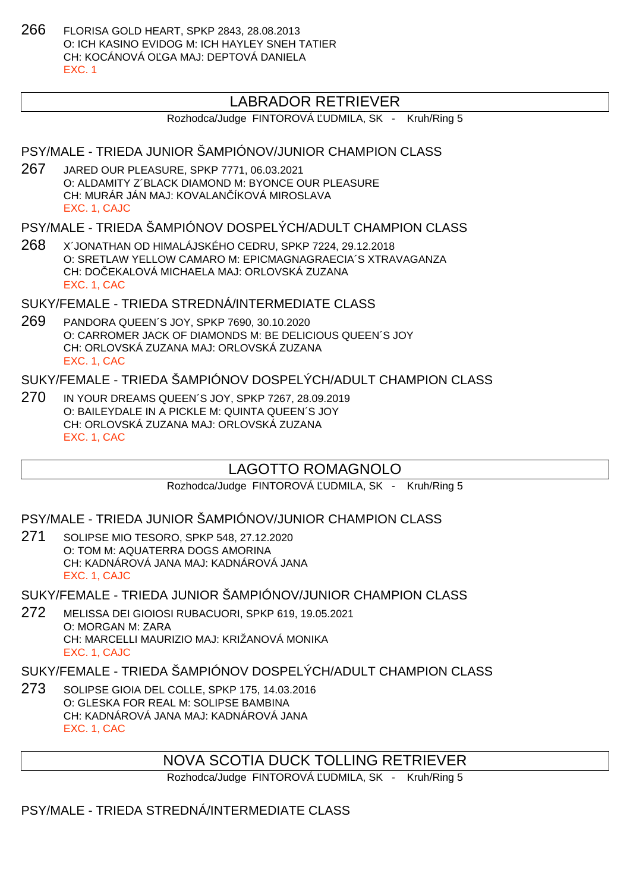266 FLORISA GOLD HEART, SPKP 2843, 28.08.2013 O: ICH KASINO EVIDOG M: ICH HAYLEY SNEH TATIER CH: KOCÁNOVÁ OĽGA MAJ: DEPTOVÁ DANIELA EXC. 1

## LABRADOR RETRIEVER

Rozhodca/Judge FINTOROVÁ UDMILA, SK - Kruh/Ring 5

#### PSY/MALE - TRIEDA JUNIOR ŠAMPIÓNOV/JUNIOR CHAMPION CLASS

267 JARED OUR PLEASURE, SPKP 7771, 06.03.2021 O: ALDAMITY Z´BLACK DIAMOND M: BYONCE OUR PLEASURE CH: MURÁR JÁN MAJ: KOVALAN ÍKOVÁ MIROSLAVA EXC. 1, CAJC

#### PSY/MALE - TRIEDA ŠAMPIÓNOV DOSPELÝCH/ADULT CHAMPION CLASS

268 X´JONATHAN OD HIMALÁJSKÉHO CEDRU, SPKP 7224, 29.12.2018 O: SRETLAW YELLOW CAMARO M: EPICMAGNAGRAECIA´S XTRAVAGANZA CH: DO EKALOVÁ MICHAELA MAJ: ORLOVSKÁ ZUZANA EXC. 1, CAC

#### SUKY/FEMALE - TRIEDA STREDNÁ/INTERMEDIATE CI ASS

269 PANDORA QUEEN´S JOY, SPKP 7690, 30.10.2020 O: CARROMER JACK OF DIAMONDS M: BE DELICIOUS QUEEN´S JOY CH: ORLOVSKÁ ZUZANA MAJ: ORLOVSKÁ ZUZANA EXC. 1, CAC

## SUKY/FEMALE - TRIEDA ŠAMPIÓNOV DOSPELÝCH/ADULT CHAMPION CLASS

270 IN YOUR DREAMS QUEEN´S JOY, SPKP 7267, 28.09.2019 O: BAILEYDALE IN A PICKLE M: QUINTA QUEEN´S JOY CH: ORLOVSKÁ ZUZANA MAJ: ORLOVSKÁ ZUZANA EXC. 1, CAC

## LAGOTTO ROMAGNOLO

Rozhodca/Judge FINTOROVÁ UDMILA, SK - Kruh/Ring 5

#### PSY/MALE - TRIEDA JUNIOR ŠAMPIÓNOV/JUNIOR CHAMPION CLASS

271 SOLIPSE MIO TESORO, SPKP 548, 27.12.2020 O: TOM M: AQUATERRA DOGS AMORINA CH: KADNÁROVÁ JANA MAJ: KADNÁROVÁ JANA EXC. 1, CAJC

#### SUKY/FEMALE - TRIEDA JUNIOR ŠAMPIÓNOV/JUNIOR CHAMPION CLASS

272 MELISSA DEI GIOIOSI RUBACUORI, SPKP 619, 19.05.2021 O: MORGAN M: ZARA CH: MARCELLI MAURIZIO MAJ: KRIŽANOVÁ MONIKA EXC. 1, CAJC

#### SUKY/FEMALE - TRIEDA ŠAMPIÓNOV DOSPELÝCH/ADULT CHAMPION CLASS

273 SOLIPSE GIOIA DEL COLLE, SPKP 175, 14.03.2016 O: GLESKA FOR REAL M: SOLIPSE BAMBINA CH: KADNÁROVÁ JANA MAJ: KADNÁROVÁ JANA EXC. 1, CAC

### NOVA SCOTIA DUCK TOLLING RETRIEVER

Rozhodca/Judge FINTOROVÁ UDMILA, SK - Kruh/Ring 5

#### PSY/MALE - TRIEDA STREDNÁ/INTERMEDIATE CLASS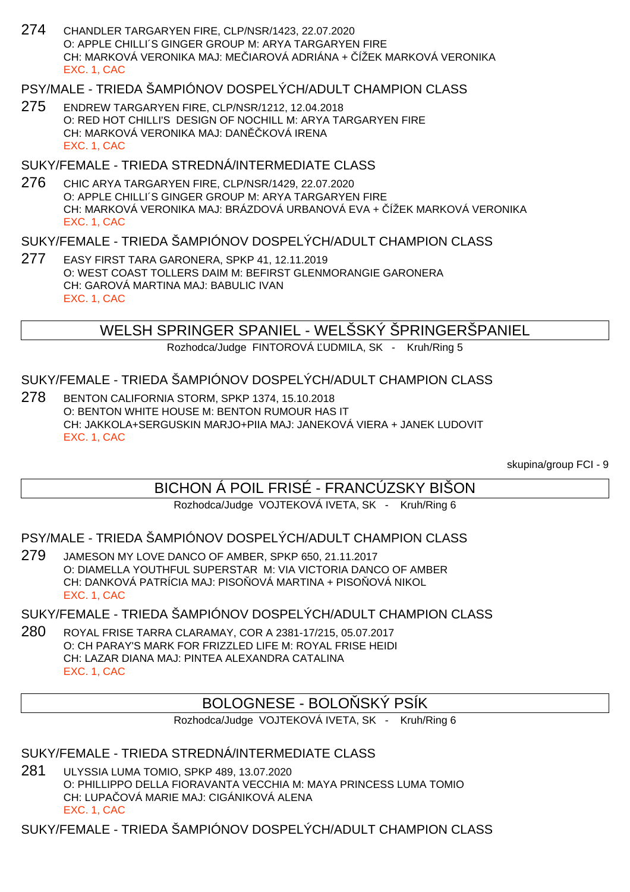274 CHANDLER TARGARYEN FIRE, CLP/NSR/1423, 22.07.2020 O: APPLE CHILLI´S GINGER GROUP M: ARYA TARGARYEN FIRE CH: MARKOVÁ VERONIKA MAJ: ME JAROVÁ ADRIÁNA + ÍŽEK MARKOVÁ VERONIKA EXC. 1, CAC

#### PSY/MALE - TRIEDA ŠAMPIÓNOV DOSPELÝCH/ADULT CHAMPION CLASS

275 ENDREW TARGARYEN FIRE, CLP/NSR/1212, 12.04.2018 O: RED HOT CHILLI'S DESIGN OF NOCHILL M: ARYA TARGARYEN FIRE CH: MARKOVÁ VERONIKA MAJ: DAN KOVÁ IRENA EXC. 1, CAC

#### SUKY/FEMALE - TRIEDA STREDNÁ/INTERMEDIATE CLASS

276 CHIC ARYA TARGARYEN FIRE, CLP/NSR/1429, 22.07.2020 O: APPLE CHILLI´S GINGER GROUP M: ARYA TARGARYEN FIRE CH: MARKOVÁ VERONIKA MAJ: BRÁZDOVÁ URBANOVÁ EVA + ČÍŽEK MARKOVÁ VERONIKA EXC. 1, CAC

#### SUKY/FEMALE - TRIEDA ŠAMPIÓNOV DOSPELÝCH/ADULT CHAMPION CLASS

277 EASY FIRST TARA GARONERA, SPKP 41, 12.11.2019 O: WEST COAST TOLLERS DAIM M: BEFIRST GLENMORANGIE GARONERA CH: GAROVÁ MARTINA MAJ: BABULIC IVAN EXC. 1, CAC

### WELSH SPRINGER SPANIEL - WELŠSKÝ ŠPRINGERŠPANIEL

Rozhodca/Judge FINTOROVÁ UDMILA, SK - Kruh/Ring 5

### SUKY/FEMALE - TRIEDA ŠAMPIÓNOV DOSPELÝCH/ADULT CHAMPION CLASS

278 BENTON CALIFORNIA STORM, SPKP 1374, 15.10.2018 O: BENTON WHITE HOUSE M: BENTON RUMOUR HAS IT CH: JAKKOLA+SERGUSKIN MARJO+PIIA MAJ: JANEKOVÁ VIERA + JANEK LUDOVIT EXC. 1, CAC

skupina/group FCI - 9

## BICHON Á POIL FRISÉ - FRANCÚZSKY BIŠON

#### Rozhodca/Judge VOJTEKOVÁ IVETA, SK - Kruh/Ring 6

#### PSY/MALE - TRIEDA ŠAMPIÓNOV DOSPELÝCH/ADULT CHAMPION CLASS

279 JAMESON MY LOVE DANCO OF AMBER, SPKP 650, 21.11.2017 O: DIAMELLA YOUTHFUL SUPERSTAR M: VIA VICTORIA DANCO OF AMBER CH: DANKOVÁ PATRÍCIA MAJ: PISO OVÁ MARTINA + PISO OVÁ NIKOL EXC. 1, CAC

### SUKY/FEMALE - TRIEDA ŠAMPIÓNOV DOSPELÝCH/ADULT CHAMPION CLASS

280 ROYAL FRISE TARRA CLARAMAY, COR A 2381-17/215, 05.07.2017 O: CH PARAY'S MARK FOR FRIZZLED LIFE M: ROYAL FRISE HEIDI CH: LAZAR DIANA MAJ: PINTEA ALEXANDRA CATALINA EXC. 1, CAC

## BOLOGNESE - BOLO SKÝ PSÍK

Rozhodca/Judge VOJTEKOVÁ IVETA, SK - Kruh/Ring 6

### SUKY/FEMALE - TRIEDA STREDNÁ/INTERMEDIATE CLASS

281 ULYSSIA LUMA TOMIO, SPKP 489, 13.07.2020 O: PHILLIPPO DELLA FIORAVANTA VECCHIA M: MAYA PRINCESS LUMA TOMIO CH: LUPA OVÁ MARIE MAJ: CIGÁNIKOVÁ ALENA EXC. 1, CAC

SUKY/FEMALE - TRIEDA ŠAMPIÓNOV DOSPELÝCH/ADULT CHAMPION CLASS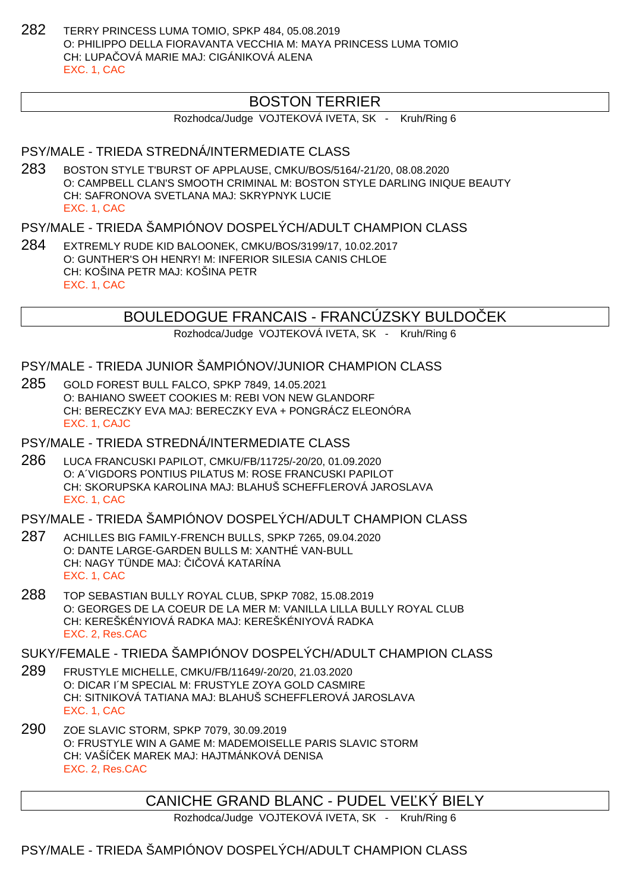282 TERRY PRINCESS LUMA TOMIO, SPKP 484, 05.08.2019 O: PHILIPPO DELLA FIORAVANTA VECCHIA M: MAYA PRINCESS LUMA TOMIO CH: LUPAČOVÁ MARIE MAJ: CIGÁNIKOVÁ ALENA EXC. 1, CAC

## BOSTON TERRIER

Rozhodca/Judge VOJTEKOVÁ IVETA, SK - Kruh/Ring 6

#### PSY/MALE - TRIEDA STREDNÁ/INTERMEDIATE CLASS

283 BOSTON STYLE T'BURST OF APPLAUSE, CMKU/BOS/5164/-21/20, 08.08.2020 O: CAMPBELL CLAN'S SMOOTH CRIMINAL M: BOSTON STYLE DARLING INIQUE BEAUTY CH: SAFRONOVA SVETLANA MAJ: SKRYPNYK LUCIE EXC. 1, CAC

#### PSY/MALE - TRIEDA ŠAMPIÓNOV DOSPELÝCH/ADULT CHAMPION CLASS

284 EXTREMLY RUDE KID BALOONEK, CMKU/BOS/3199/17, 10.02.2017 O: GUNTHER'S OH HENRY! M: INFERIOR SILESIA CANIS CHLOE CH: KOŠINA PETR MAJ: KOŠINA PETR EXC. 1, CAC

BOULEDOGUE FRANCAIS - FRANCÚZSKY BULDOČEK

Rozhodca/Judge VOJTEKOVÁ IVETA, SK - Kruh/Ring 6

#### PSY/MALE - TRIEDA JUNIOR ŠAMPIÓNOV/JUNIOR CHAMPION CLASS

- 285 GOLD FOREST BULL FALCO, SPKP 7849, 14.05.2021 O: BAHIANO SWEET COOKIES M: REBI VON NEW GLANDORF CH: BERECZKY EVA MAJ: BERECZKY EVA + PONGRÁCZ ELEONÓRA EXC. 1, CAJC
- PSY/MALE TRIEDA STREDNÁ/INTERMEDIATE CLASS
- 286 LUCA FRANCUSKI PAPILOT, CMKU/FB/11725/-20/20, 01.09.2020 O: A´VIGDORS PONTIUS PILATUS M: ROSE FRANCUSKI PAPILOT CH: SKORUPSKA KAROLINA MAJ: BLAHUŠ SCHEFFLEROVÁ JAROSLAVA EXC. 1, CAC

#### PSY/MALE - TRIEDA ŠAMPIÓNOV DOSPELÝCH/ADULT CHAMPION CLASS

- 287 ACHILLES BIG FAMILY-FRENCH BULLS, SPKP 7265, 09.04.2020 O: DANTE LARGE-GARDEN BULLS M: XANTHÉ VAN-BULL CH: NAGY TÜNDE MAJ: I OVÁ KATARÍNA EXC. 1, CAC
- 288 TOP SEBASTIAN BULLY ROYAL CLUB, SPKP 7082, 15.08.2019 O: GEORGES DE LA COEUR DE LA MER M: VANILLA LILLA BULLY ROYAL CLUB CH: KEREŠKÉNYIOVÁ RADKA MAJ: KEREŠKÉNIYOVÁ RADKA EXC. 2, Res.CAC

#### SUKY/FEMALE - TRIEDA ŠAMPIÓNOV DOSPELÝCH/ADULT CHAMPION CLASS

- 289 FRUSTYLE MICHELLE, CMKU/FB/11649/-20/20, 21.03.2020 O: DICAR I´M SPECIAL M: FRUSTYLE ZOYA GOLD CASMIRE CH: SITNIKOVÁ TATIANA MAJ: BLAHUŠ SCHEFFLEROVÁ JAROSLAVA EXC. 1, CAC
- 290 ZOE SLAVIC STORM, SPKP 7079, 30.09.2019 O: FRUSTYLE WIN A GAME M: MADEMOISELLE PARIS SLAVIC STORM CH: VAŠÍ EK MAREK MAJ: HAJTMÁNKOVÁ DENISA EXC. 2, Res.CAC

CANICHE GRAND BLANC - PUDEL VE KY BIELY

Rozhodca/Judge VOJTEKOVÁ IVETA, SK - Kruh/Ring 6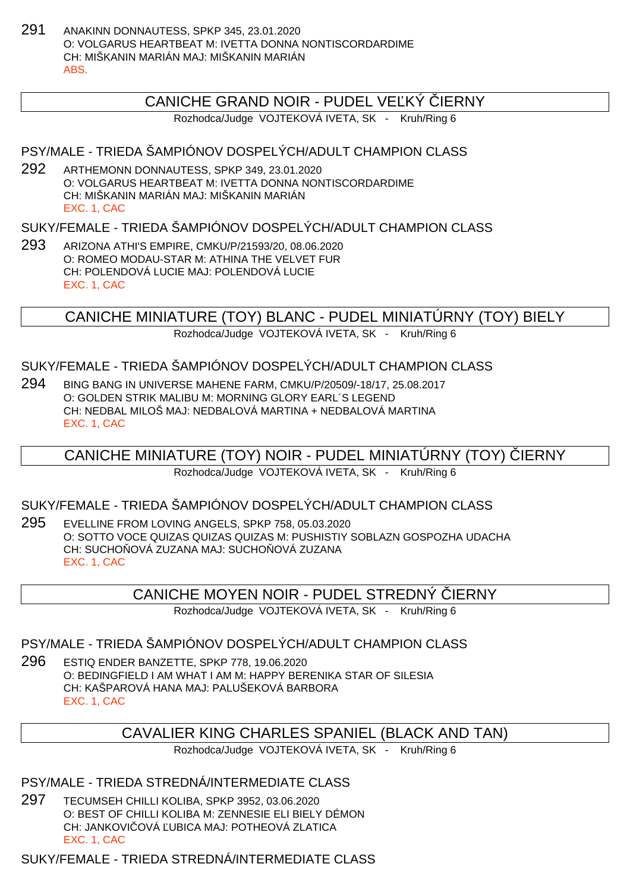291 ANAKINN DONNAUTESS, SPKP 345, 23.01.2020 O: VOLGARUS HEARTBEAT M: IVETTA DONNA NONTISCORDARDIME CH: MIŠKANIN MARIÁN MAJ: MIŠKANIN MARIÁN ABS.

## CANICHE GRAND NOIR - PUDEL VE KÝ LERNY

Rozhodca/Judge VOJTEKOVÁ IVETA, SK - Kruh/Ring 6

### PSY/MALE - TRIEDA ŠAMPIÓNOV DOSPELÝCH/ADULT CHAMPION CLASS

292 ARTHEMONN DONNAUTESS, SPKP 349, 23.01.2020 O: VOLGARUS HEARTBEAT M: IVETTA DONNA NONTISCORDARDIME CH: MIŠKANIN MARIÁN MAJ: MIŠKANIN MARIÁN EXC. 1, CAC

### SUKY/FEMALE - TRIEDA ŠAMPIÓNOV DOSPELÝCH/ADULT CHAMPION CLASS

293 ARIZONA ATHI'S EMPIRE, CMKU/P/21593/20, 08.06.2020 O: ROMEO MODAU-STAR M: ATHINA THE VELVET FUR CH: POLENDOVÁ LUCIE MAJ: POLENDOVÁ LUCIE EXC. 1, CAC

CANICHE MINIATURE (TOY) BLANC - PUDEL MINIATÚRNY (TOY) BIELY

Rozhodca/Judge VOJTEKOVÁ IVETA, SK - Kruh/Ring 6

#### SUKY/FEMALE - TRIEDA ŠAMPIÓNOV DOSPELÝCH/ADULT CHAMPION CLASS

294 BING BANG IN UNIVERSE MAHENE FARM, CMKU/P/20509/-18/17, 25.08.2017 O: GOLDEN STRIK MALIBU M: MORNING GLORY EARL´S LEGEND CH: NEDBAL MILOŠ MAJ: NEDBALOVÁ MARTINA + NEDBALOVÁ MARTINA EXC. 1, CAC

## CANICHE MINIATURE (TOY) NOIR - PUDEL MINIATURNY (TOY) LERNY

Rozhodca/Judge VOJTEKOVÁ IVETA, SK - Kruh/Ring 6

#### SUKY/FEMALE - TRIEDA ŠAMPIÓNOV DOSPELÝCH/ADULT CHAMPION CLASS

295 EVELLINE FROM LOVING ANGELS, SPKP 758, 05.03.2020 O: SOTTO VOCE QUIZAS QUIZAS QUIZAS M: PUSHISTIY SOBLAZN GOSPOZHA UDACHA CH: SUCHO OVÁ ZUZANA MAJ: SUCHO OVÁ ZUZANA EXC. 1, CAC

### CANICHE MOYEN NOIR - PUDEL STREDNY IERNY

Rozhodca/Judge VOJTEKOVÁ IVETA, SK - Kruh/Ring 6

#### PSY/MALE - TRIEDA ŠAMPIÓNOV DOSPELÝCH/ADULT CHAMPION CLASS

296 ESTIQ ENDER BANZETTE, SPKP 778, 19.06.2020 O: BEDINGFIELD I AM WHAT I AM M: HAPPY BERENIKA STAR OF SILESIA CH: KAŠPAROVÁ HANA MAJ: PALUŠEKOVÁ BARBORA EXC. 1, CAC

## CAVALIER KING CHARLES SPANIEL (BLACK AND TAN)

Rozhodca/Judge VOJTEKOVÁ IVETA, SK - Kruh/Ring 6

PSY/MALE - TRIEDA STREDNÁ/INTERMEDIATE CLASS

297 TECUMSEH CHILLI KOLIBA, SPKP 3952, 03.06.2020 O: BEST OF CHILLI KOLIBA M: ZENNESIE ELI BIELY DÉMON CH: JANKOVI OVÁ UBICA MAJ: POTHEOVÁ ZLATICA EXC. 1, CAC

SUKY/FEMALE - TRIEDA STREDNÁ/INTERMEDIATE CLASS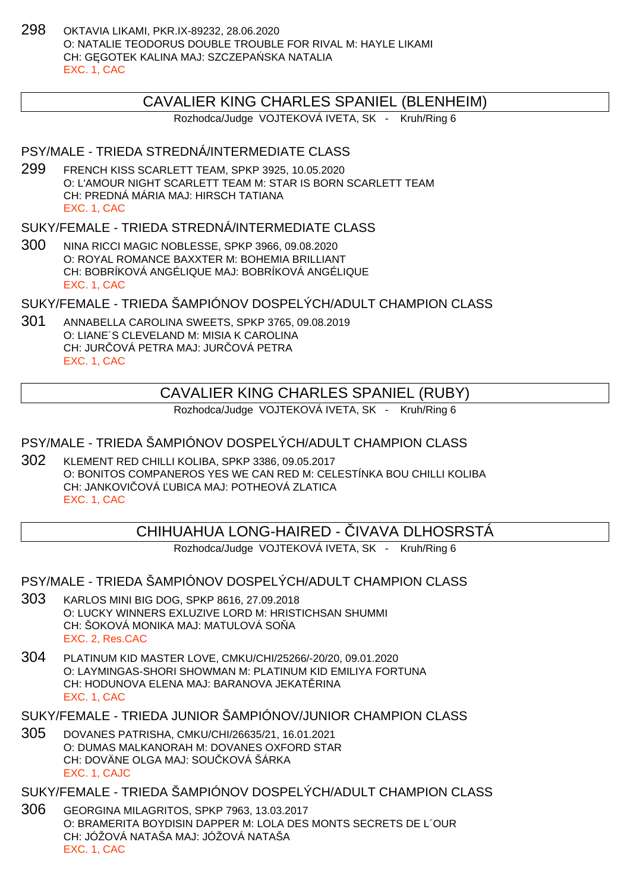298 OKTAVIA LIKAMI, PKR.IX-89232, 28.06.2020 O: NATALIE TEODORUS DOUBLE TROUBLE FOR RIVAL M: HAYLE LIKAMI CH: G. GOTEK KALINA MAJ: SZCZEPA SKA NATALIA EXC. 1, CAC

#### CAVALIER KING CHARLES SPANIEL (BLENHEIM)

Rozhodca/Judge VOJTEKOVÁ IVETA, SK - Kruh/Ring 6

#### PSY/MALE - TRIEDA STREDNÁ/INTERMEDIATE CLASS

299 FRENCH KISS SCARLETT TEAM, SPKP 3925, 10.05.2020 O: L'AMOUR NIGHT SCARLETT TEAM M: STAR IS BORN SCARLETT TEAM CH: PREDNÁ MÁRIA MAJ: HIRSCH TATIANA EXC. 1, CAC

### SUKY/FEMALE - TRIEDA STREDNÁ/INTERMEDIATE CI ASS

300 NINA RICCI MAGIC NOBLESSE, SPKP 3966, 09.08.2020 O: ROYAL ROMANCE BAXXTER M: BOHEMIA BRILLIANT CH: BOBRÍKOVÁ ANGÉLIQUE MAJ: BOBRÍKOVÁ ANGÉLIQUE EXC. 1, CAC

SUKY/FEMALE - TRIEDA ŠAMPIÓNOV DOSPELÝCH/ADULT CHAMPION CLASS

301 ANNABELLA CAROLINA SWEETS, SPKP 3765, 09.08.2019 O: LIANE´S CLEVELAND M: MISIA K CAROLINA CH: JURI OVÁ PETRA MAJ: JURI OVÁ PETRA EXC. 1, CAC

## CAVALIER KING CHARLES SPANIEL (RUBY)

Rozhodca/Judge VOJTEKOVÁ IVETA, SK - Kruh/Ring 6

#### PSY/MALE - TRIEDA ŠAMPIÓNOV DOSPELÝCH/ADULT CHAMPION CLASS

302 KLEMENT RED CHILLI KOLIBA, SPKP 3386, 09.05.2017 O: BONITOS COMPANEROS YES WE CAN RED M: CELESTÍNKA BOU CHILLI KOLIBA CH: JANKOVI OVÁ UBICA MAJ: POTHEOVÁ ZLATICA EXC. 1, CAC

## CHIHUAHUA LONG-HAIRED - VAAVA DLHOSRSTÁ

Rozhodca/Judge VOJTEKOVÁ IVETA, SK - Kruh/Ring 6

PSY/MALE - TRIEDA ŠAMPIÓNOV DOSPELÝCH/ADULT CHAMPION CLASS

- 303 KARLOS MINI BIG DOG, SPKP 8616, 27.09.2018 O: LUCKY WINNERS EXLUZIVE LORD M: HRISTICHSAN SHUMMI CH: ŠOKOVÁ MONIKA MAJ: MATULOVÁ SO A EXC. 2, Res.CAC
- 304 PLATINUM KID MASTER LOVE, CMKU/CHI/25266/-20/20, 09.01.2020 O: LAYMINGAS-SHORI SHOWMAN M: PLATINUM KID EMILIYA FORTUNA CH: HODUNOVA ELENA MAJ: BARANOVA JEKATERINA EXC. 1, CAC

SUKY/FEMALE - TRIEDA JUNIOR ŠAMPIÓNOV/JUNIOR CHAMPION CLASS

- 305 DOVANES PATRISHA, CMKU/CHI/26635/21, 16.01.2021 O: DUMAS MALKANORAH M: DOVANES OXFORD STAR CH: DOVÄNE OLGA MAJ: SOU KOVÁ ŠÁRKA EXC. 1, CAJC
- SUKY/FEMALE TRIEDA ŠAMPIÓNOV DOSPELÝCH/ADULT CHAMPION CLASS
- 306 GEORGINA MILAGRITOS, SPKP 7963, 13.03.2017 O: BRAMERITA BOYDISIN DAPPER M: LOLA DES MONTS SECRETS DE L´OUR CH: JÓŽOVÁ NATAŠA MAJ: JÓŽOVÁ NATAŠA EXC. 1, CAC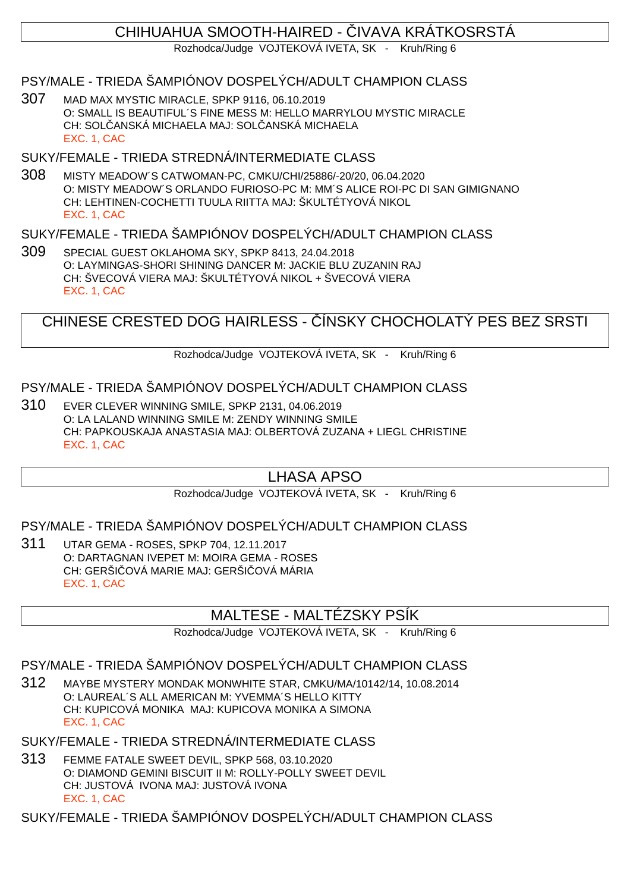## CHIHUAHUA SMOOTH-HAIRED - VAAVA KRÁTKOSRSTÁ

Rozhodca/Judge VOJTEKOVÁ IVETA, SK - Kruh/Ring 6

### PSY/MALE - TRIEDA ŠAMPIÓNOV DOSPELÝCH/ADULT CHAMPION CLASS

307 MAD MAX MYSTIC MIRACLE, SPKP 9116, 06.10.2019 O: SMALL IS BEAUTIFUL´S FINE MESS M: HELLO MARRYLOU MYSTIC MIRACLE CH: SOLČANSKÁ MICHAELA MAJ: SOLČANSKÁ MICHAELA EXC. 1, CAC

### SUKY/FEMALE - TRIEDA STREDNÁ/INTERMEDIATE CLASS

308 MISTY MEADOW´S CATWOMAN-PC, CMKU/CHI/25886/-20/20, 06.04.2020 O: MISTY MEADOW´S ORLANDO FURIOSO-PC M: MM´S ALICE ROI-PC DI SAN GIMIGNANO CH: LEHTINEN-COCHETTI TUULA RIITTA MAJ: ŠKULTÉTYOVÁ NIKOL EXC. 1, CAC

#### SUKY/FEMALE - TRIEDA ŠAMPIÓNOV DOSPELÝCH/ADULT CHAMPION CLASS

309 SPECIAL GUEST OKLAHOMA SKY, SPKP 8413, 24.04.2018 O: LAYMINGAS-SHORI SHINING DANCER M: JACKIE BLU ZUZANIN RAJ CH: ŠVECOVÁ VIERA MAJ: ŠKULTÉTYOVÁ NIKOL + ŠVECOVÁ VIERA EXC. 1, CAC

CHINESE CRESTED DOG HAIRLESS - ÍNSKY CHOCHOLATÝ PES BEZ SRSTI

Rozhodca/Judge VOJTEKOVÁ IVETA, SK - Kruh/Ring 6

## PSY/MALE - TRIEDA ŠAMPIÓNOV DOSPELÝCH/ADULT CHAMPION CLASS

310 EVER CLEVER WINNING SMILE, SPKP 2131, 04.06.2019 O: LA LALAND WINNING SMILE M: ZENDY WINNING SMILE CH: PAPKOUSKAJA ANASTASIA MAJ: OLBERTOVÁ ZUZANA + LIEGL CHRISTINE EXC. 1, CAC

## LHASA APSO

Rozhodca/Judge VOJTEKOVÁ IVETA, SK - Kruh/Ring 6

### PSY/MALE - TRIEDA ŠAMPIÓNOV DOSPELÝCH/ADULT CHAMPION CLASS

311 UTAR GEMA - ROSES, SPKP 704, 12.11.2017 O: DARTAGNAN IVEPET M: MOIRA GEMA - ROSES CH: GERŠI QVÁ MARIE MAJ: GERŠI QVÁ MÁRIA EXC. 1, CAC

## MALTESE - MALTÉZSKY PSÍK

Rozhodca/Judge VOJTEKOVÁ IVETA, SK - Kruh/Ring 6

## PSY/MALE - TRIEDA ŠAMPIÓNOV DOSPELÝCH/ADULT CHAMPION CLASS

- 312 MAYBE MYSTERY MONDAK MONWHITE STAR, CMKU/MA/10142/14, 10.08.2014 O: LAUREAL´S ALL AMERICAN M: YVEMMA´S HELLO KITTY CH: KUPICOVÁ MONIKA MAJ: KUPICOVA MONIKA A SIMONA EXC. 1, CAC
- SUKY/FEMALE TRIEDA STREDNÁ/INTERMEDIATE CLASS
- 313 FEMME FATALE SWEET DEVIL, SPKP 568, 03.10.2020 O: DIAMOND GEMINI BISCUIT II M: ROLLY-POLLY SWEET DEVIL CH: JUSTOVÁ IVONA MAJ: JUSTOVÁ IVONA EXC. 1, CAC

SUKY/FEMALE - TRIEDA ŠAMPIÓNOV DOSPELÝCH/ADULT CHAMPION CLASS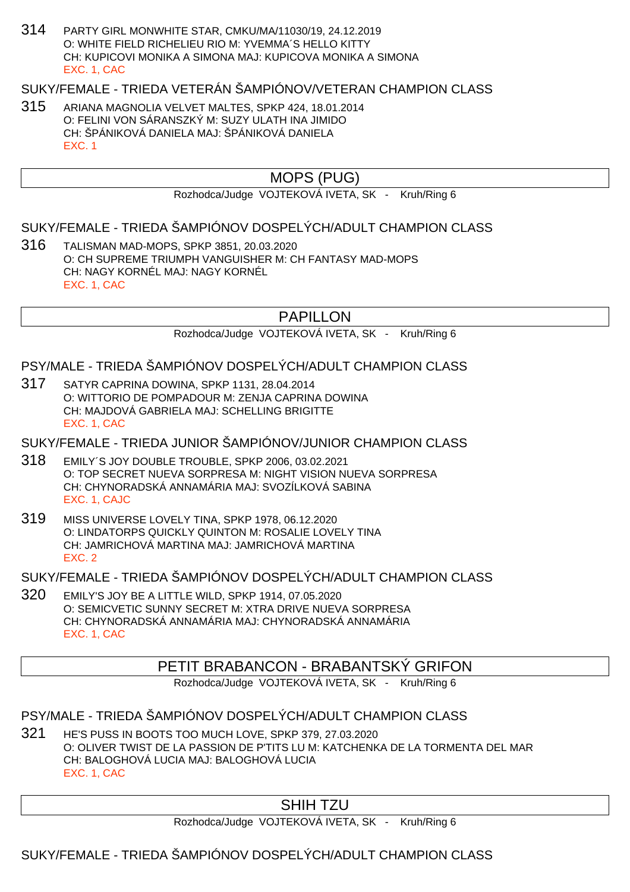314 PARTY GIRL MONWHITE STAR, CMKU/MA/11030/19, 24.12.2019 O: WHITE FIELD RICHELIEU RIO M: YVEMMA´S HELLO KITTY CH: KUPICOVI MONIKA A SIMONA MAJ: KUPICOVA MONIKA A SIMONA EXC. 1, CAC

## SUKY/FEMALE - TRIEDA VETERÁN ŠAMPIÓNOV/VETERAN CHAMPION CLASS

315 ARIANA MAGNOLIA VELVET MALTES, SPKP 424, 18.01.2014 O: FELINI VON SÁRANSZKÝ M: SUZY ULATH INA JIMIDO CH: ŠPÁNIKOVÁ DANIELA MAJ: ŠPÁNIKOVÁ DANIELA EXC. 1

## MOPS (PUG)

Rozhodca/Judge VOJTEKOVÁ IVETA, SK - Kruh/Ring 6

#### SUKY/FEMALE - TRIEDA ŠAMPIÓNOV DOSPELÝCH/ADULT CHAMPION CLASS

316 TALISMAN MAD-MOPS, SPKP 3851, 20.03.2020 O: CH SUPREME TRIUMPH VANGUISHER M: CH FANTASY MAD-MOPS CH: NAGY KORNÉL MAJ: NAGY KORNÉL EXC. 1, CAC

## PAPILLON

Rozhodca/Judge VOJTEKOVÁ IVETA, SK - Kruh/Ring 6

#### PSY/MALE - TRIEDA ŠAMPIÓNOV DOSPELÝCH/ADULT CHAMPION CLASS

317 SATYR CAPRINA DOWINA, SPKP 1131, 28.04.2014 O: WITTORIO DE POMPADOUR M: ZENJA CAPRINA DOWINA CH: MAJDOVÁ GABRIELA MAJ: SCHELLING BRIGITTE EXC. 1, CAC

SUKY/FEMALE - TRIEDA JUNIOR ŠAMPIÓNOV/JUNIOR CHAMPION CLASS

- 318 EMILY´S JOY DOUBLE TROUBLE, SPKP 2006, 03.02.2021 O: TOP SECRET NUEVA SORPRESA M: NIGHT VISION NUEVA SORPRESA CH: CHYNORADSKÁ ANNAMÁRIA MAJ: SVOZÍLKOVÁ SABINA EXC. 1, CAJC
- 319 MISS UNIVERSE LOVELY TINA, SPKP 1978, 06.12.2020 O: LINDATORPS QUICKLY QUINTON M: ROSALIE LOVELY TINA CH: JAMRICHOVÁ MARTINA MAJ: JAMRICHOVÁ MARTINA EXC. 2

SUKY/FEMALE - TRIEDA ŠAMPIÓNOV DOSPELÝCH/ADULT CHAMPION CLASS

320 EMILY'S JOY BE A LITTLE WILD, SPKP 1914, 07.05.2020 O: SEMICVETIC SUNNY SECRET M: XTRA DRIVE NUEVA SORPRESA CH: CHYNORADSKÁ ANNAMÁRIA MAJ: CHYNORADSKÁ ANNAMÁRIA EXC. 1, CAC

### PETIT BRABANCON - BRABANTSKÝ GRIFON

Rozhodca/Judge VOJTEKOVÁ IVETA, SK - Kruh/Ring 6

#### PSY/MALE - TRIEDA ŠAMPIÓNOV DOSPELÝCH/ADULT CHAMPION CLASS

321 HE'S PUSS IN BOOTS TOO MUCH LOVE, SPKP 379, 27.03.2020 O: OLIVER TWIST DE LA PASSION DE P'TITS LU M: KATCHENKA DE LA TORMENTA DEL MAR CH: BALOGHOVÁ LUCIA MAJ: BALOGHOVÁ LUCIA EXC. 1, CAC

### SHIH TZU

Rozhodca/Judge VOJTEKOVÁ IVETA, SK - Kruh/Ring 6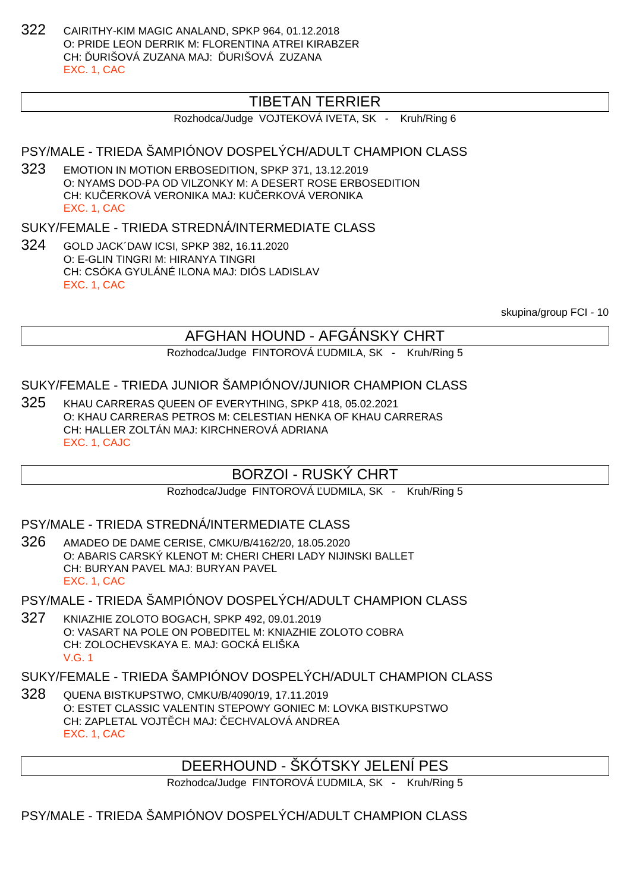322 CAIRITHY-KIM MAGIC ANALAND, SPKP 964, 01.12.2018 O: PRIDE LEON DERRIK M: FLORENTINA ATREI KIRABZER CH: URIŠOVÁ ZUZANA MAJ: URIŠOVÁ ZUZANA EXC. 1, CAC

## TIBETAN TERRIER

Rozhodca/Judge VOJTEKOVÁ IVETA, SK - Kruh/Ring 6

## PSY/MALE - TRIEDA ŠAMPIÓNOV DOSPELÝCH/ADULT CHAMPION CLASS

323 EMOTION IN MOTION ERBOSEDITION, SPKP 371, 13.12.2019 O: NYAMS DOD-PA OD VILZONKY M: A DESERT ROSE ERBOSEDITION CH: KU ERKOVÁ VERONIKA MAJ: KU ERKOVÁ VERONIKA EXC. 1, CAC

#### SUKY/FEMALE - TRIEDA STREDNÁ/INTERMEDIATE CI ASS

324 GOLD JACK´DAW ICSI, SPKP 382, 16.11.2020 O: E-GLIN TINGRI M: HIRANYA TINGRI CH: CSÓKA GYULÁNÉ ILONA MAJ: DIÓS LADISLAV EXC. 1, CAC

skupina/group FCI - 10

## AFGHAN HOUND - AFGÁNSKY CHRT

Rozhodca/Judge FINTOROVÁ UDMILA, SK - Kruh/Ring 5

#### SUKY/FEMALE - TRIEDA JUNIOR ŠAMPIÓNOV/JUNIOR CHAMPION CLASS

325 KHAU CARRERAS QUEEN OF EVERYTHING, SPKP 418, 05.02.2021 O: KHAU CARRERAS PETROS M: CELESTIAN HENKA OF KHAU CARRERAS CH: HALLER ZOLTÁN MAJ: KIRCHNEROVÁ ADRIANA EXC. 1, CAJC

### BORZOI - RUSKÝ CHRT

Rozhodca/Judge FINTOROVÁ UDMILA, SK - Kruh/Ring 5

#### PSY/MALE - TRIEDA STREDNÁ/INTERMEDIATE CLASS

326 AMADEO DE DAME CERISE, CMKU/B/4162/20, 18.05.2020 O: ABARIS CARSKÝ KLENOT M: CHERI CHERI LADY NIJINSKI BALLET CH: BURYAN PAVEL MAJ: BURYAN PAVEL EXC. 1, CAC

#### PSY/MALE - TRIEDA ŠAMPIÓNOV DOSPELÝCH/ADULT CHAMPION CLASS

327 KNIAZHIE ZOLOTO BOGACH, SPKP 492, 09.01.2019 O: VASART NA POLE ON POBEDITEL M: KNIAZHIE ZOLOTO COBRA CH: ZOLOCHEVSKAYA E. MAJ: GOCKÁ ELIŠKA V.G. 1

#### SUKY/FEMALE - TRIEDA ŠAMPIÓNOV DOSPELÝCH/ADULT CHAMPION CLASS

328 QUENA BISTKUPSTWO, CMKU/B/4090/19, 17.11.2019 O: ESTET CLASSIC VALENTIN STEPOWY GONIEC M: LOVKA BISTKUPSTWO CH: ZAPLETAL VOJT CH MAJ: ECHVALOVÁ ANDREA EXC. 1, CAC

DEERHOUND - ŠKÓTSKY JELENÍ PES

Rozhodca/Judge FINTOROVÁ UDMILA, SK - Kruh/Ring 5

## PSY/MALE - TRIEDA ŠAMPIÓNOV DOSPELÝCH/ADULT CHAMPION CLASS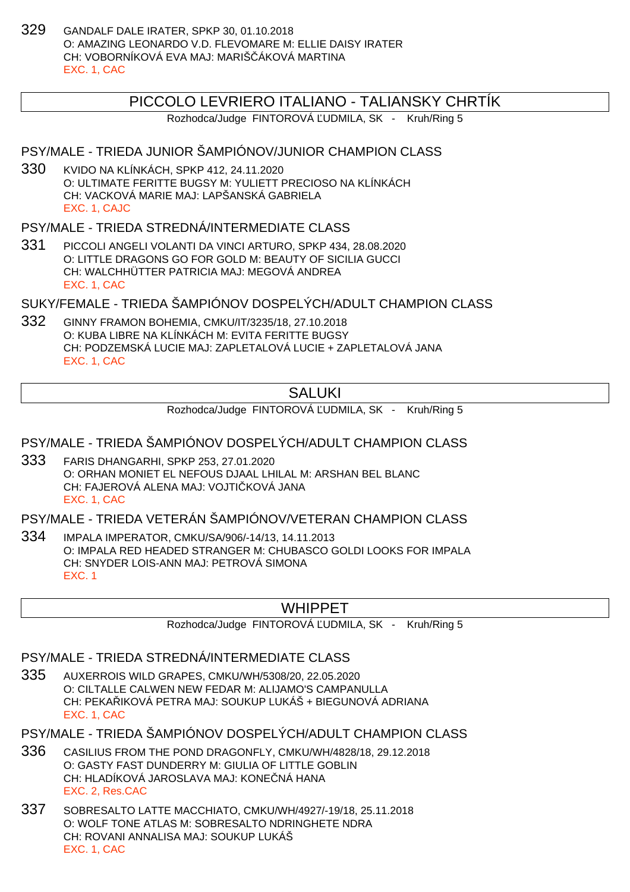329 GANDALF DALE IRATER, SPKP 30, 01.10.2018 O: AMAZING LEONARDO V.D. FLEVOMARE M: ELLIE DAISY IRATER CH: VOBORNÍKOVÁ EVA MAJ: MARIŠ ÁKOVÁ MARTINA EXC. 1, CAC

#### PICCOLO LEVRIERO ITALIANO - TALIANSKY CHRTÍK

Rozhodca/Judge FINTOROVÁ UDMILA, SK - Kruh/Ring 5

### PSY/MALE - TRIEDA JUNIOR ŠAMPIÓNOV/JUNIOR CHAMPION CLASS

330 KVIDO NA KLÍNKÁCH, SPKP 412, 24.11.2020 O: ULTIMATE FERITTE BUGSY M: YULIETT PRECIOSO NA KLÍNKÁCH CH: VACKOVÁ MARIE MAJ: LAPŠANSKÁ GABRIELA EXC. 1, CAJC

#### PSY/MALE - TRIEDA STREDNÁ/INTERMEDIATE CLASS

331 PICCOLI ANGELI VOLANTI DA VINCI ARTURO, SPKP 434, 28.08.2020 O: LITTLE DRAGONS GO FOR GOLD M: BEAUTY OF SICILIA GUCCI CH: WALCHHÜTTER PATRICIA MAJ: MEGOVÁ ANDREA EXC. 1, CAC

SUKY/FEMALE - TRIEDA ŠAMPIÓNOV DOSPELÝCH/ADULT CHAMPION CLASS

332 GINNY FRAMON BOHEMIA, CMKU/IT/3235/18, 27.10.2018 O: KUBA LIBRE NA KLÍNKÁCH M: EVITA FERITTE BUGSY CH: PODZEMSKÁ LUCIE MAJ: ZAPLETALOVÁ LUCIE + ZAPLETALOVÁ JANA EXC. 1, CAC

## **SALUKI**

Rozhodca/Judge FINTOROVÁ UDMILA, SK - Kruh/Ring 5

#### PSY/MALE - TRIEDA ŠAMPIÓNOV DOSPELÝCH/ADULT CHAMPION CLASS

333 FARIS DHANGARHI, SPKP 253, 27.01.2020 O: ORHAN MONIET EL NEFOUS DJAAL LHILAL M: ARSHAN BEL BLANC CH: FAJEROVÁ ALENA MAJ: VOJTI KOVÁ JANA EXC. 1, CAC

PSY/MALE - TRIEDA VETERÁN ŠAMPIÓNOV/VETERAN CHAMPION CLASS

334 IMPALA IMPERATOR, CMKU/SA/906/-14/13, 14.11.2013 O: IMPALA RED HEADED STRANGER M: CHUBASCO GOLDI LOOKS FOR IMPALA CH: SNYDER LOIS-ANN MAJ: PETROVÁ SIMONA EXC. 1

#### WHIPPET

Rozhodca/Judge FINTOROVÁ ĽUDMILA, SK - Kruh/Ring 5

#### PSY/MALE - TRIEDA STREDNÁ/INTERMEDIATE CLASS

335 AUXERROIS WILD GRAPES, CMKU/WH/5308/20, 22.05.2020 O: CILTALLE CALWEN NEW FEDAR M: ALIJAMO'S CAMPANULLA CH: PEKA IKOVÁ PETRA MAJ: SOUKUP LUKÁŠ + BIEGUNOVÁ ADRIANA EXC. 1, CAC

PSY/MALE - TRIEDA ŠAMPIÓNOV DOSPELÝCH/ADULT CHAMPION CLASS

- 336 CASILIUS FROM THE POND DRAGONFLY, CMKU/WH/4828/18, 29.12.2018 O: GASTY FAST DUNDERRY M: GIULIA OF LITTLE GOBLIN CH: HLADÍKOVÁ JAROSLAVA MAJ: KONE NÁ HANA EXC. 2, Res.CAC
- 337 SOBRESALTO LATTE MACCHIATO, CMKU/WH/4927/-19/18, 25.11.2018 O: WOLF TONE ATLAS M: SOBRESALTO NDRINGHETE NDRA CH: ROVANI ANNALISA MAJ: SOUKUP LUKÁŠ EXC. 1, CAC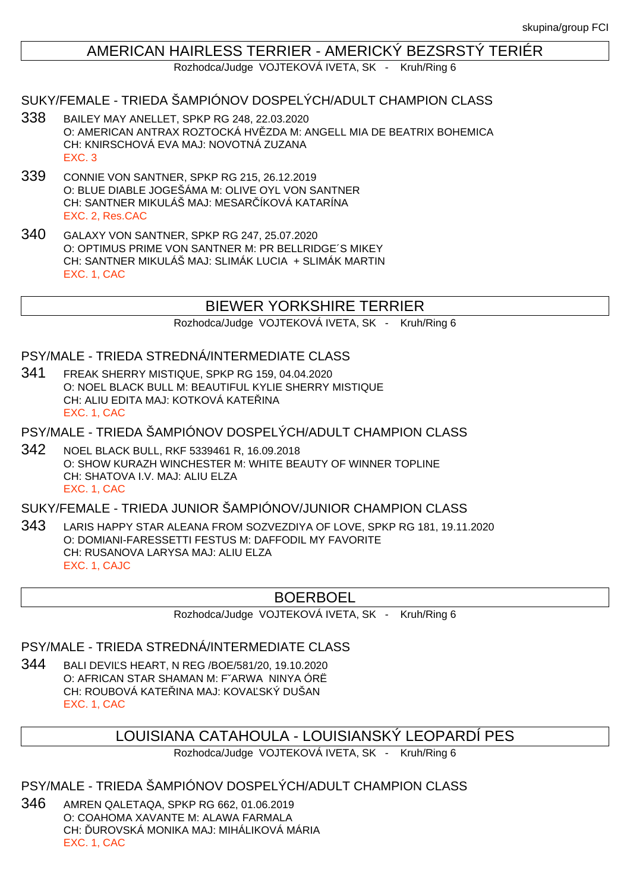### AMERICAN HAIRLESS TERRIER - AMERICKÝ BEZSRSTÝ TERIÉR

Rozhodca/Judge VOJTEKOVÁ IVETA, SK - Kruh/Ring 6

#### SUKY/FEMALE - TRIEDA ŠAMPIÓNOV DOSPELÝCH/ADULT CHAMPION CLASS

- 338 BAILEY MAY ANELLET, SPKP RG 248, 22.03.2020 O: AMERICAN ANTRAX ROZTOCKÁ HV ZDA M: ANGELL MIA DE BEATRIX BOHEMICA CH: KNIRSCHOVÁ EVA MAJ: NOVOTNÁ ZUZANA EXC. 3
- 339 CONNIE VON SANTNER, SPKP RG 215, 26.12.2019 O: BLUE DIABLE JOGEŠÁMA M: OLIVE OYL VON SANTNER CH: SANTNER MIKULÁŠ MAJ: MESAR ÍKOVÁ KATARÍNA EXC. 2, Res.CAC
- 340 GALAXY VON SANTNER, SPKP RG 247, 25.07.2020 O: OPTIMUS PRIME VON SANTNER M: PR BELLRIDGE´S MIKEY CH: SANTNER MIKULÁŠ MAJ: SLIMÁK LUCIA + SLIMÁK MARTIN EXC. 1, CAC

## BIEWER YORKSHIRE TERRIER

Rozhodca/Judge VOJTEKOVÁ IVETA, SK - Kruh/Ring 6

#### PSY/MALE - TRIEDA STREDNÁ/INTERMEDIATE CLASS

- 341 FREAK SHERRY MISTIQUE, SPKP RG 159, 04.04.2020 O: NOEL BLACK BULL M: BEAUTIFUL KYLIE SHERRY MISTIQUE CH: ALIU EDITA MAJ: KOTKOVÁ KATE INA EXC. 1, CAC
- PSY/MALE TRIEDA ŠAMPIÓNOV DOSPELÝCH/ADULT CHAMPION CLASS
- 342 NOEL BLACK BULL, RKF 5339461 R, 16.09.2018 O: SHOW KURAZH WINCHESTER M: WHITE BEAUTY OF WINNER TOPLINE CH: SHATOVA I.V. MAJ: ALIU ELZA EXC. 1, CAC

## SUKY/FEMALE - TRIEDA JUNIOR ŠAMPIÓNOV/JUNIOR CHAMPION CLASS

343 LARIS HAPPY STAR ALEANA FROM SOZVEZDIYA OF LOVE, SPKP RG 181, 19.11.2020 O: DOMIANI-FARESSETTI FESTUS M: DAFFODIL MY FAVORITE CH: RUSANOVA LARYSA MAJ: ALIU ELZA EXC. 1, CAJC

### BOERBOEL

Rozhodca/Judge VOJTEKOVÁ IVETA, SK - Kruh/Ring 6

## PSY/MALE - TRIEDA STREDNÁ/INTERMEDIATE CLASS

344 BALI DEVI S HEART, N REG / BOE/581/20, 19.10.2020 O: AFRICAN STAR SHAMAN M: FˇARWA NINYA ÓRË CH: ROUBOVÁ KATELINA MAJ: KOVALSKÝ DUŠAN EXC. 1, CAC

## LOUISIANA CATAHOULA - LOUISIANSKÝ LEOPARDÍ PES

Rozhodca/Judge VOJTEKOVÁ IVETA, SK - Kruh/Ring 6

PSY/MALE - TRIEDA ŠAMPIÓNOV DOSPELÝCH/ADULT CHAMPION CLASS

346 AMREN QALETAQA, SPKP RG 662, 01.06.2019 O: COAHOMA XAVANTE M: ALAWA FARMALA CH: UROVSKÁ MONIKA MAJ: MIHÁLIKOVÁ MÁRIA EXC. 1, CAC